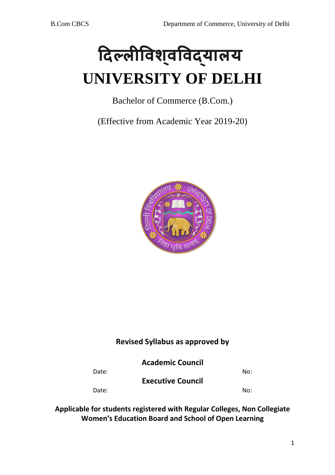# **�दल्ल��वशव�वद्यालय ् UNIVERSITY OF DELHI**

Bachelor of Commerce (B.Com.)

(Effective from Academic Year 2019-20)



# **Revised Syllabus as approved by**

Date: No: **Executive Council**  Date: No:

**Applicable for students registered with Regular Colleges, Non Collegiate Women's Education Board and School of Open Learning**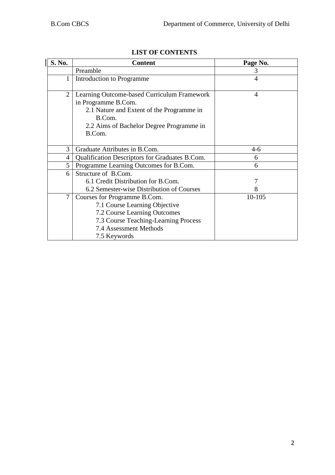| S. No.         | <b>Content</b>                                                                                                                                                                  | Page No. |
|----------------|---------------------------------------------------------------------------------------------------------------------------------------------------------------------------------|----------|
|                | Preamble                                                                                                                                                                        | 3        |
| 1              | Introduction to Programme                                                                                                                                                       | 4        |
| $\overline{2}$ | Learning Outcome-based Curriculum Framework<br>in Programme B.Com.<br>2.1 Nature and Extent of the Programme in<br>B.Com.<br>2.2 Aims of Bachelor Degree Programme in<br>B.Com. | 4        |
| 3              | Graduate Attributes in B.Com.                                                                                                                                                   | 4-6      |
| 4              | Qualification Descriptors for Graduates B.Com.                                                                                                                                  | 6        |
| 5              | Programme Learning Outcomes for B.Com.                                                                                                                                          | 6        |
| 6              | Structure of B.Com.                                                                                                                                                             |          |
|                | 6.1 Credit Distribution for B.Com.                                                                                                                                              | 7        |
|                | 6.2 Semester-wise Distribution of Courses                                                                                                                                       | 8        |
| $\tau$         | Courses for Programme B.Com.                                                                                                                                                    | 10-105   |
|                | 7.1 Course Learning Objective                                                                                                                                                   |          |
|                | 7.2 Course Learning Outcomes                                                                                                                                                    |          |
|                | 7.3 Course Teaching-Learning Process                                                                                                                                            |          |
|                | 7.4 Assessment Methods                                                                                                                                                          |          |
|                | 7.5 Keywords                                                                                                                                                                    |          |

# **LIST OF CONTENTS**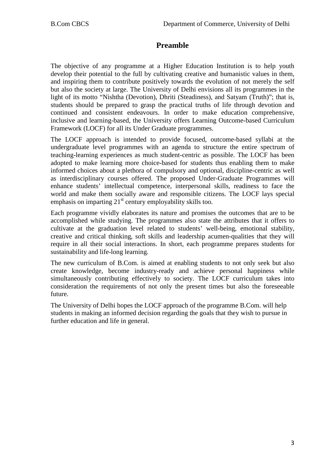# **Preamble**

The objective of any programme at a Higher Education Institution is to help youth develop their potential to the full by cultivating creative and humanistic values in them, and inspiring them to contribute positively towards the evolution of not merely the self but also the society at large. The University of Delhi envisions all its programmes in the light of its motto "Nishtha (Devotion), Dhriti (Steadiness), and Satyam (Truth)"; that is, students should be prepared to grasp the practical truths of life through devotion and continued and consistent endeavours. In order to make education comprehensive, inclusive and learning-based, the University offers Learning Outcome-based Curriculum Framework (LOCF) for all its Under Graduate programmes.

The LOCF approach is intended to provide focused, outcome-based syllabi at the undergraduate level programmes with an agenda to structure the entire spectrum of teaching-learning experiences as much student-centric as possible. The LOCF has been adopted to make learning more choice-based for students thus enabling them to make informed choices about a plethora of compulsory and optional, discipline-centric as well as interdisciplinary courses offered. The proposed Under-Graduate Programmes will enhance students' intellectual competence, interpersonal skills, readiness to face the world and make them socially aware and responsible citizens. The LOCF lays special emphasis on imparting  $21<sup>st</sup>$  century employability skills too.

Each programme vividly elaborates its nature and promises the outcomes that are to be accomplished while studying. The programmes also state the attributes that it offers to cultivate at the graduation level related to students' well-being, emotional stability, creative and critical thinking, soft skills and leadership acumen-qualities that they will require in all their social interactions. In short, each programme prepares students for sustainability and life-long learning.

The new curriculum of B.Com. is aimed at enabling students to not only seek but also create knowledge, become industry-ready and achieve personal happiness while simultaneously contributing effectively to society. The LOCF curriculum takes into consideration the requirements of not only the present times but also the foreseeable future.

The University of Delhi hopes the LOCF approach of the programme B.Com. will help students in making an informed decision regarding the goals that they wish to pursue in further education and life in general.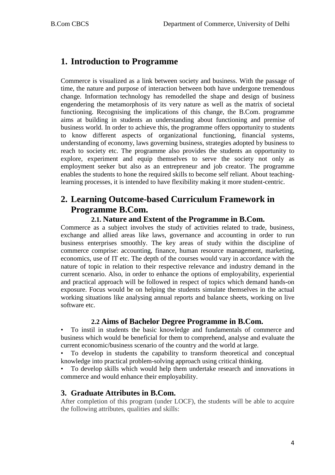# **1. Introduction to Programme**

Commerce is visualized as a link between society and business. With the passage of time, the nature and purpose of interaction between both have undergone tremendous change. Information technology has remodelled the shape and design of business engendering the metamorphosis of its very nature as well as the matrix of societal functioning. Recognising the implications of this change, the B.Com. programme aims at building in students an understanding about functioning and premise of business world. In order to achieve this, the programme offers opportunity to students to know different aspects of organizational functioning, financial systems, understanding of economy, laws governing business, strategies adopted by business to reach to society etc. The programme also provides the students an opportunity to explore, experiment and equip themselves to serve the society not only as employment seeker but also as an entrepreneur and job creator. The programme enables the students to hone the required skills to become self reliant. About teachinglearning processes, it is intended to have flexibility making it more student-centric.

# **2. Learning Outcome-based Curriculum Framework in Programme B.Com.**

## **2.1. Nature and Extent of the Programme in B.Com.**

Commerce as a subject involves the study of activities related to trade, business, exchange and allied areas like laws, governance and accounting in order to run business enterprises smoothly. The key areas of study within the discipline of commerce comprise: accounting, finance, human resource management, marketing, economics, use of IT etc. The depth of the courses would vary in accordance with the nature of topic in relation to their respective relevance and industry demand in the current scenario. Also, in order to enhance the options of employability, experiential and practical approach will be followed in respect of topics which demand hands-on exposure. Focus would be on helping the students simulate themselves in the actual working situations like analysing annual reports and balance sheets, working on live software etc.

## **2.2 Aims of Bachelor Degree Programme in B.Com.**

• To instil in students the basic knowledge and fundamentals of commerce and business which would be beneficial for them to comprehend, analyse and evaluate the current economic/business scenario of the country and the world at large.

• To develop in students the capability to transform theoretical and conceptual knowledge into practical problem-solving approach using critical thinking.

• To develop skills which would help them undertake research and innovations in commerce and would enhance their employability.

# **3. Graduate Attributes in B.Com.**

After completion of this program (under LOCF), the students will be able to acquire the following attributes, qualities and skills: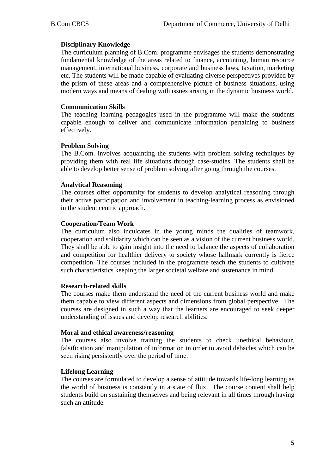#### **Disciplinary Knowledge**

The curriculum planning of B.Com. programme envisages the students demonstrating fundamental knowledge of the areas related to finance, accounting, human resource management, international business, corporate and business laws, taxation, marketing etc. The students will be made capable of evaluating diverse perspectives provided by the prism of these areas and a comprehensive picture of business situations, using modern ways and means of dealing with issues arising in the dynamic business world.

#### **Communication Skills**

The teaching learning pedagogies used in the programme will make the students capable enough to deliver and communicate information pertaining to business effectively.

#### **Problem Solving**

The B.Com. involves acquainting the students with problem solving techniques by providing them with real life situations through case-studies. The students shall be able to develop better sense of problem solving after going through the courses.

#### **Analytical Reasoning**

The courses offer opportunity for students to develop analytical reasoning through their active participation and involvement in teaching-learning process as envisioned in the student centric approach.

#### **Cooperation/Team Work**

The curriculum also inculcates in the young minds the qualities of teamwork, cooperation and solidarity which can be seen as a vision of the current business world. They shall be able to gain insight into the need to balance the aspects of collaboration and competition for healthier delivery to society whose hallmark currently is fierce competition. The courses included in the programme teach the students to cultivate such characteristics keeping the larger societal welfare and sustenance in mind.

#### **Research-related skills**

The courses make them understand the need of the current business world and make them capable to view different aspects and dimensions from global perspective. The courses are designed in such a way that the learners are encouraged to seek deeper understanding of issues and develop research abilities.

#### **Moral and ethical awareness/reasoning**

The courses also involve training the students to check unethical behaviour, falsification and manipulation of information in order to avoid debacles which can be seen rising persistently over the period of time.

#### **Lifelong Learning**

The courses are formulated to develop a sense of attitude towards life-long learning as the world of business is constantly in a state of flux. The course content shall help students build on sustaining themselves and being relevant in all times through having such an attitude.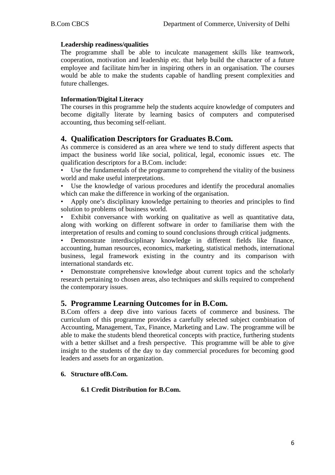#### **Leadership readiness/qualities**

The programme shall be able to inculcate management skills like teamwork, cooperation, motivation and leadership etc. that help build the character of a future employee and facilitate him/her in inspiring others in an organisation. The courses would be able to make the students capable of handling present complexities and future challenges.

#### **Information/Digital Literacy**

The courses in this programme help the students acquire knowledge of computers and become digitally literate by learning basics of computers and computerised accounting, thus becoming self-reliant.

# **4. Qualification Descriptors for Graduates B.Com.**

As commerce is considered as an area where we tend to study different aspects that impact the business world like social, political, legal, economic issues etc. The qualification descriptors for a B.Com. include:

- Use the fundamentals of the programme to comprehend the vitality of the business world and make useful interpretations.
- Use the knowledge of various procedures and identify the procedural anomalies which can make the difference in working of the organisation.
- Apply one's disciplinary knowledge pertaining to theories and principles to find solution to problems of business world.

Exhibit conversance with working on qualitative as well as quantitative data, along with working on different software in order to familiarise them with the interpretation of results and coming to sound conclusions through critical judgments.

• Demonstrate interdisciplinary knowledge in different fields like finance, accounting, human resources, economics, marketing, statistical methods, international business, legal framework existing in the country and its comparison with international standards etc.

• Demonstrate comprehensive knowledge about current topics and the scholarly research pertaining to chosen areas, also techniques and skills required to comprehend the contemporary issues.

## **5. Programme Learning Outcomes for in B.Com.**

B.Com offers a deep dive into various facets of commerce and business. The curriculum of this programme provides a carefully selected subject combination of Accounting, Management, Tax, Finance, Marketing and Law. The programme will be able to make the students blend theoretical concepts with practice, furthering students with a better skillset and a fresh perspective. This programme will be able to give insight to the students of the day to day commercial procedures for becoming good leaders and assets for an organization.

#### **6. Structure ofB.Com.**

#### **6.1 Credit Distribution for B.Com.**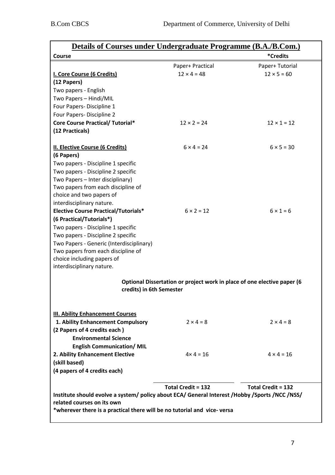| <b>Details of Courses under Undergraduate Programme (B.A./B.Com.)</b>                               |                           |                           |  |  |
|-----------------------------------------------------------------------------------------------------|---------------------------|---------------------------|--|--|
| Course                                                                                              |                           | <i><b>*Credits</b></i>    |  |  |
|                                                                                                     | Paper+ Practical          | Paper+ Tutorial           |  |  |
| I. Core Course (6 Credits)                                                                          | $12 \times 4 = 48$        | $12 \times 5 = 60$        |  |  |
| (12 Papers)                                                                                         |                           |                           |  |  |
| Two papers - English                                                                                |                           |                           |  |  |
| Two Papers - Hindi/MIL                                                                              |                           |                           |  |  |
| Four Papers- Discipline 1                                                                           |                           |                           |  |  |
| Four Papers- Discipline 2                                                                           |                           |                           |  |  |
| <b>Core Course Practical/ Tutorial*</b>                                                             | $12 \times 2 = 24$        | $12 \times 1 = 12$        |  |  |
| (12 Practicals)                                                                                     |                           |                           |  |  |
|                                                                                                     |                           |                           |  |  |
| <b>II. Elective Course (6 Credits)</b>                                                              | $6 \times 4 = 24$         | $6 \times 5 = 30$         |  |  |
| (6 Papers)                                                                                          |                           |                           |  |  |
| Two papers - Discipline 1 specific                                                                  |                           |                           |  |  |
| Two papers - Discipline 2 specific                                                                  |                           |                           |  |  |
| Two Papers - Inter disciplinary)                                                                    |                           |                           |  |  |
| Two papers from each discipline of                                                                  |                           |                           |  |  |
| choice and two papers of                                                                            |                           |                           |  |  |
| interdisciplinary nature.                                                                           |                           |                           |  |  |
| <b>Elective Course Practical/Tutorials*</b>                                                         | $6 \times 2 = 12$         | $6 \times 1 = 6$          |  |  |
| (6 Practical/Tutorials*)                                                                            |                           |                           |  |  |
| Two papers - Discipline 1 specific                                                                  |                           |                           |  |  |
| Two papers - Discipline 2 specific                                                                  |                           |                           |  |  |
| Two Papers - Generic (Interdisciplinary)                                                            |                           |                           |  |  |
| Two papers from each discipline of<br>choice including papers of                                    |                           |                           |  |  |
| interdisciplinary nature.                                                                           |                           |                           |  |  |
|                                                                                                     |                           |                           |  |  |
| Optional Dissertation or project work in place of one elective paper (6<br>credits) in 6th Semester |                           |                           |  |  |
| <b>III. Ability Enhancement Courses</b>                                                             |                           |                           |  |  |
| 1. Ability Enhancement Compulsory                                                                   | $2 \times 4 = 8$          | $2 \times 4 = 8$          |  |  |
| (2 Papers of 4 credits each)                                                                        |                           |                           |  |  |
| <b>Environmental Science</b>                                                                        |                           |                           |  |  |
| <b>English Communication/MIL</b>                                                                    |                           |                           |  |  |
| 2. Ability Enhancement Elective                                                                     | $4 \times 4 = 16$         | $4 \times 4 = 16$         |  |  |
| (skill based)                                                                                       |                           |                           |  |  |
| (4 papers of 4 credits each)                                                                        |                           |                           |  |  |
|                                                                                                     |                           |                           |  |  |
|                                                                                                     | <b>Total Credit = 132</b> | <b>Total Credit = 132</b> |  |  |
| Institute should evolve a system/ policy about ECA/ General Interest /Hobby /Sports /NCC /NSS/      |                           |                           |  |  |
| related courses on its own                                                                          |                           |                           |  |  |
| *wherever there is a practical there will be no tutorial and vice-versa                             |                           |                           |  |  |
|                                                                                                     |                           |                           |  |  |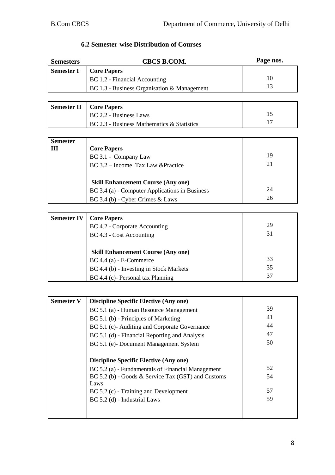| <b>6.2 Semester-wise Distribution of Courses</b> |  |
|--------------------------------------------------|--|
|--------------------------------------------------|--|

| <b>Semesters</b>   | <b>CBCS B.COM.</b>                                         | Page nos. |
|--------------------|------------------------------------------------------------|-----------|
| <b>Semester I</b>  | <b>Core Papers</b>                                         |           |
|                    | BC 1.2 - Financial Accounting                              | 10        |
|                    | BC 1.3 - Business Organisation & Management                | 13        |
|                    |                                                            |           |
| <b>Semester II</b> | <b>Core Papers</b>                                         |           |
|                    | BC 2.2 - Business Laws                                     | 15        |
|                    | BC 2.3 - Business Mathematics & Statistics                 | 17        |
|                    |                                                            |           |
| <b>Semester</b>    |                                                            |           |
| Ш                  | <b>Core Papers</b>                                         |           |
|                    | BC 3.1 - Company Law                                       | 19<br>21  |
|                    | BC 3.2 – Income Tax Law & Practice                         |           |
|                    |                                                            |           |
|                    | <b>Skill Enhancement Course (Any one)</b>                  | 24        |
|                    | BC 3.4 (a) - Computer Applications in Business             | 26        |
|                    | BC 3.4 (b) - Cyber Crimes & Laws                           |           |
|                    |                                                            |           |
| <b>Semester IV</b> | <b>Core Papers</b>                                         | 29        |
|                    | BC 4.2 - Corporate Accounting                              | 31        |
|                    | BC 4.3 - Cost Accounting                                   |           |
|                    | <b>Skill Enhancement Course (Any one)</b>                  |           |
|                    | $BC 4.4$ (a) - E-Commerce                                  | 33        |
|                    | BC 4.4 (b) - Investing in Stock Markets                    | 35        |
|                    | BC 4.4 (c)- Personal tax Planning                          | 37        |
|                    |                                                            |           |
|                    |                                                            |           |
| <b>Semester V</b>  | <b>Discipline Specific Elective (Any one)</b>              |           |
|                    | BC 5.1 (a) - Human Resource Management                     | 39        |
|                    | BC 5.1 (b) - Principles of Marketing                       | 41        |
|                    | BC 5.1 (c)-Auditing and Corporate Governance               | 44        |
|                    | BC 5.1 (d) - Financial Reporting and Analysis              | 47        |
|                    | BC 5.1 (e)-Document Management System                      | 50        |
|                    |                                                            |           |
|                    | <b>Discipline Specific Elective (Any one)</b>              |           |
|                    | BC 5.2 (a) - Fundamentals of Financial Management          | 52        |
|                    | BC 5.2 (b) - Goods & Service Tax (GST) and Customs<br>Laws | 54        |
|                    | BC 5.2 (c) - Training and Development                      | 57        |
|                    | BC 5.2 (d) - Industrial Laws                               | 59        |
|                    |                                                            |           |
|                    |                                                            |           |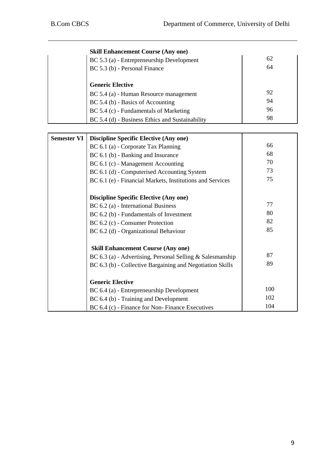|                    | <b>Skill Enhancement Course (Any one)</b>                 |     |
|--------------------|-----------------------------------------------------------|-----|
|                    | BC 5.3 (a) - Entrepreneurship Development                 | 62  |
|                    | BC 5.3 (b) - Personal Finance                             | 64  |
|                    |                                                           |     |
|                    | <b>Generic Elective</b>                                   |     |
|                    | BC 5.4 (a) - Human Resource management                    | 92  |
|                    | BC 5.4 (b) - Basics of Accounting                         | 94  |
|                    | BC 5.4 (c) - Fundamentals of Marketing                    | 96  |
|                    | BC 5.4 (d) - Business Ethics and Sustainability           | 98  |
|                    |                                                           |     |
| <b>Semester VI</b> | <b>Discipline Specific Elective (Any one)</b>             |     |
|                    | BC 6.1 (a) - Corporate Tax Planning                       | 66  |
|                    | BC 6.1 (b) - Banking and Insurance                        | 68  |
|                    | BC 6.1 (c) - Management Accounting                        | 70  |
|                    | BC 6.1 (d) - Computerised Accounting System               | 73  |
|                    | BC 6.1 (e) - Financial Markets, Institutions and Services | 75  |
|                    |                                                           |     |
|                    | <b>Discipline Specific Elective (Any one)</b>             |     |
|                    | BC 6.2 (a) - International Business                       | 77  |
|                    | BC 6.2 (b) - Fundamentals of Investment                   | 80  |
|                    | BC 6.2 (c) - Consumer Protection                          | 82  |
|                    | BC 6.2 (d) - Organizational Behaviour                     | 85  |
|                    |                                                           |     |
|                    | <b>Skill Enhancement Course (Any one)</b>                 |     |
|                    | BC 6.3 (a) - Advertising, Personal Selling & Salesmanship | 87  |
|                    | BC 6.3 (b) - Collective Bargaining and Negotiation Skills | 89  |
|                    |                                                           |     |
|                    | <b>Generic Elective</b>                                   |     |
|                    | BC 6.4 (a) - Entrepreneurship Development                 | 100 |
|                    | BC 6.4 (b) - Training and Development                     | 102 |
|                    | BC 6.4 (c) - Finance for Non-Finance Executives           | 104 |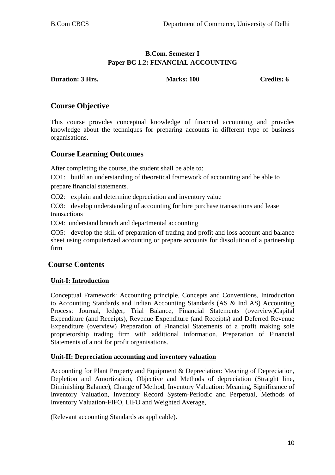# **B.Com. Semester I Paper BC 1.2: FINANCIAL ACCOUNTING**

**Duration: 3 Hrs.** Marks: 100 Credits: 6

# **Course Objective**

This course provides conceptual knowledge of financial accounting and provides knowledge about the techniques for preparing accounts in different type of business organisations.

# **Course Learning Outcomes**

After completing the course, the student shall be able to:

CO1: build an understanding of theoretical framework of accounting and be able to prepare financial statements.

CO2: explain and determine depreciation and inventory value

CO3: develop understanding of accounting for hire purchase transactions and lease transactions

CO4: understand branch and departmental accounting

CO5: develop the skill of preparation of trading and profit and loss account and balance sheet using computerized accounting or prepare accounts for dissolution of a partnership firm

# **Course Contents**

## **Unit-I: Introduction**

Conceptual Framework: Accounting principle, Concepts and Conventions, Introduction to Accounting Standards and Indian Accounting Standards (AS & Ind AS) Accounting Process: Journal, ledger, Trial Balance, Financial Statements (overview)Capital Expenditure (and Receipts), Revenue Expenditure (and Receipts) and Deferred Revenue Expenditure (overview) Preparation of Financial Statements of a profit making sole proprietorship trading firm with additional information. Preparation of Financial Statements of a not for profit organisations.

#### **Unit-II: Depreciation accounting and inventory valuation**

Accounting for Plant Property and Equipment & Depreciation: Meaning of Depreciation, Depletion and Amortization, Objective and Methods of depreciation (Straight line, Diminishing Balance), Change of Method, Inventory Valuation: Meaning, Significance of Inventory Valuation, Inventory Record System-Periodic and Perpetual, Methods of Inventory Valuation-FIFO, LIFO and Weighted Average,

(Relevant accounting Standards as applicable).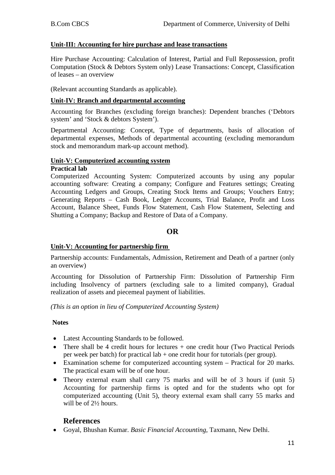#### **Unit-III: Accounting for hire purchase and lease transactions**

Hire Purchase Accounting: Calculation of Interest, Partial and Full Repossession, profit Computation (Stock & Debtors System only) Lease Transactions: Concept, Classification of leases – an overview

(Relevant accounting Standards as applicable).

#### **Unit-IV: Branch and departmental accounting**

Accounting for Branches (excluding foreign branches): Dependent branches ('Debtors system' and 'Stock & debtors System').

Departmental Accounting: Concept, Type of departments, basis of allocation of departmental expenses, Methods of departmental accounting (excluding memorandum stock and memorandum mark-up account method).

# **Unit-V: Computerized accounting system**

#### **Practical lab**

Computerized Accounting System: Computerized accounts by using any popular accounting software: Creating a company; Configure and Features settings; Creating Accounting Ledgers and Groups, Creating Stock Items and Groups; Vouchers Entry; Generating Reports – Cash Book, Ledger Accounts, Trial Balance, Profit and Loss Account, Balance Sheet, Funds Flow Statement, Cash Flow Statement, Selecting and Shutting a Company; Backup and Restore of Data of a Company.

## **OR**

#### **Unit-V: Accounting for partnership firm**

Partnership accounts: Fundamentals, Admission, Retirement and Death of a partner (only an overview)

Accounting for Dissolution of Partnership Firm: Dissolution of Partnership Firm including Insolvency of partners (excluding sale to a limited company), Gradual realization of assets and piecemeal payment of liabilities.

*(This is an option in lieu of Computerized Accounting System)*

#### **Notes**

- Latest Accounting Standards to be followed.
- There shall be 4 credit hours for lectures + one credit hour (Two Practical Periods per week per batch) for practical lab + one credit hour for tutorials (per group).
- Examination scheme for computerized accounting system Practical for 20 marks. The practical exam will be of one hour.
- Theory external exam shall carry 75 marks and will be of 3 hours if (unit 5) Accounting for partnership firms is opted and for the students who opt for computerized accounting (Unit 5), theory external exam shall carry 55 marks and will be of 2½ hours.

## **References**

• Goyal, Bhushan Kumar. *Basic Financial Accounting,* Taxmann, New Delhi.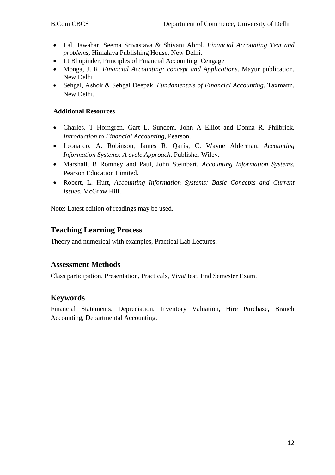- Lal, Jawahar, Seema Srivastava & Shivani Abrol. *Financial Accounting Text and problems,* Himalaya Publishing House, New Delhi.
- Lt Bhupinder, Principles of Financial Accounting, Cengage
- Monga, J. R. *Financial Accounting: concept and Applications*. Mayur publication, New Delhi
- Sehgal, Ashok & Sehgal Deepak. *Fundamentals of Financial Accounting.* Taxmann, New Delhi.

## **Additional Resources**

- Charles, T Horngren, Gart L. Sundem, John A Elliot and Donna R. Philbrick. *Introduction to Financial Accounting,* Pearson.
- Leonardo, A. Robinson, James R. Qanis, C. Wayne Alderman, *Accounting Information Systems: A cycle Approach*. Publisher Wiley.
- Marshall, B Romney and Paul, John Steinbart, *Accounting Information Systems*, Pearson Education Limited.
- Robert, L. Hurt, *Accounting Information Systems: Basic Concepts and Current Issues*, McGraw Hill.

Note: Latest edition of readings may be used.

# **Teaching Learning Process**

Theory and numerical with examples, Practical Lab Lectures.

# **Assessment Methods**

Class participation, Presentation, Practicals, Viva/ test, End Semester Exam.

# **Keywords**

Financial Statements, Depreciation, Inventory Valuation, Hire Purchase, Branch Accounting, Departmental Accounting.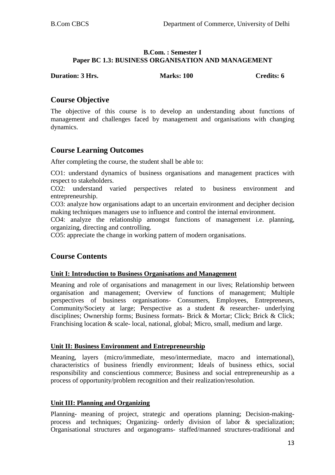#### **B.Com. : Semester I Paper BC 1.3: BUSINESS ORGANISATION AND MANAGEMENT**

**Duration: 3 Hrs. Marks: 100 Credits: 6 Credits: 6** 

# **Course Objective**

The objective of this course is to develop an understanding about functions of management and challenges faced by management and organisations with changing dynamics.

# **Course Learning Outcomes**

After completing the course, the student shall be able to:

CO1: understand dynamics of business organisations and management practices with respect to stakeholders.

CO2: understand varied perspectives related to business environment and entrepreneurship.

CO3: analyze how organisations adapt to an uncertain environment and decipher decision making techniques managers use to influence and control the internal environment.

CO4: analyze the relationship amongst functions of management i.e. planning, organizing, directing and controlling.

CO5: appreciate the change in working pattern of modern organisations.

# **Course Contents**

#### **Unit I: Introduction to Business Organisations and Management**

Meaning and role of organisations and management in our lives; Relationship between organisation and management; Overview of functions of management; Multiple perspectives of business organisations- Consumers, Employees, Entrepreneurs, Community/Society at large; Perspective as a student & researcher- underlying disciplines; Ownership forms; Business formats- Brick & Mortar; Click; Brick & Click; Franchising location & scale- local, national, global; Micro, small, medium and large.

#### **Unit II: Business Environment and Entrepreneurship**

Meaning, layers (micro/immediate, meso/intermediate, macro and international), characteristics of business friendly environment; Ideals of business ethics, social responsibility and conscientious commerce; Business and social entrepreneurship as a process of opportunity/problem recognition and their realization/resolution.

#### **Unit III: Planning and Organizing**

Planning- meaning of project, strategic and operations planning; Decision-makingprocess and techniques; Organizing- orderly division of labor & specialization; Organisational structures and organograms- staffed/manned structures-traditional and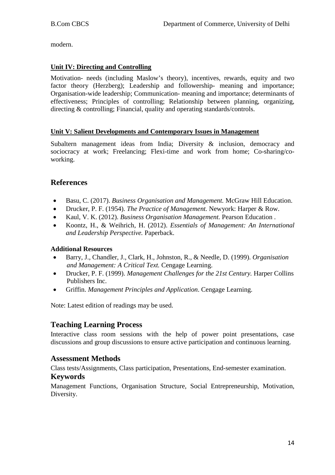modern.

## **Unit IV: Directing and Controlling**

Motivation- needs (including Maslow's theory), incentives, rewards, equity and two factor theory (Herzberg); Leadership and followership- meaning and importance; Organisation-wide leadership; Communication- meaning and importance; determinants of effectiveness; Principles of controlling; Relationship between planning, organizing, directing & controlling; Financial, quality and operating standards/controls.

## **Unit V: Salient Developments and Contemporary Issues in Management**

Subaltern management ideas from India; Diversity & inclusion, democracy and sociocracy at work; Freelancing; Flexi-time and work from home; Co-sharing/coworking.

# **References**

- Basu, C. (2017). *Business Organisation and Management.* McGraw Hill Education.
- Drucker, P. F. (1954). *The Practice of Management.* Newyork: Harper & Row.
- Kaul, V. K. (2012). *Business Organisation Management.* Pearson Education .
- Koontz, H., & Weihrich, H. (2012). *Essentials of Management: An International and Leadership Perspective.* Paperback.

#### **Additional Resources**

- Barry, J., Chandler, J., Clark, H., Johnston, R., & Needle, D. (1999). *Organisation and Management: A Critical Text.* Cengage Learning.
- Drucker, P. F. (1999). *Management Challenges for the 21st Century.* Harper Collins Publishers Inc.
- Griffin. *Management Principles and Application*. Cengage Learning.

Note: Latest edition of readings may be used.

# **Teaching Learning Process**

Interactive class room sessions with the help of power point presentations, case discussions and group discussions to ensure active participation and continuous learning.

## **Assessment Methods**

Class tests/Assignments, Class participation, Presentations, End-semester examination.

## **Keywords**

Management Functions, Organisation Structure, Social Entrepreneurship, Motivation, Diversity.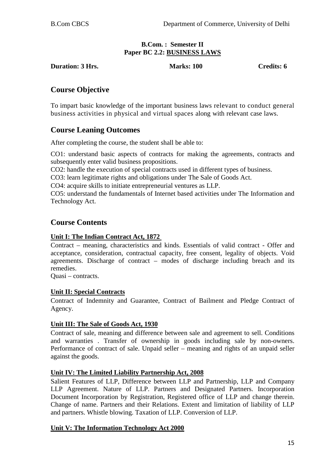#### **B.Com. : Semester II Paper BC 2.2: BUSINESS LAWS**

**Duration: 3 Hrs. Marks: 100 Credits: 6**

# **Course Objective**

To impart basic knowledge of the important business laws relevant to conduct general business activities in physical and virtual spaces along with relevant case laws.

# **Course Leaning Outcomes**

After completing the course, the student shall be able to:

CO1: understand basic aspects of contracts for making the agreements, contracts and subsequently enter valid business propositions.

CO2: handle the execution of special contracts used in different types of business.

CO3: learn legitimate rights and obligations under The Sale of Goods Act.

CO4: acquire skills to initiate entrepreneurial ventures as LLP.

CO5: understand the fundamentals of Internet based activities under The Information and Technology Act.

# **Course Contents**

#### **Unit I: The Indian Contract Act, 1872**

Contract – meaning, characteristics and kinds. Essentials of valid contract - Offer and acceptance, consideration, contractual capacity, free consent, legality of objects. Void agreements. Discharge of contract – modes of discharge including breach and its remedies.

Quasi – contracts.

#### **Unit II: Special Contracts**

Contract of Indemnity and Guarantee, Contract of Bailment and Pledge Contract of Agency.

#### **Unit III: The Sale of Goods Act, 1930**

Contract of sale, meaning and difference between sale and agreement to sell. Conditions and warranties . Transfer of ownership in goods including sale by non-owners. Performance of contract of sale. Unpaid seller – meaning and rights of an unpaid seller against the goods.

#### **Unit IV: The Limited Liability Partnership Act, 2008**

Salient Features of LLP, Difference between LLP and Partnership, LLP and Company LLP Agreement. Nature of LLP. Partners and Designated Partners. Incorporation Document Incorporation by Registration, Registered office of LLP and change therein. Change of name. Partners and their Relations. Extent and limitation of liability of LLP and partners. Whistle blowing. Taxation of LLP. Conversion of LLP.

#### **Unit V: The Information Technology Act 2000**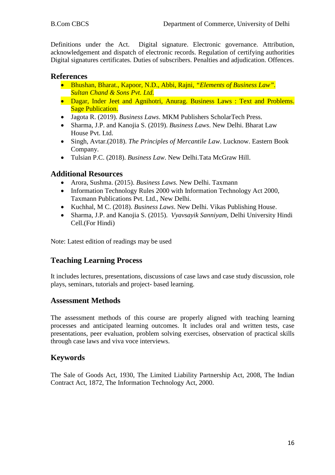Definitions under the Act. Digital signature. Electronic governance. Attribution, acknowledgement and dispatch of electronic records. Regulation of certifying authorities Digital signatures certificates. Duties of subscribers. Penalties and adjudication. Offences.

# **References**

- Bhushan, Bharat., Kapoor, N.D., Abbi, Rajni, *"Elements of Business Law". Sultan Chand & Sons Pvt. Ltd.*
- Dagar, Inder Jeet and Agnihotri, Anurag. Business Laws : Text and Problems. **Sage Publication.**
- Jagota R. (2019). *Business Laws*. MKM Publishers ScholarTech Press.
- Sharma, J.P. and Kanojia S. (2019). *Business Laws*. New Delhi. Bharat Law House Pvt. Ltd.
- Singh, Avtar.(2018). *The Principles of Mercantile Law*. Lucknow. Eastern Book Company.
- Tulsian P.C. (2018). *Business Law*. New Delhi.Tata McGraw Hill.

# **Additional Resources**

- Arora, Sushma. (2015). *Business Laws.* New Delhi. Taxmann
- Information Technology Rules 2000 with Information Technology Act 2000, Taxmann Publications Pvt. Ltd., New Delhi.
- Kuchhal, M C. (2018). *Business Laws*. New Delhi. Vikas Publishing House.
- Sharma, J.P. and Kanojia S. (2015). *Vyavsayik Sanniyam,* Delhi University Hindi Cell.(For Hindi)

Note: Latest edition of readings may be used

# **Teaching Learning Process**

It includes lectures, presentations, discussions of case laws and case study discussion, role plays, seminars, tutorials and project- based learning.

# **Assessment Methods**

The assessment methods of this course are properly aligned with teaching learning processes and anticipated learning outcomes. It includes oral and written tests, case presentations, peer evaluation, problem solving exercises, observation of practical skills through case laws and viva voce interviews.

# **Keywords**

The Sale of Goods Act, 1930, The Limited Liability Partnership Act, 2008, The Indian Contract Act, 1872, The Information Technology Act, 2000.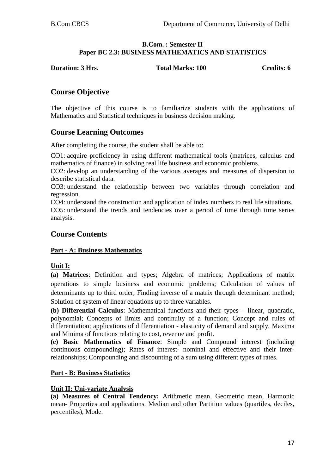#### **B.Com. : Semester II Paper BC 2.3: BUSINESS MATHEMATICS AND STATISTICS**

**Duration: 3 Hrs.** Total Marks: 100 Credits: 6

# **Course Objective**

The objective of this course is to familiarize students with the applications of Mathematics and Statistical techniques in business decision making.

# **Course Learning Outcomes**

After completing the course, the student shall be able to:

CO1: acquire proficiency in using different mathematical tools (matrices, calculus and mathematics of finance) in solving real life business and economic problems.

CO2: develop an understanding of the various averages and measures of dispersion to describe statistical data.

CO3: understand the relationship between two variables through correlation and regression.

CO4: understand the construction and application of index numbers to real life situations.

CO5: understand the trends and tendencies over a period of time through time series analysis.

# **Course Contents**

## **Part - A: Business Mathematics**

**Unit I:** 

**(a) Matrices**: Definition and types; Algebra of matrices; Applications of matrix operations to simple business and economic problems; Calculation of values of determinants up to third order; Finding inverse of a matrix through determinant method; Solution of system of linear equations up to three variables.

**(b) Differential Calculus**: Mathematical functions and their types – linear, quadratic, polynomial; Concepts of limits and continuity of a function; Concept and rules of differentiation; applications of differentiation - elasticity of demand and supply, Maxima and Minima of functions relating to cost, revenue and profit.

**(c) Basic Mathematics of Finance**: Simple and Compound interest (including continuous compounding); Rates of interest- nominal and effective and their interrelationships; Compounding and discounting of a sum using different types of rates.

## **Part - B: Business Statistics**

## **Unit II: Uni-variate Analysis**

**(a) Measures of Central Tendency:** Arithmetic mean, Geometric mean, Harmonic mean- Properties and applications. Median and other Partition values (quartiles, deciles, percentiles), Mode.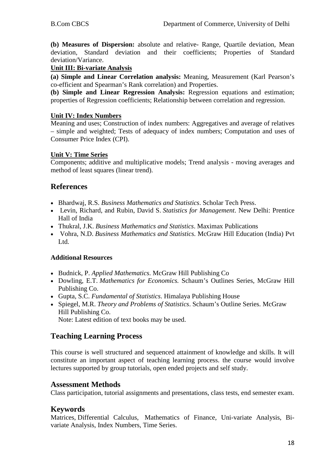**(b) Measures of Dispersion:** absolute and relative- Range, Quartile deviation, Mean deviation, Standard deviation and their coefficients; Properties of Standard deviation/Variance.

#### **Unit III: Bi-variate Analysis**

**(a) Simple and Linear Correlation analysis:** Meaning, Measurement (Karl Pearson's co-efficient and Spearman's Rank correlation) and Properties.

**(b) Simple and Linear Regression Analysis:** Regression equations and estimation; properties of Regression coefficients; Relationship between correlation and regression.

#### **Unit IV: Index Numbers**

Meaning and uses; Construction of index numbers: Aggregatives and average of relatives – simple and weighted; Tests of adequacy of index numbers; Computation and uses of Consumer Price Index (CPI).

## **Unit V: Time Series**

Components; additive and multiplicative models; Trend analysis - moving averages and method of least squares (linear trend).

# **References**

- Bhardwaj, R.S. *Business Mathematics and Statistics*. Scholar Tech Press.
- Levin, Richard, and Rubin, David S. *Statistics for Management*. New Delhi: Prentice Hall of India
- Thukral, J.K. *Business Mathematics and Statistics*. Maximax Publications
- Vohra, N.D. *Business Mathematics and Statistics*. McGraw Hill Education (India) Pvt Ltd.

#### **Additional Resources**

- Budnick, P. *Applied Mathematics*. McGraw Hill Publishing Co
- Dowling, E.T. *Mathematics for Economics.* Schaum's Outlines Series, McGraw Hill Publishing Co.
- Gupta, S.C. *Fundamental of Statistics*. Himalaya Publishing House
- Spiegel, M.R. *Theory and Problems of Statistics*. Schaum's Outline Series. McGraw Hill Publishing Co.

Note: Latest edition of text books may be used.

# **Teaching Learning Process**

This course is well structured and sequenced attainment of knowledge and skills. It will constitute an important aspect of teaching learning process. the course would involve lectures supported by group tutorials, open ended projects and self study.

## **Assessment Methods**

Class participation, tutorial assignments and presentations, class tests, end semester exam.

## **Keywords**

Matrices, Differential Calculus, Mathematics of Finance, Uni-variate Analysis, Bivariate Analysis, Index Numbers, Time Series.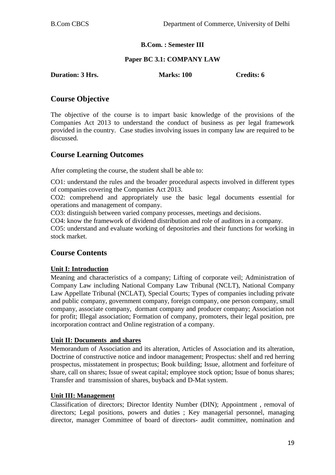#### **B.Com. : Semester III**

#### **Paper BC 3.1: COMPANY LAW**

**Duration: 3 Hrs.** Marks: 100 Credits: 6

# **Course Objective**

The objective of the course is to impart basic knowledge of the provisions of the Companies Act 2013 to understand the conduct of business as per legal framework provided in the country. Case studies involving issues in company law are required to be discussed.

# **Course Learning Outcomes**

After completing the course, the student shall be able to:

CO1: understand the rules and the broader procedural aspects involved in different types of companies covering the Companies Act 2013.

CO2: comprehend and appropriately use the basic legal documents essential for operations and management of company.

CO3: distinguish between varied company processes, meetings and decisions.

CO4: know the framework of dividend distribution and role of auditors in a company.

CO5: understand and evaluate working of depositories and their functions for working in stock market.

# **Course Contents**

#### **Unit I: Introduction**

Meaning and characteristics of a company; Lifting of corporate veil; Administration of Company Law including National Company Law Tribunal (NCLT), National Company Law Appellate Tribunal (NCLAT), Special Courts; Types of companies including private and public company, government company, foreign company, one person company, small company, associate company, dormant company and producer company; Association not for profit; Illegal association; Formation of company, promoters, their legal position, pre incorporation contract and Online registration of a company.

#### **Unit II: Documents and shares**

Memorandum of Association and its alteration, Articles of Association and its alteration, Doctrine of constructive notice and indoor management; Prospectus: shelf and red herring prospectus, misstatement in prospectus; Book building; Issue, allotment and forfeiture of share, call on shares; Issue of sweat capital; employee stock option; Issue of bonus shares; Transfer and transmission of shares, buyback and D-Mat system.

#### **Unit III: Management**

Classification of directors; Director Identity Number (DIN); Appointment , removal of directors; Legal positions, powers and duties ; Key managerial personnel, managing director, manager Committee of board of directors- audit committee, nomination and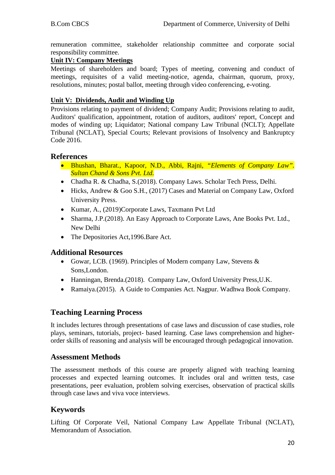remuneration committee, stakeholder relationship committee and corporate social responsibility committee.

## **Unit IV: Company Meetings**

Meetings of shareholders and board; Types of meeting, convening and conduct of meetings, requisites of a valid meeting-notice, agenda, chairman, quorum, proxy, resolutions, minutes; postal ballot, meeting through video conferencing, e-voting.

## **Unit V: Dividends, Audit and Winding Up**

Provisions relating to payment of dividend; Company Audit; Provisions relating to audit, Auditors' qualification, appointment, rotation of auditors, auditors' report, Concept and modes of winding up; Liquidator; National company Law Tribunal (NCLT); Appellate Tribunal (NCLAT), Special Courts; Relevant provisions of Insolvency and Bankruptcy Code 2016.

## **References**

- Bhushan, Bharat., Kapoor, N.D., Abbi, Rajni, *"Elements of Company Law". Sultan Chand & Sons Pvt. Ltd.*
- Chadha R. & Chadha, S.(2018). Company Laws. Scholar Tech Press, Delhi.
- Hicks, Andrew & Goo S.H., (2017) Cases and Material on Company Law, Oxford University Press.
- Kumar, A., (2019)Corporate Laws, Taxmann Pvt Ltd
- Sharma, J.P.(2018). An Easy Approach to Corporate Laws, Ane Books Pvt. Ltd., New Delhi
- The Depositories Act, 1996. Bare Act.

## **Additional Resources**

- Gowar, LCB. (1969). Principles of Modern company Law, Stevens & Sons,London.
- Hanningan, Brenda.(2018). Company Law, Oxford University Press,U.K.
- Ramaiya.(2015). A Guide to Companies Act. Nagpur. Wadhwa Book Company.

# **Teaching Learning Process**

It includes lectures through presentations of case laws and discussion of case studies, role plays, seminars, tutorials, project- based learning. Case laws comprehension and higherorder skills of reasoning and analysis will be encouraged through pedagogical innovation.

## **Assessment Methods**

The assessment methods of this course are properly aligned with teaching learning processes and expected learning outcomes. It includes oral and written tests, case presentations, peer evaluation, problem solving exercises, observation of practical skills through case laws and viva voce interviews.

# **Keywords**

Lifting Of Corporate Veil, National Company Law Appellate Tribunal (NCLAT), Memorandum of Association.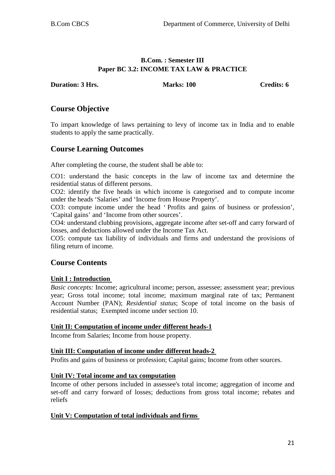# **B.Com. : Semester III Paper BC 3.2: INCOME TAX LAW & PRACTICE**

**Duration: 3 Hrs.** Marks: 100 Credits: 6

# **Course Objective**

To impart knowledge of laws pertaining to levy of income tax in India and to enable students to apply the same practically.

# **Course Learning Outcomes**

After completing the course, the student shall be able to:

CO1: understand the basic concepts in the law of income tax and determine the residential status of different persons.

CO2: identify the five heads in which income is categorised and to compute income under the heads 'Salaries' and 'Income from House Property'.

CO3: compute income under the head ' Profits and gains of business or profession', 'Capital gains' and 'Income from other sources'.

CO4: understand clubbing provisions, aggregate income after set-off and carry forward of losses, and deductions allowed under the Income Tax Act.

CO5: compute tax liability of individuals and firms and understand the provisions of filing return of income.

# **Course Contents**

## **Unit I : Introduction**

*Basic concepts:* Income; agricultural income; person, assessee; assessment year; previous year; Gross total income; total income; maximum marginal rate of tax; Permanent Account Number (PAN); *Residential status*; Scope of total income on the basis of residential status; Exempted income under section 10.

## **Unit II: Computation of income under different heads-1**

Income from Salaries; Income from house property.

#### **Unit III: Computation of income under different heads-2**

Profits and gains of business or profession; Capital gains; Income from other sources.

## **Unit IV: Total income and tax computation**

Income of other persons included in assessee's total income; aggregation of income and set-off and carry forward of losses; deductions from gross total income; rebates and reliefs

## **Unit V: Computation of total individuals and firms**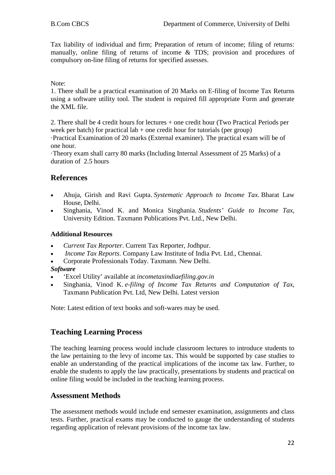Tax liability of individual and firm; Preparation of return of income; filing of returns: manually, online filing of returns of income & TDS; provision and procedures of compulsory on-line filing of returns for specified assesses.

Note:

1. There shall be a practical examination of 20 Marks on E-filing of Income Tax Returns using a software utility tool. The student is required fill appropriate Form and generate the XML file.

2. There shall be 4 credit hours for lectures + one credit hour (Two Practical Periods per week per batch) for practical lab  $+$  one credit hour for tutorials (per group)

·Practical Examination of 20 marks (External examiner). The practical exam will be of one hour.

·Theory exam shall carry 80 marks (Including Internal Assessment of 25 Marks) of a duration of 2.5 hours

# **References**

- Ahuja, Girish and Ravi Gupta. *Systematic Approach to Income Tax*. Bharat Law House, Delhi.
- Singhania, Vinod K. and Monica Singhania. *Students' Guide to Income Tax,*  University Edition. Taxmann Publications Pvt. Ltd., New Delhi.

#### **Additional Resources**

- *Current Tax Reporter*. Current Tax Reporter, Jodhpur.
- *Income Tax Reports*. Company Law Institute of India Pvt. Ltd., Chennai.
- Corporate Professionals Today. Taxmann. New Delhi.

#### *Software*

- 'Excel Utility' available at *incometaxindiaefiling.gov.in*
- Singhania, Vinod K. *e-filing of Income Tax Returns and Computation of Tax,* Taxmann Publication Pvt. Ltd, New Delhi. Latest version

Note: Latest edition of text books and soft-wares may be used.

## **Teaching Learning Process**

The teaching learning process would include classroom lectures to introduce students to the law pertaining to the levy of income tax. This would be supported by case studies to enable an understanding of the practical implications of the income tax law. Further, to enable the students to apply the law practically, presentations by students and practical on online filing would be included in the teaching learning process.

## **Assessment Methods**

The assessment methods would include end semester examination, assignments and class tests. Further, practical exams may be conducted to gauge the understanding of students regarding application of relevant provisions of the income tax law.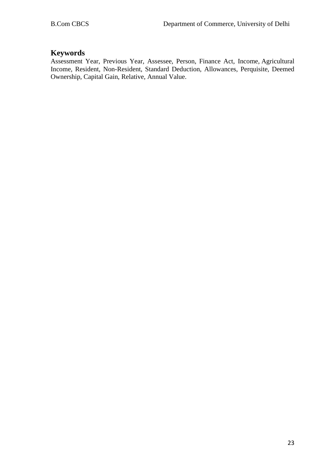# **Keywords**

Assessment Year, Previous Year, Assessee, Person, Finance Act, Income, Agricultural Income, Resident, Non-Resident, Standard Deduction, Allowances, Perquisite, Deemed Ownership, Capital Gain, Relative, Annual Value.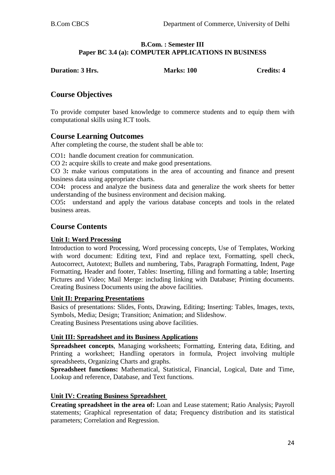#### **B.Com. : Semester III Paper BC 3.4 (a): COMPUTER APPLICATIONS IN BUSINESS**

| <b>Duration: 3 Hrs.</b> | <b>Marks: 100</b> | <b>Credits: 4</b> |
|-------------------------|-------------------|-------------------|
|                         |                   |                   |

# **Course Objectives**

To provide computer based knowledge to commerce students and to equip them with computational skills using ICT tools.

# **Course Learning Outcomes**

After completing the course, the student shall be able to:

CO1**:** handle document creation for communication.

CO 2**:** acquire skills to create and make good presentations.

CO 3**:** make various computations in the area of accounting and finance and present business data using appropriate charts.

CO4**:** process and analyze the business data and generalize the work sheets for better understanding of the business environment and decision making.

CO5**:** understand and apply the various database concepts and tools in the related business areas.

# **Course Contents**

#### **Unit I: Word Processing**

Introduction to word Processing, Word processing concepts, Use of Templates, Working with word document: Editing text, Find and replace text, Formatting, spell check, Autocorrect, Autotext; Bullets and numbering, Tabs, Paragraph Formatting, Indent, Page Formatting, Header and footer, Tables: Inserting, filling and formatting a table; Inserting Pictures and Video; Mail Merge: including linking with Database; Printing documents. Creating Business Documents using the above facilities.

#### **Unit II: Preparing Presentations**

Basics of presentations: Slides, Fonts, Drawing, Editing; Inserting: Tables, Images, texts, Symbols, Media; Design; Transition; Animation; and Slideshow. Creating Business Presentations using above facilities.

#### **Unit III: Spreadsheet and its Business Applications**

**Spreadsheet concepts**, Managing worksheets; Formatting, Entering data, Editing, and Printing a worksheet; Handling operators in formula, Project involving multiple spreadsheets, Organizing Charts and graphs.

**Spreadsheet functions:** Mathematical, Statistical, Financial, Logical, Date and Time, Lookup and reference, Database, and Text functions.

#### **Unit IV: Creating Business Spreadsheet**

**Creating spreadsheet in the area of:** Loan and Lease statement; Ratio Analysis; Payroll statements; Graphical representation of data; Frequency distribution and its statistical parameters; Correlation and Regression.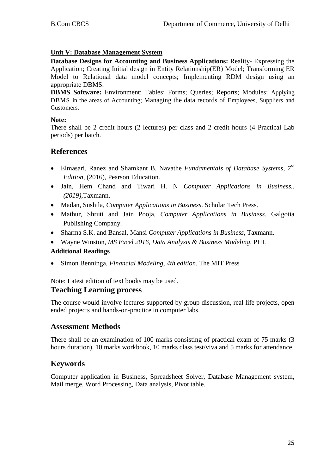## **Unit V: Database Management System**

**Database Designs for Accounting and Business Applications:** Reality- Expressing the Application; Creating Initial design in Entity Relationship(ER) Model; Transforming ER Model to Relational data model concepts; Implementing RDM design using an appropriate DBMS.

**DBMS Software:** Environment; Tables; Forms; Queries; Reports; Modules; Applying DBMS in the areas of Accounting; Managing the data records of Employees, Suppliers and Customers.

#### **Note:**

There shall be 2 credit hours (2 lectures) per class and 2 credit hours (4 Practical Lab periods) per batch.

## **References**

- Elmasari, Ranez and Shamkant B. Navathe *Fundamentals of Database Systems, 7th Edition,* (2016), Pearson Education.
- Jain, Hem Chand and Tiwari H. N *Computer Applications in Business.. (2019)*,Taxmann.
- Madan, Sushila, *Computer Applications in Business*. Scholar Tech Press.
- Mathur, Shruti and Jain Pooja, *Computer Applications in Business.* Galgotia Publishing Company.
- Sharma S.K. and Bansal, Mansi *Computer Applications in Business,* Taxmann.
- Wayne Winston, *MS Excel 2016, Data Analysis & Business Modeling*, PHI.

## **Additional Readings**

• Simon Benninga, *Financial Modeling, 4th edition*. The MIT Press

Note: Latest edition of text books may be used.

## **Teaching Learning process**

The course would involve lectures supported by group discussion, real life projects, open ended projects and hands-on-practice in computer labs.

## **Assessment Methods**

There shall be an examination of 100 marks consisting of practical exam of 75 marks (3 hours duration), 10 marks workbook, 10 marks class test/viva and 5 marks for attendance.

# **Keywords**

Computer application in Business, Spreadsheet Solver, Database Management system, Mail merge, Word Processing, Data analysis, Pivot table.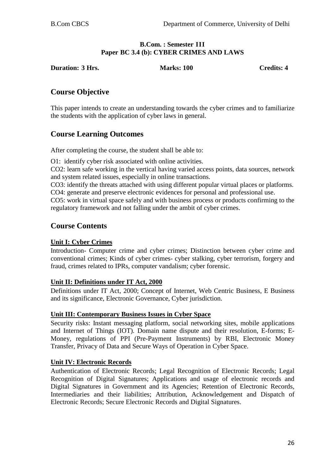#### **B.Com. : Semester III Paper BC 3.4 (b): CYBER CRIMES AND LAWS**

**Duration: 3 Hrs. Marks: 100 Credits: 4** 

# **Course Objective**

This paper intends to create an understanding towards the cyber crimes and to familiarize the students with the application of cyber laws in general.

# **Course Learning Outcomes**

After completing the course, the student shall be able to:

O1: identify cyber risk associated with online activities.

CO2: learn safe working in the vertical having varied access points, data sources, network and system related issues, especially in online transactions.

CO3: identify the threats attached with using different popular virtual places or platforms. CO4: generate and preserve electronic evidences for personal and professional use.

CO5: work in virtual space safely and with business process or products confirming to the regulatory framework and not falling under the ambit of cyber crimes.

# **Course Contents**

## **Unit I: Cyber Crimes**

Introduction- Computer crime and cyber crimes; Distinction between cyber crime and conventional crimes; Kinds of cyber crimes- cyber stalking, cyber terrorism, forgery and fraud, crimes related to IPRs, computer vandalism; cyber forensic.

#### **Unit II: Definitions under IT Act, 2000**

Definitions under IT Act, 2000; Concept of Internet, Web Centric Business, E Business and its significance, Electronic Governance, Cyber jurisdiction.

#### **Unit III: Contemporary Business Issues in Cyber Space**

Security risks: Instant messaging platform, social networking sites, mobile applications and Internet of Things (IOT). Domain name dispute and their resolution, E-forms; E-Money, regulations of PPI (Pre-Payment Instruments) by RBI, Electronic Money Transfer, Privacy of Data and Secure Ways of Operation in Cyber Space.

#### **Unit IV: Electronic Records**

Authentication of Electronic Records; Legal Recognition of Electronic Records; Legal Recognition of Digital Signatures; Applications and usage of electronic records and Digital Signatures in Government and its Agencies; Retention of Electronic Records, Intermediaries and their liabilities; Attribution, Acknowledgement and Dispatch of Electronic Records; Secure Electronic Records and Digital Signatures.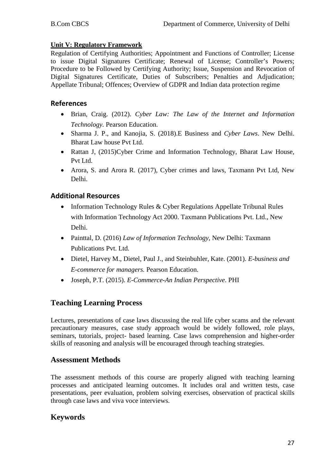## **Unit V: Regulatory Framework**

Regulation of Certifying Authorities; Appointment and Functions of Controller; License to issue Digital Signatures Certificate; Renewal of License; Controller's Powers; Procedure to be Followed by Certifying Authority; Issue, Suspension and Revocation of Digital Signatures Certificate, Duties of Subscribers; Penalties and Adjudication; Appellate Tribunal; Offences; Overview of GDPR and Indian data protection regime

## **References**

- Brian, Craig. (2012). *Cyber Law: The Law of the Internet and Information Technology.* Pearson Education.
- Sharma J. P., and Kanojia, S. (2018).E Business and *Cyber Laws*. New Delhi. Bharat Law house Pvt Ltd.
- Rattan J, (2015)Cyber Crime and Information Technology, Bharat Law House, Pvt Ltd.
- Arora, S. and Arora R. (2017), Cyber crimes and laws, Taxmann Pvt Ltd, New Delhi.

## **Additional Resources**

- Information Technology Rules & Cyber Regulations Appellate Tribunal Rules with Information Technology Act 2000. Taxmann Publications Pvt. Ltd., New Delhi.
- Painttal, D. (2016) *Law of Information Technology*, New Delhi: Taxmann Publications Pvt. Ltd.
- Dietel, Harvey M., Dietel, Paul J., and Steinbuhler, Kate. (2001). *E-business and E-commerce for managers.* Pearson Education.
- Joseph, P.T. (2015). *E-Commerce-An Indian Perspective*. PHI

# **Teaching Learning Process**

Lectures, presentations of case laws discussing the real life cyber scams and the relevant precautionary measures, case study approach would be widely followed, role plays, seminars, tutorials, project- based learning. Case laws comprehension and higher-order skills of reasoning and analysis will be encouraged through teaching strategies.

## **Assessment Methods**

The assessment methods of this course are properly aligned with teaching learning processes and anticipated learning outcomes. It includes oral and written tests, case presentations, peer evaluation, problem solving exercises, observation of practical skills through case laws and viva voce interviews.

# **Keywords**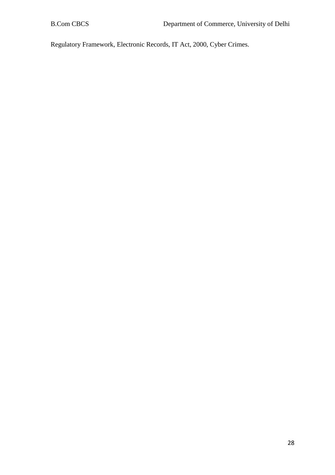Regulatory Framework, Electronic Records, IT Act, 2000, Cyber Crimes.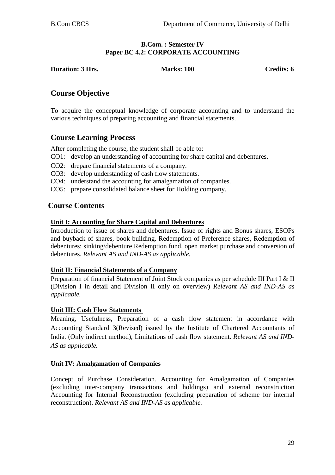#### **B.Com. : Semester IV Paper BC 4.2: CORPORATE ACCOUNTING**

**Duration: 3 Hrs.** Marks: 100 **Credits: 6** Credits: 6

# **Course Objective**

To acquire the conceptual knowledge of corporate accounting and to understand the various techniques of preparing accounting and financial statements.

# **Course Learning Process**

After completing the course, the student shall be able to:

- CO1: develop an understanding of accounting for share capital and debentures.
- CO2: drepare financial statements of a company.
- CO3: develop understanding of cash flow statements.
- CO4: understand the accounting for amalgamation of companies.
- CO5: prepare consolidated balance sheet for Holding company.

# **Course Contents**

## **Unit I: Accounting for Share Capital and Debentures**

Introduction to issue of shares and debentures. Issue of rights and Bonus shares, ESOPs and buyback of shares, book building. Redemption of Preference shares, Redemption of debentures: sinking/debenture Redemption fund, open market purchase and conversion of debentures. *Relevant AS and IND-AS as applicable.*

#### **Unit II: Financial Statements of a Company**

Preparation of financial Statement of Joint Stock companies as per schedule III Part I & II (Division I in detail and Division II only on overview) *Relevant AS and IND-AS as applicable.*

## **Unit III: Cash Flow Statements**

Meaning, Usefulness, Preparation of a cash flow statement in accordance with Accounting Standard 3(Revised) issued by the Institute of Chartered Accountants of India. (Only indirect method), Limitations of cash flow statement. *Relevant AS and IND-AS as applicable.*

## **Unit IV: Amalgamation of Companies**

Concept of Purchase Consideration. Accounting for Amalgamation of Companies (excluding inter-company transactions and holdings) and external reconstruction Accounting for Internal Reconstruction (excluding preparation of scheme for internal reconstruction). *Relevant AS and IND-AS as applicable.*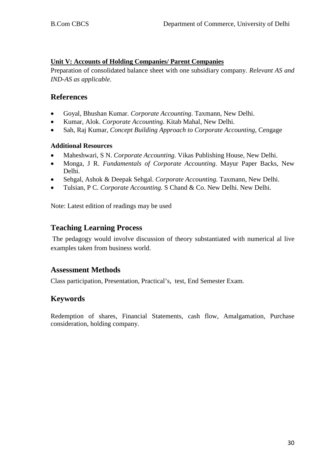## **Unit V: Accounts of Holding Companies/ Parent Companies**

Preparation of consolidated balance sheet with one subsidiary company. *Relevant AS and IND-AS as applicable.*

# **References**

- Goyal, Bhushan Kumar. *Corporate Accounting*. Taxmann, New Delhi.
- Kumar, Alok. *Corporate Accounting.* Kitab Mahal, New Delhi.
- Sah, Raj Kumar, *Concept Building Approach to Corporate Accounting*, Cengage

## **Additional Resources**

- Maheshwari, S N. *Corporate Accounting*. Vikas Publishing House, New Delhi.
- Monga, J R. *Fundamentals of Corporate Accounting*. Mayur Paper Backs, New Delhi.
- Sehgal, Ashok & Deepak Sehgal. *Corporate Accounting.* Taxmann, New Delhi.
- Tulsian, P C. *Corporate Accounting.* S Chand & Co. New Delhi. New Delhi.

Note: Latest edition of readings may be used

# **Teaching Learning Process**

The pedagogy would involve discussion of theory substantiated with numerical al live examples taken from business world.

# **Assessment Methods**

Class participation, Presentation, Practical's, test, End Semester Exam.

# **Keywords**

Redemption of shares, Financial Statements, cash flow, Amalgamation, Purchase consideration, holding company.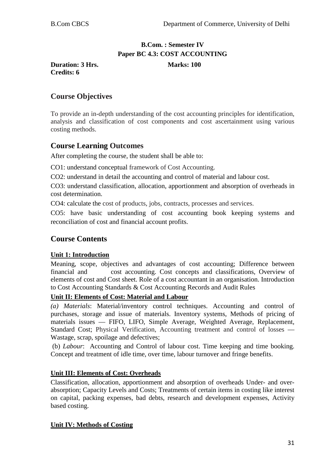# **B.Com. : Semester IV Paper BC 4.3: COST ACCOUNTING**

**Duration: 3 Hrs.** Marks: 100 **Credits: 6**

# **Course Objectives**

To provide an in-depth understanding of the cost accounting principles for identification, analysis and classification of cost components and cost ascertainment using various costing methods.

# **Course Learning Outcomes**

After completing the course, the student shall be able to:

CO1: understand conceptual framework of Cost Accounting.

CO2: understand in detail the accounting and control of material and labour cost.

CO3: understand classification, allocation, apportionment and absorption of overheads in cost determination.

CO4: calculate the cost of products, jobs, contracts, processes and services.

CO5: have basic understanding of cost accounting book keeping systems and reconciliation of cost and financial account profits.

# **Course Contents**

#### **Unit 1: Introduction**

Meaning, scope, objectives and advantages of cost accounting; Difference between financial and cost accounting. Cost concepts and classifications, Overview of elements of cost and Cost sheet. Role of a cost accountant in an organisation. Introduction to Cost Accounting Standards & Cost Accounting Records and Audit Rules

#### **Unit II: Elements of Cost: Material and Labour**

*(a) Materials*: Material/inventory control techniques. Accounting and control of purchases, storage and issue of materials. Inventory systems, Methods of pricing of materials issues — FIFO, LIFO, Simple Average, Weighted Average, Replacement, Standard Cost; Physical Verification, Accounting treatment and control of losses — Wastage, scrap, spoilage and defectives;

(b) *Labour*: Accounting and Control of labour cost. Time keeping and time booking. Concept and treatment of idle time, over time, labour turnover and fringe benefits.

#### **Unit III: Elements of Cost: Overheads**

Classification, allocation, apportionment and absorption of overheads Under- and overabsorption; Capacity Levels and Costs; Treatments of certain items in costing like interest on capital, packing expenses, bad debts, research and development expenses, Activity based costing.

#### **Unit IV: Methods of Costing**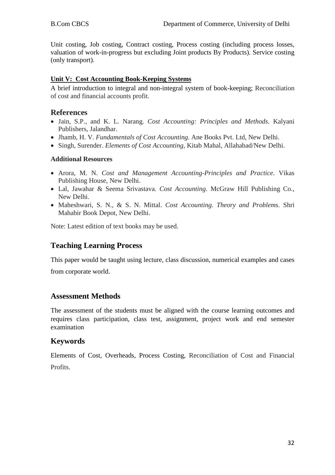Unit costing, Job costing, Contract costing, Process costing (including process losses, valuation of work-in-progress but excluding Joint products By Products). Service costing (only transport).

#### **Unit V: Cost Accounting Book-Keeping Systems**

A brief introduction to integral and non-integral system of book-keeping; Reconciliation of cost and financial accounts profit.

## **References**

- Jain, S.P., and K. L. Narang. *Cost Accounting: Principles and Methods.* Kalyani Publishers, Jalandhar.
- Jhamb, H. V. *Fundamentals of Cost Accounting.* Ane Books Pvt. Ltd, New Delhi.
- Singh, Surender. *Elements of Cost Accounting*, Kitab Mahal, Allahabad/New Delhi.

#### **Additional Resources**

- Arora, M. N. *Cost and Management Accounting-Principles and Practice*. Vikas Publishing House, New Delhi.
- Lal, Jawahar & Seema Srivastava. *Cost Accounting*. McGraw Hill Publishing Co., New Delhi.
- Maheshwari, S. N., & S. N. Mittal. *Cost Accounting. Theory and Problems.* Shri Mahabir Book Depot, New Delhi.

Note: Latest edition of text books may be used.

# **Teaching Learning Process**

This paper would be taught using lecture, class discussion, numerical examples and cases from corporate world.

# **Assessment Methods**

The assessment of the students must be aligned with the course learning outcomes and requires class participation, class test, assignment, project work and end semester examination

## **Keywords**

Elements of Cost, Overheads, Process Costing, Reconciliation of Cost and Financial Profits.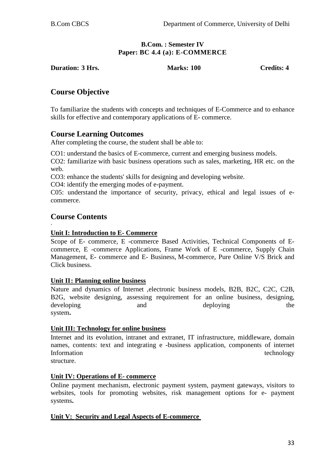#### **B.Com. : Semester IV Paper: BC 4.4 (a): E-COMMERCE**

**Duration: 3 Hrs. Marks: 100 Credits: 4**

# **Course Objective**

To familiarize the students with concepts and techniques of E-Commerce and to enhance skills for effective and contemporary applications of E- commerce.

# **Course Learning Outcomes**

After completing the course, the student shall be able to:

CO1: understand the basics of E-commerce, current and emerging business models.

CO2: familiarize with basic business operations such as sales, marketing, HR etc. on the web.

CO3: enhance the students' skills for designing and developing website.

CO4: identify the emerging modes of e-payment.

C05: understand the importance of security, privacy, ethical and legal issues of ecommerce.

# **Course Contents**

#### · **Unit I: Introduction to E- Commerce**

Scope of E- commerce, E -commerce Based Activities, Technical Components of Ecommerce, E -commerce Applications, Frame Work of E -commerce, Supply Chain Management, E- commerce and E- Business, M-commerce, Pure Online V/S Brick and Click business.

## **Unit II: Planning online business**

Nature and dynamics of Internet ,electronic business models, B2B, B2C, C2C, C2B, B2G, website designing, assessing requirement for an online business, designing, developing and and deploying the system**.** 

## **Unit III: Technology for online business**

Internet and its evolution, intranet and extranet, IT infrastructure, middleware, domain names, contents: text and integrating e -business application, components of internet Information technology example and the set of the set of the set of the set of the set of the set of the set of the set of the set of the set of the set of the set of the set of the set of the set of the set of the set of

structure.

## **Unit IV: Operations of E- commerce**

Online payment mechanism, electronic payment system, payment gateways, visitors to websites, tools for promoting websites, risk management options for e- payment systems**.** 

#### **Unit V: Security and Legal Aspects of E-commerce**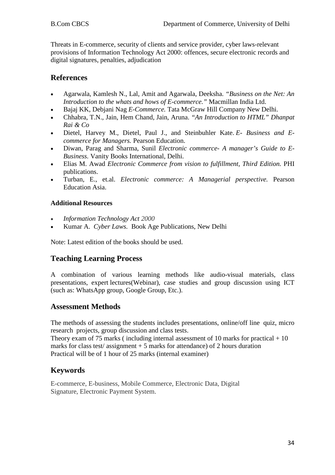Threats in E-commerce, security of clients and service provider, cyber laws-relevant provisions of Information Technology Act 2000: offences, secure electronic records and digital signatures, penalties, adjudication

# **References**

- Agarwala, Kamlesh N., Lal, Amit and Agarwala, Deeksha. *"Business on the Net: An Introduction to the whats and hows of E-commerce."* Macmillan India Ltd.
- Bajaj KK, Debjani Nag *E-Commerce.* Tata McGraw Hill Company New Delhi.
- Chhabra, T.N., Jain, Hem Chand, Jain, Aruna. *"An Introduction to HTML" Dhanpat Rai & Co*
- Dietel, Harvey M., Dietel, Paul J., and Steinbuhler Kate. *E- Business and Ecommerce for Managers.* Pearson Education.
- Diwan, Parag and Sharma, Sunil *Electronic commerce- A manager's Guide to E-Business.* Vanity Books International, Delhi.
- Elias M. Awad *Electronic Commerce from vision to fulfillment, Third Edition.* PHI publications.
- Turban, E., et.al. *Electronic commerce: A Managerial perspective.* Pearson Education Asia.

## **Additional Resources**

- *Information Technology Act 2000*
- Kumar A. *Cyber Laws.* Book Age Publications, New Delhi

Note: Latest edition of the books should be used.

# **Teaching Learning Process**

A combination of various learning methods like audio-visual materials, class presentations, expert lectures(Webinar), case studies and group discussion using ICT (such as: WhatsApp group, Google Group, Etc.).

# **Assessment Methods**

The methods of assessing the students includes presentations, online/off line quiz, micro research projects, group discussion and class tests.

Theory exam of 75 marks (including internal assessment of 10 marks for practical  $+10$ marks for class test/ assignment  $+5$  marks for attendance) of 2 hours duration Practical will be of 1 hour of 25 marks (internal examiner)

# **Keywords**

E-commerce, E-business, Mobile Commerce, Electronic Data, Digital Signature, Electronic Payment System.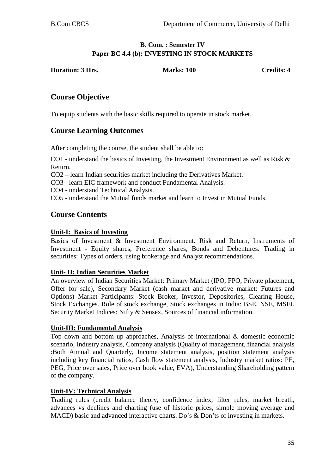## **B. Com. : Semester IV Paper BC 4.4 (b): INVESTING IN STOCK MARKETS**

**Duration: 3 Hrs.** Marks: 100 Credits: 4

# **Course Objective**

To equip students with the basic skills required to operate in stock market.

# **Course Learning Outcomes**

After completing the course, the student shall be able to:

CO1 **-** understand the basics of Investing, the Investment Environment as well as Risk & Return.

CO2 **–** learn Indian securities market including the Derivatives Market.

CO3 **-** learn EIC framework and conduct Fundamental Analysis.

CO4 - understand Technical Analysis.

CO5 **-** understand the Mutual funds market and learn to Invest in Mutual Funds.

# **Course Contents**

#### **Unit-I: Basics of Investing**

Basics of Investment & Investment Environment. Risk and Return, Instruments of Investment - Equity shares, Preference shares, Bonds and Debentures. Trading in securities: Types of orders, using brokerage and Analyst recommendations.

#### **Unit- II: Indian Securities Market**

An overview of Indian Securities Market: Primary Market (IPO, FPO, Private placement, Offer for sale), Secondary Market (cash market and derivative market: Futures and Options) Market Participants: Stock Broker, Investor, Depositories, Clearing House, Stock Exchanges. Role of stock exchange, Stock exchanges in India: BSE, NSE, MSEI. Security Market Indices: Nifty & Sensex, Sources of financial information.

#### **Unit-III: Fundamental Analysis**

Top down and bottom up approaches, Analysis of international & domestic economic scenario, Industry analysis, Company analysis (Quality of management, financial analysis :Both Annual and Quarterly, Income statement analysis, position statement analysis including key financial ratios, Cash flow statement analysis, Industry market ratios: PE, PEG, Price over sales, Price over book value, EVA), Understanding Shareholding pattern of the company.

#### **Unit-IV: Technical Analysis**

Trading rules (credit balance theory, confidence index, filter rules, market breath, advances vs declines and charting (use of historic prices, simple moving average and MACD) basic and advanced interactive charts. Do's & Don'ts of investing in markets.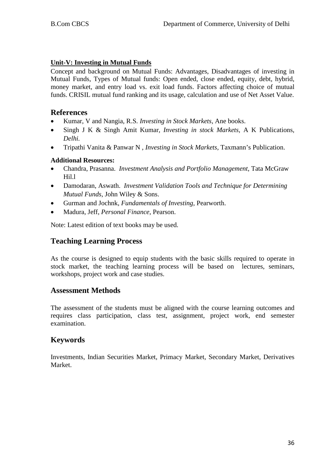## **Unit-V: Investing in Mutual Funds**

Concept and background on Mutual Funds: Advantages, Disadvantages of investing in Mutual Funds, Types of Mutual funds: Open ended, close ended, equity, debt, hybrid, money market, and entry load vs. exit load funds. Factors affecting choice of mutual funds. CRISIL mutual fund ranking and its usage, calculation and use of Net Asset Value.

#### **References**

- Kumar, V and Nangia, R.S*. Investing in Stock Markets,* Ane books.
- Singh J K & Singh Amit Kumar*, Investing in stock Markets,* A K Publications*, Delhi.*
- Tripathi Vanita & Panwar N *, Investing in Stock Markets,* Taxmann's Publication.

#### **Additional Resources:**

- Chandra, Prasanna. *Investment Analysis and Portfolio Management*, Tata McGraw Hil.l
- Damodaran, Aswath. *Investment Validation Tools and Technique for Determining Mutual Funds*, John Wiley & Sons.
- Gurman and Jochnk, *Fundamentals of Investing*, Pearworth.
- Madura, Jeff, *Personal Finance*, Pearson.

Note: Latest edition of text books may be used.

# **Teaching Learning Process**

As the course is designed to equip students with the basic skills required to operate in stock market, the teaching learning process will be based on lectures, seminars, workshops, project work and case studies.

## **Assessment Methods**

The assessment of the students must be aligned with the course learning outcomes and requires class participation, class test, assignment, project work, end semester examination.

## **Keywords**

Investments, Indian Securities Market, Primacy Market, Secondary Market, Derivatives Market.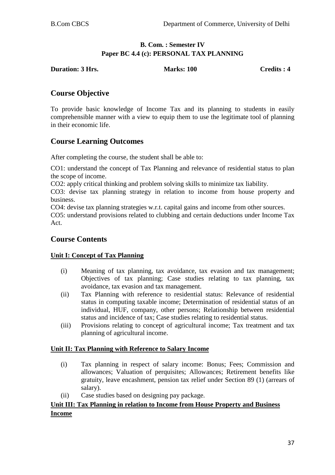## **B. Com. : Semester IV Paper BC 4.4 (c): PERSONAL TAX PLANNING**

**Duration: 3 Hrs.** Marks: 100 Credits : 4

# **Course Objective**

To provide basic knowledge of Income Tax and its planning to students in easily comprehensible manner with a view to equip them to use the legitimate tool of planning in their economic life.

# **Course Learning Outcomes**

After completing the course, the student shall be able to:

CO1: understand the concept of Tax Planning and relevance of residential status to plan the scope of income.

CO2: apply critical thinking and problem solving skills to minimize tax liability.

CO3: devise tax planning strategy in relation to income from house property and business.

CO4: devise tax planning strategies w.r.t. capital gains and income from other sources.

CO5: understand provisions related to clubbing and certain deductions under Income Tax Act.

# **Course Contents**

## **Unit I: Concept of Tax Planning**

- (i) Meaning of tax planning, tax avoidance, tax evasion and tax management; Objectives of tax planning; Case studies relating to tax planning, tax avoidance, tax evasion and tax management.
- (ii) Tax Planning with reference to residential status: Relevance of residential status in computing taxable income; Determination of residential status of an individual, HUF, company, other persons; Relationship between residential status and incidence of tax; Case studies relating to residential status.
- (iii) Provisions relating to concept of agricultural income; Tax treatment and tax planning of agricultural income.

#### **Unit II: Tax Planning with Reference to Salary Income**

- (i) Tax planning in respect of salary income: Bonus; Fees; Commission and allowances; Valuation of perquisites; Allowances; Retirement benefits like gratuity, leave encashment, pension tax relief under Section 89 (1) (arrears of salary).
- (ii) Case studies based on designing pay package.

# **Unit III: Tax Planning in relation to Income from House Property and Business Income**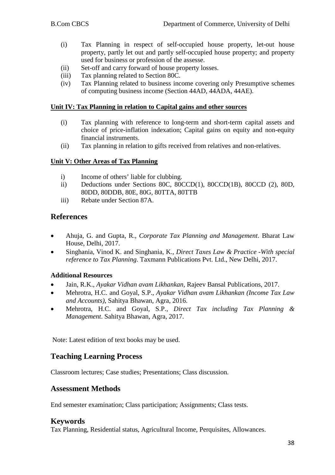- (i) Tax Planning in respect of self-occupied house property, let-out house property, partly let out and partly self-occupied house property; and property used for business or profession of the assesse.
- (ii) Set-off and carry forward of house property losses.
- (iii) Tax planning related to Section 80C.
- (iv) Tax Planning related to business income covering only Presumptive schemes of computing business income (Section 44AD, 44ADA, 44AE).

#### **Unit IV: Tax Planning in relation to Capital gains and other sources**

- (i) Tax planning with reference to long-term and short-term capital assets and choice of price-inflation indexation; Capital gains on equity and non-equity financial instruments.
- (ii) Tax planning in relation to gifts received from relatives and non-relatives.

## **Unit V: Other Areas of Tax Planning**

- i) Income of others' liable for clubbing.
- ii) Deductions under Sections 80C, 80CCD(1), 80CCD(1B), 80CCD (2), 80D, 80DD, 80DDB, 80E, 80G, 80TTA, 80TTB
- iii) Rebate under Section 87A.

## **References**

- Ahuja, G. and Gupta, R., *Corporate Tax Planning and Management*. Bharat Law House, Delhi, 2017.
- Singhania, Vinod K. and Singhania, K., *Direct Taxes Law & Practice -With special reference to Tax Planning*. Taxmann Publications Pvt. Ltd., New Delhi, 2017.

#### **Additional Resources**

- Jain, R.K., *Ayakar Vidhan avam Likhankan,* Rajeev Bansal Publications, 2017.
- Mehrotra, H.C. and Goyal, S.P., *Ayakar Vidhan avam Likhankan (Income Tax Law and Accounts)*, Sahitya Bhawan, Agra, 2016.
- Mehrotra, H.C. and Goyal, S.P., *Direct Tax including Tax Planning & Management*. Sahitya Bhawan, Agra, 2017.

Note: Latest edition of text books may be used.

## **Teaching Learning Process**

Classroom lectures; Case studies; Presentations; Class discussion.

## **Assessment Methods**

End semester examination; Class participation; Assignments; Class tests.

#### **Keywords**

Tax Planning, Residential status, Agricultural Income, Perquisites, Allowances.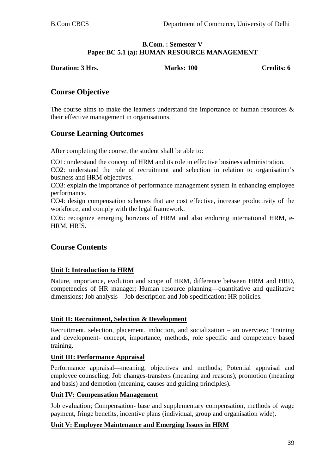#### **B.Com. : Semester V Paper BC 5.1 (a): HUMAN RESOURCE MANAGEMENT**

**Duration: 3 Hrs.** Marks: 100 Credits: 6

# **Course Objective**

The course aims to make the learners understand the importance of human resources  $\&$ their effective management in organisations.

# **Course Learning Outcomes**

After completing the course, the student shall be able to:

CO1: understand the concept of HRM and its role in effective business administration.

CO2: understand the role of recruitment and selection in relation to organisation's business and HRM objectives.

CO3: explain the importance of performance management system in enhancing employee performance.

CO4: design compensation schemes that are cost effective, increase productivity of the workforce, and comply with the legal framework.

CO5: recognize emerging horizons of HRM and also enduring international HRM, e-HRM, HRIS.

# **Course Contents**

## **Unit I: Introduction to HRM**

Nature, importance, evolution and scope of HRM, difference between HRM and HRD, competencies of HR manager; Human resource planning—quantitative and qualitative dimensions; Job analysis—Job description and Job specification; HR policies.

#### **Unit II: Recruitment, Selection & Development**

Recruitment, selection, placement, induction, and socialization – an overview; Training and development- concept, importance, methods, role specific and competency based training.

#### **Unit III: Performance Appraisal**

Performance appraisal—meaning, objectives and methods; Potential appraisal and employee counseling; Job changes-transfers (meaning and reasons), promotion (meaning and basis) and demotion (meaning, causes and guiding principles).

#### **Unit IV: Compensation Management**

Job evaluation; Compensation- base and supplementary compensation, methods of wage payment, fringe benefits, incentive plans (individual, group and organisation wide).

#### **Unit V: Employee Maintenance and Emerging Issues in HRM**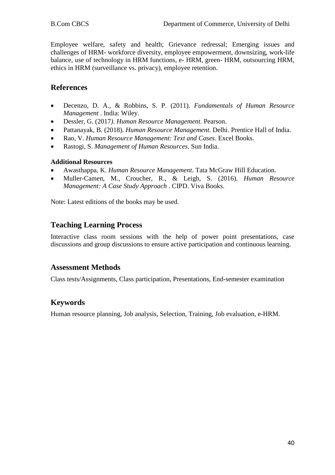Employee welfare, safety and health; Grievance redressal; Emerging issues and challenges of HRM- workforce diversity, employee empowerment, downsizing, work-life balance, use of technology in HRM functions, e- HRM, green- HRM, outsourcing HRM, ethics in HRM (surveillance vs. privacy), employee retention.

# **References**

- Decenzo, D. A., & Robbins, S. P. (2011). *Fundamentals of Human Resource Management* . India: Wiley.
- Dessler, G. (2017*). Human Resource Management*. Pearson.
- Pattanayak, B. (2018). *Human Resource Management*. Delhi. Prentice Hall of India.
- Rao, V. *Human Resource Management: Text and Cases*. Excel Books.
- Rastogi, S. *Management of Human Resources*. Sun India.

#### **Additional Resources**

- Awasthappa, K. *Human Resource Management*. Tata McGraw Hill Education.
- Muller-Camen, M., Croucher, R., & Leigh, S. (2016). *Human Resource Management: A Case Study Approach* . CIPD. Viva Books.

Note: Latest editions of the books may be used.

# **Teaching Learning Process**

Interactive class room sessions with the help of power point presentations, case discussions and group discussions to ensure active participation and continuous learning.

## **Assessment Methods**

Class tests/Assignments, Class participation, Presentations, End-semester examination

# **Keywords**

Human resource planning, Job analysis, Selection, Training, Job evaluation, e-HRM.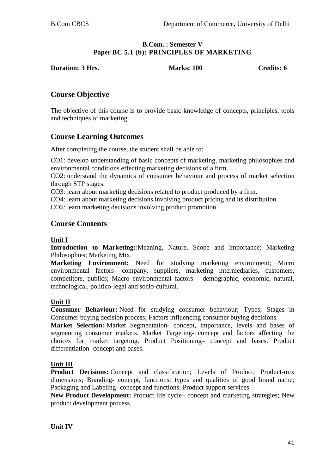#### **B.Com. : Semester V Paper BC 5.1 (b): PRINCIPLES OF MARKETING**

**Duration: 3 Hrs. Marks: 100 Credits: 6**

# **Course Objective**

The objective of this course is to provide basic knowledge of concepts, principles, tools and techniques of marketing.

# **Course Learning Outcomes**

After completing the course, the student shall be able to:

CO1: develop understanding of basic concepts of marketing, marketing philosophies and environmental conditions effecting marketing decisions of a firm.

CO2: understand the dynamics of consumer behaviour and process of market selection through STP stages.

CO3: learn about marketing decisions related to product produced by a firm.

CO4: learn about marketing decisions involving product pricing and its distribution.

CO5: learn marketing decisions involving product promotion.

# **Course Contents**

#### **Unit I**

**Introduction to Marketing:**:Meaning, Nature, Scope and Importance; Marketing Philosophies; Marketing Mix.

**Marketing Environment:** Need for studying marketing environment; Micro environmental factors- company, suppliers, marketing intermediaries, customers, competitors, publics; Macro environmental factors – demographic, economic, natural, technological, politico-legal and socio-cultural.

# **Unit II**

**Consumer Behaviour:** Need for studying consumer behaviour; Types; Stages in Consumer buying decision process; Factors influencing consumer buying decisions.

**Market Selection:** Market Segmentation- concept, importance, levels and bases of segmenting consumer markets. Market Targeting- concept and factors affecting the choices for market targeting. Product Positioning– concept and bases. Product differentiation- concept and bases.

# **Unit III**

**Product Decisions:** Concept and classification; Levels of Product; Product-mix dimensions; Branding- concept, functions, types and qualities of good brand name; Packaging and Labeling- concept and functions; Product support services.

**New Product Development:** Product life cycle– concept and marketing strategies; New product development process.

## **Unit IV**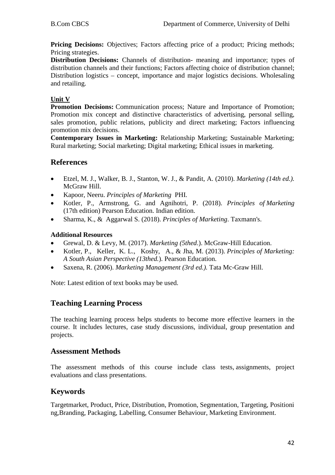**Pricing Decisions:** Objectives: Factors affecting price of a product; Pricing methods; Pricing strategies.

**Distribution Decisions:** Channels of distribution- meaning and importance; types of distribution channels and their functions; Factors affecting choice of distribution channel; Distribution logistics – concept, importance and major logistics decisions. Wholesaling and retailing.

## **Unit V**

**Promotion Decisions:** Communication process; Nature and Importance of Promotion; Promotion mix concept and distinctive characteristics of advertising, personal selling, sales promotion, public relations, publicity and direct marketing; Factors influencing promotion mix decisions.

**Contemporary Issues in Marketing:** Relationship Marketing; Sustainable Marketing; Rural marketing; Social marketing; Digital marketing; Ethical issues in marketing.

# **References**

- Etzel, M. J., Walker, B. J., Stanton, W. J., & Pandit, A. (2010). *Marketing (14th ed.).* McGraw Hill.
- Kapoor, Neeru. *Principles of Marketing* PHI.
- Kotler, P., Armstrong, G. and Agnihotri, P. (2018). *Principles of Marketing* (17th edition) Pearson Education. Indian edition.
- Sharma, K., & Aggarwal S. (2018). *Principles of Marketing*. Taxmann's.

## **Additional Resources**

- Grewal, D. & Levy, M. (2017). *Marketing (5thed*.). McGraw-Hill Education.
- Kotler, P., Keller, K. L., Koshy, A., & Jha, M. (2013). *Principles of Marketing: A South Asian Perspective (13thed.*). Pearson Education.
- Saxena, R. (2006). *Marketing Management (3rd ed.).* Tata Mc-Graw Hill.

Note: Latest edition of text books may be used.

# **Teaching Learning Process**

The teaching learning process helps students to become more effective learners in the course. It includes lectures, case study discussions, individual, group presentation and projects.

## **Assessment Methods**

The assessment methods of this course include class tests, assignments, project evaluations and class presentations.

# **Keywords**

Targetmarket, Product, Price, Distribution, Promotion, Segmentation, Targeting, Positioni ng,Branding, Packaging, Labelling, Consumer Behaviour, Marketing Environment.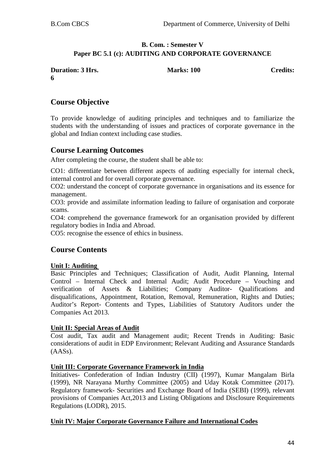## **B. Com. : Semester V Paper BC 5.1 (c): AUDITING AND CORPORATE GOVERNANCE**

| <b>Duration: 3 Hrs.</b> | <b>Marks: 100</b> | <b>Credits:</b> |
|-------------------------|-------------------|-----------------|
| 6                       |                   |                 |
|                         |                   |                 |

# **Course Objective**

To provide knowledge of auditing principles and techniques and to familiarize the students with the understanding of issues and practices of corporate governance in the global and Indian context including case studies.

# **Course Learning Outcomes**

After completing the course, the student shall be able to:

CO1: differentiate between different aspects of auditing especially for internal check, internal control and for overall corporate governance.

CO2: understand the concept of corporate governance in organisations and its essence for management.

CO3: provide and assimilate information leading to failure of organisation and corporate scams.

CO4: comprehend the governance framework for an organisation provided by different regulatory bodies in India and Abroad.

CO5: recognise the essence of ethics in business.

# **Course Contents**

#### **Unit I: Auditing**

Basic Principles and Techniques; Classification of Audit, Audit Planning, Internal Control – Internal Check and Internal Audit; Audit Procedure – Vouching and verification of Assets & Liabilities; Company Auditor- Qualifications and disqualifications, Appointment, Rotation, Removal, Remuneration, Rights and Duties; Auditor's Report- Contents and Types, Liabilities of Statutory Auditors under the Companies Act 2013.

#### **Unit II: Special Areas of Audit**

Cost audit, Tax audit and Management audit; Recent Trends in Auditing: Basic considerations of audit in EDP Environment; Relevant Auditing and Assurance Standards (AASs).

#### **Unit III: Corporate Governance Framework in India**

Initiatives- Confederation of Indian Industry (CII) (1997), Kumar Mangalam Birla (1999), NR Narayana Murthy Committee (2005) and Uday Kotak Committee (2017). Regulatory framework- Securities and Exchange Board of India (SEBI) (1999), relevant provisions of Companies Act,2013 and Listing Obligations and Disclosure Requirements Regulations (LODR), 2015.

#### **Unit IV: Major Corporate Governance Failure and International Codes**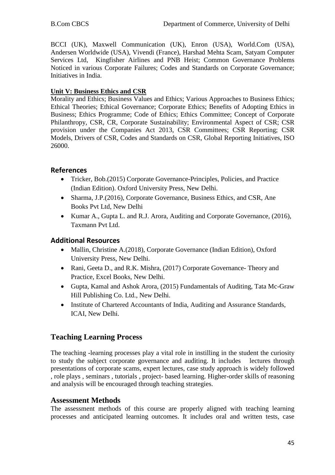BCCI (UK), Maxwell Communication (UK), Enron (USA), World.Com (USA), Andersen Worldwide (USA), Vivendi (France), Harshad Mehta Scam, Satyam Computer Services Ltd, Kingfisher Airlines and PNB Heist; Common Governance Problems Noticed in various Corporate Failures; Codes and Standards on Corporate Governance; Initiatives in India.

## **Unit V: Business Ethics and CSR**

Morality and Ethics; Business Values and Ethics; Various Approaches to Business Ethics; Ethical Theories; Ethical Governance; Corporate Ethics; Benefits of Adopting Ethics in Business; Ethics Programme; Code of Ethics; Ethics Committee; Concept of Corporate Philanthropy, CSR, CR, Corporate Sustainability; Environmental Aspect of CSR; CSR provision under the Companies Act 2013, CSR Committees; CSR Reporting; CSR Models, Drivers of CSR, Codes and Standards on CSR, Global Reporting Initiatives, ISO 26000.

## **References**

- Tricker, Bob.(2015) Corporate Governance-Principles, Policies, and Practice (Indian Edition). Oxford University Press, New Delhi.
- Sharma, J.P. (2016), Corporate Governance, Business Ethics, and CSR, Ane Books Pvt Ltd, New Delhi
- Kumar A., Gupta L. and R.J. Arora, Auditing and Corporate Governance, (2016), Taxmann Pvt Ltd.

# **Additional Resources**

- Mallin, Christine A.(2018), Corporate Governance (Indian Edition), Oxford University Press, New Delhi.
- Rani, Geeta D., and R.K. Mishra, (2017) Corporate Governance- Theory and Practice, Excel Books, New Delhi.
- Gupta, Kamal and Ashok Arora, (2015) Fundamentals of Auditing, Tata Mc-Graw Hill Publishing Co. Ltd., New Delhi.
- Institute of Chartered Accountants of India, Auditing and Assurance Standards, ICAI, New Delhi.

# **Teaching Learning Process**

The teaching -learning processes play a vital role in instilling in the student the curiosity to study the subject corporate governance and auditing. It includes lectures through presentations of corporate scams, expert lectures, case study approach is widely followed , role plays , seminars , tutorials , project- based learning. Higher-order skills of reasoning and analysis will be encouraged through teaching strategies.

## **Assessment Methods**

The assessment methods of this course are properly aligned with teaching learning processes and anticipated learning outcomes. It includes oral and written tests, case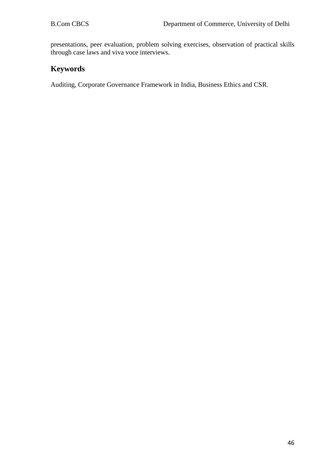presentations, peer evaluation, problem solving exercises, observation of practical skills through case laws and viva voce interviews.

# **Keywords**

Auditing, Corporate Governance Framework in India, Business Ethics and CSR.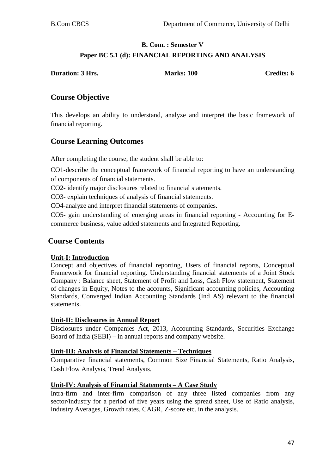# **B. Com. : Semester V Paper BC 5.1 (d): FINANCIAL REPORTING AND ANALYSIS**

| <b>Duration: 3 Hrs.</b> | <b>Marks: 100</b> | Credits: 6 |
|-------------------------|-------------------|------------|
|                         |                   |            |

# **Course Objective**

This develops an ability to understand, analyze and interpret the basic framework of financial reporting.

# **Course Learning Outcomes**

After completing the course, the student shall be able to:

CO1**-**describe the conceptual framework of financial reporting to have an understanding of components of financial statements.

CO2**-** identify major disclosures related to financial statements.

CO3**-** explain techniques of analysis of financial statements.

CO4**-**analyze and interpret financial statements of companies.

CO5**-** gain understanding of emerging areas in financial reporting - Accounting for Ecommerce business, value added statements and Integrated Reporting.

# **Course Contents**

#### **Unit-I: Introduction**

Concept and objectives of financial reporting, Users of financial reports, Conceptual Framework for financial reporting. Understanding financial statements of a Joint Stock Company : Balance sheet, Statement of Profit and Loss, Cash Flow statement, Statement of changes in Equity, Notes to the accounts, Significant accounting policies, Accounting Standards, Converged Indian Accounting Standards (Ind AS) relevant to the financial statements.

#### **Unit-II: Disclosures in Annual Report**

Disclosures under Companies Act, 2013, Accounting Standards, Securities Exchange Board of India (SEBI) – in annual reports and company website.

#### **Unit-III: Analysis of Financial Statements – Techniques**

Comparative financial statements, Common Size Financial Statements, Ratio Analysis, Cash Flow Analysis, Trend Analysis.

#### **Unit-IV: Analysis of Financial Statements – A Case Study**

Intra-firm and inter-firm comparison of any three listed companies from any sector/industry for a period of five years using the spread sheet, Use of Ratio analysis, Industry Averages, Growth rates, CAGR, Z-score etc. in the analysis.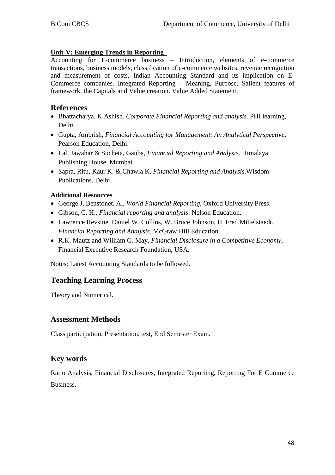#### **Unit-V: Emerging Trends in Reporting**

Accounting for E-commerce business – Introduction, elements of e-commerce transactions, business models, classification of e-commerce websites, revenue recognition and measurement of costs, Indian Accounting Standard and its implication on E-Commerce companies. Integrated Reporting – Meaning, Purpose, Salient features of framework, the Capitals and Value creation. Value Added Statement.

## **References**

- Bhattacharya, K Ashish. *Corporate Financial Reporting and analysis.* PHI learning, Delhi.
- Gupta, Ambrish, *Financial Accounting for Management: An Analytical Perspective,*  Pearson Education, Delhi.
- Lal, Jawahar & Sucheta, Gauba, *Financial Reporting and Analysis.* Himalaya Publishing House, Mumbai.
- Sapra, Ritu, Kaur K. & Chawla K. *Financial Reporting and Analysis*.Wisdom Publications, Delhi.

## **Additional Resources**

- George J. Benstonet. Al, *World Financial Reporting*, Oxford University Press.
- Gibson, C. H., *Financial reporting and analysis*. Nelson Education.
- Lawrence Revsine, Daniel W. Collins, W. Bruce Johnson, H. Fred Mittelstaedt. *Financial Reporting and Analysis*. McGraw Hill Education.
- R.K. Mautz and William G. May, *Financial Disclosure in a Competitive Economy*, Financial Executive Research Foundation, USA.

Notes: Latest Accounting Standards to be followed.

# **Teaching Learning Process**

Theory and Numerical.

# **Assessment Methods**

Class participation, Presentation, test, End Semester Exam.

# **Key words**

Ratio Analysis, Financial Disclosures, Integrated Reporting, Reporting For E Commerce Business.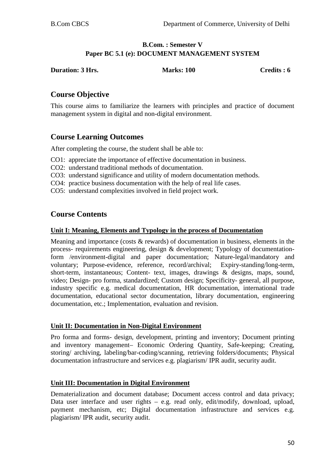#### **B.Com. : Semester V Paper BC 5.1 (e): DOCUMENT MANAGEMENT SYSTEM**

| <b>Duration: 3 Hrs.</b> | <b>Marks: 100</b> | Credits : 6 |
|-------------------------|-------------------|-------------|
|                         |                   |             |

# **Course Objective**

This course aims to familiarize the learners with principles and practice of document management system in digital and non-digital environment.

# **Course Learning Outcomes**

After completing the course, the student shall be able to:

- CO1: appreciate the importance of effective documentation in business.
- CO2: understand traditional methods of documentation.
- CO3: understand significance and utility of modern documentation methods.
- CO4: practice business documentation with the help of real life cases.
- CO5: understand complexities involved in field project work.

# **Course Contents**

#### **Unit I: Meaning, Elements and Typology in the process of Documentation**

Meaning and importance (costs & rewards) of documentation in business, elements in the process- requirements engineering, design & development; Typology of documentationform /environment-digital and paper documentation; Nature-legal/mandatory and voluntary; Purpose-evidence, reference, record/archival; Expiry-standing/long-term, short-term, instantaneous; Content- text, images, drawings & designs, maps, sound, video; Design- pro forma, standardized; Custom design; Specificity- general, all purpose, industry specific e.g. medical documentation, HR documentation, international trade documentation, educational sector documentation, library documentation, engineering documentation, etc.; Implementation, evaluation and revision.

#### **Unit II: Documentation in Non-Digital Environment**

Pro forma and forms- design, development, printing and inventory; Document printing and inventory management– Economic Ordering Quantity, Safe-keeping; Creating, storing/ archiving, labeling/bar-coding/scanning, retrieving folders/documents; Physical documentation infrastructure and services e.g. plagiarism/ IPR audit, security audit.

#### **Unit III: Documentation in Digital Environment**

Dematerialization and document database; Document access control and data privacy; Data user interface and user rights – e.g. read only, edit/modify, download, upload, payment mechanism, etc; Digital documentation infrastructure and services e.g. plagiarism/ IPR audit, security audit.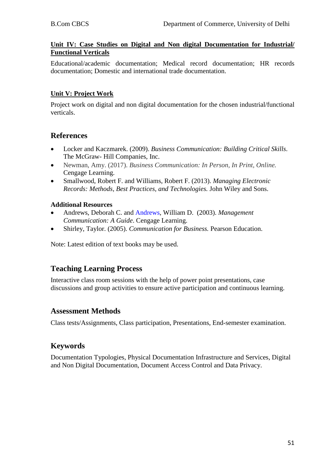#### **Unit IV: Case Studies on Digital and Non digital Documentation for Industrial/ Functional Verticals**

Educational/academic documentation; Medical record documentation; HR records documentation; Domestic and international trade documentation.

## **Unit V: Project Work**

Project work on digital and non digital documentation for the chosen industrial/functional verticals.

# **References**

- Locker and Kaczmarek. (2009). *Business Communication: Building Critical Skills*. The McGraw- Hill Companies, Inc.
- Newman, Amy. (2017). *Business Communication: In Person, In Print, Online.* Cengage Learning.
- Smallwood, Robert F. and Williams, Robert F. (2013). *Managing Electronic Records: Methods, Best Practices, and Technologies.* John Wiley and Sons.

## **Additional Resources**

- Andrews, Deborah C. and [Andrews,](https://www.amazon.com/s/ref=rdr_ext_aut?_encoding=UTF8&index=books&field-author=William%20D.%20Andrews) William D. (2003). *Management Communication: A Guide*. Cengage Learning.
- Shirley, Taylor. (2005). *Communication for Business.* Pearson Education.

Note: Latest edition of text books may be used.

# **Teaching Learning Process**

Interactive class room sessions with the help of power point presentations, case discussions and group activities to ensure active participation and continuous learning.

## **Assessment Methods**

Class tests/Assignments, Class participation, Presentations, End-semester examination.

# **Keywords**

Documentation Typologies, Physical Documentation Infrastructure and Services, Digital and Non Digital Documentation, Document Access Control and Data Privacy.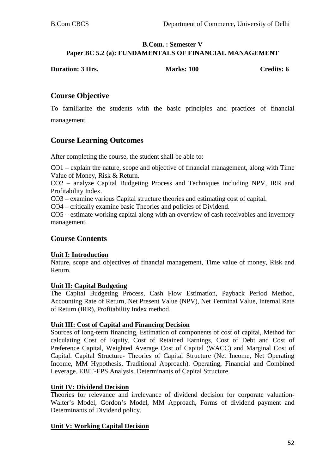#### **B.Com. : Semester V Paper BC 5.2 (a): FUNDAMENTALS OF FINANCIAL MANAGEMENT**

| <b>Duration: 3 Hrs.</b> | <b>Marks: 100</b> | Credits: 6 |
|-------------------------|-------------------|------------|
|                         |                   |            |

# **Course Objective**

To familiarize the students with the basic principles and practices of financial management.

## **Course Learning Outcomes**

After completing the course, the student shall be able to:

CO1 – explain the nature, scope and objective of financial management, along with Time Value of Money, Risk & Return.

CO2 – analyze Capital Budgeting Process and Techniques including NPV, IRR and Profitability Index.

CO3 – examine various Capital structure theories and estimating cost of capital.

CO4 – critically examine basic Theories and policies of Dividend.

CO5 – estimate working capital along with an overview of cash receivables and inventory management.

## **Course Contents**

#### **Unit I: Introduction**

Nature, scope and objectives of financial management, Time value of money, Risk and Return.

#### **Unit II: Capital Budgeting**

The Capital Budgeting Process, Cash Flow Estimation, Payback Period Method, Accounting Rate of Return, Net Present Value (NPV), Net Terminal Value, Internal Rate of Return (IRR), Profitability Index method.

#### **Unit III: Cost of Capital and Financing Decision**

Sources of long-term financing, Estimation of components of cost of capital, Method for calculating Cost of Equity, Cost of Retained Earnings, Cost of Debt and Cost of Preference Capital, Weighted Average Cost of Capital (WACC) and Marginal Cost of Capital. Capital Structure- Theories of Capital Structure (Net Income, Net Operating Income, MM Hypothesis, Traditional Approach). Operating, Financial and Combined Leverage. EBIT-EPS Analysis. Determinants of Capital Structure.

#### **Unit IV: Dividend Decision**

Theories for relevance and irrelevance of dividend decision for corporate valuation-Walter's Model, Gordon's Model, MM Approach, Forms of dividend payment and Determinants of Dividend policy.

#### **Unit V: Working Capital Decision**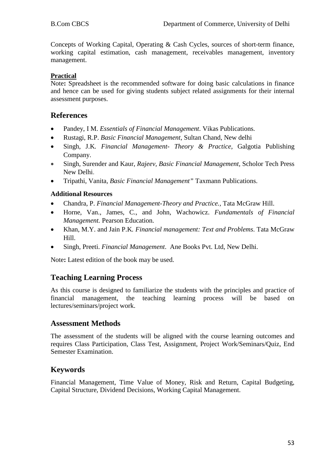Concepts of Working Capital, Operating & Cash Cycles, sources of short-term finance, working capital estimation, cash management, receivables management, inventory management.

## **Practical**

Note**:** Spreadsheet is the recommended software for doing basic calculations in finance and hence can be used for giving students subject related assignments for their internal assessment purposes.

## **References**

- Pandey, I M. *Essentials of Financial Management*. Vikas Publications*.*
- Rustagi, R.P. *Basic Financial Management,* Sultan Chand, New delhi
- Singh, J.K*. Financial Management- Theory & Practice,* Galgotia Publishing Company.
- Singh, Surender and Kaur, *Rajeev, Basic Financial Management,* Scholor Tech Press New Delhi.
- Tripathi, Vanita*, Basic Financial Management"* Taxmann Publications.

## **Additional Resources**

- Chandra, P. *Financial Management-Theory and Practice.,* Tata McGraw Hill.
- Horne, Van., James, C., and John, Wachowicz. *Fundamentals of Financial Management.* Pearson Education.
- Khan, M.Y. and Jain P.K*. Financial management: Text and Problems*. Tata McGraw Hill.
- Singh, Preeti. *Financial Management*. Ane Books Pvt. Ltd, New Delhi.

Note**:** Latest edition of the book may be used.

# **Teaching Learning Process**

As this course is designed to familiarize the students with the principles and practice of financial management, the teaching learning process will be based on lectures/seminars/project work.

## **Assessment Methods**

The assessment of the students will be aligned with the course learning outcomes and requires Class Participation, Class Test, Assignment, Project Work/Seminars/Quiz, End Semester Examination.

# **Keywords**

Financial Management, Time Value of Money, Risk and Return, Capital Budgeting, Capital Structure, Dividend Decisions, Working Capital Management.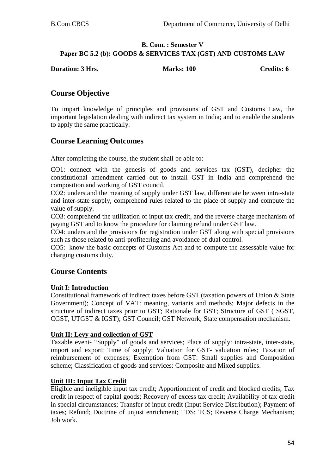## **B. Com. : Semester V Paper BC 5.2 (b): GOODS & SERVICES TAX (GST) AND CUSTOMS LAW**

| <b>Duration: 3 Hrs.</b> | <b>Marks: 100</b> | <b>Credits: 6</b> |
|-------------------------|-------------------|-------------------|
|                         |                   |                   |

# **Course Objective**

To impart knowledge of principles and provisions of GST and Customs Law, the important legislation dealing with indirect tax system in India; and to enable the students to apply the same practically.

# **Course Learning Outcomes**

After completing the course, the student shall be able to:

CO1: connect with the genesis of goods and services tax (GST), decipher the constitutional amendment carried out to install GST in India and comprehend the composition and working of GST council.

CO2: understand the meaning of supply under GST law, differentiate between intra-state and inter-state supply, comprehend rules related to the place of supply and compute the value of supply.

CO3: comprehend the utilization of input tax credit, and the reverse charge mechanism of paying GST and to know the procedure for claiming refund under GST law.

CO4: understand the provisions for registration under GST along with special provisions such as those related to anti-profiteering and avoidance of dual control.

CO5: know the basic concepts of Customs Act and to compute the assessable value for charging customs duty.

# **Course Contents**

#### **Unit I: Introduction**

Constitutional framework of indirect taxes before GST (taxation powers of Union & State Government); Concept of VAT: meaning, variants and methods; Major defects in the structure of indirect taxes prior to GST; Rationale for GST; Structure of GST ( SGST, CGST, UTGST & IGST); GST Council; GST Network; State compensation mechanism.

#### **Unit II: Levy and collection of GST**

Taxable event- "Supply" of goods and services; Place of supply: intra-state, inter-state, import and export; Time of supply; Valuation for GST- valuation rules; Taxation of reimbursement of expenses; Exemption from GST: Small supplies and Composition scheme; Classification of goods and services: Composite and Mixed supplies.

#### **Unit III: Input Tax Credit**

Eligible and ineligible input tax credit; Apportionment of credit and blocked credits; Tax credit in respect of capital goods; Recovery of excess tax credit; Availability of tax credit in special circumstances; Transfer of input credit (Input Service Distribution); Payment of taxes; Refund; Doctrine of unjust enrichment; TDS; TCS; Reverse Charge Mechanism; Job work.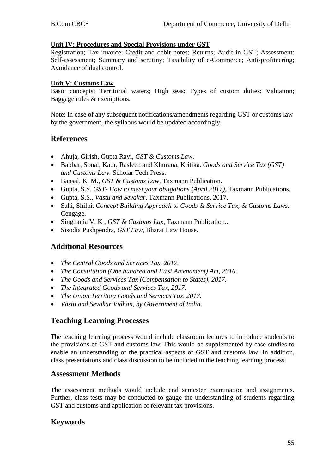#### **Unit IV: Procedures and Special Provisions under GST**

Registration; Tax invoice; Credit and debit notes; Returns; Audit in GST; Assessment: Self-assessment; Summary and scrutiny; Taxability of e-Commerce; Anti-profiteering; Avoidance of dual control.

#### **Unit V: Customs Law**

Basic concepts; Territorial waters; High seas; Types of custom duties; Valuation; Baggage rules & exemptions.

Note: In case of any subsequent notifications/amendments regarding GST or customs law by the government, the syllabus would be updated accordingly.

## **References**

- Ahuja, Girish, Gupta Ravi, *GST & Customs Law*.
- Babbar, Sonal, Kaur, Rasleen and Khurana, Kritika. *Goods and Service Tax (GST) and Customs Law.* Scholar Tech Press.
- Bansal, K. M., *GST & Customs Law*, Taxmann Publication.
- Gupta, S.S. *GST- How to meet your obligations (April 2017),* Taxmann Publications.
- Gupta, S.S., *Vastu and Sevakar*, Taxmann Publications, 2017.
- Sahi, Shilpi. *Concept Building Approach to Goods & Service Tax, & Customs Laws.*  Cengage.
- Singhania V. K , *GST & Customs Lax*, Taxmann Publication..
- Sisodia Pushpendra, *GST Law*, Bharat Law House.

## **Additional Resources**

- *The Central Goods and Services Tax, 2017.*
- *The Constitution (One hundred and First Amendment) Act, 2016.*
- *The Goods and Services Tax (Compensation to States), 2017.*
- *The Integrated Goods and Services Tax, 2017.*
- *The Union Territory Goods and Services Tax, 2017.*
- *Vastu and Sevakar Vidhan, by Government of India*.

## **Teaching Learning Processes**

The teaching learning process would include classroom lectures to introduce students to the provisions of GST and customs law. This would be supplemented by case studies to enable an understanding of the practical aspects of GST and customs law. In addition, class presentations and class discussion to be included in the teaching learning process.

## **Assessment Methods**

The assessment methods would include end semester examination and assignments. Further, class tests may be conducted to gauge the understanding of students regarding GST and customs and application of relevant tax provisions.

# **Keywords**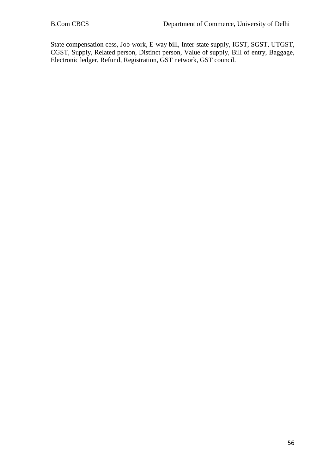State compensation cess, Job-work, E-way bill, Inter-state supply, IGST, SGST, UTGST, CGST, Supply, Related person, Distinct person, Value of supply, Bill of entry, Baggage, Electronic ledger, Refund, Registration, GST network, GST council.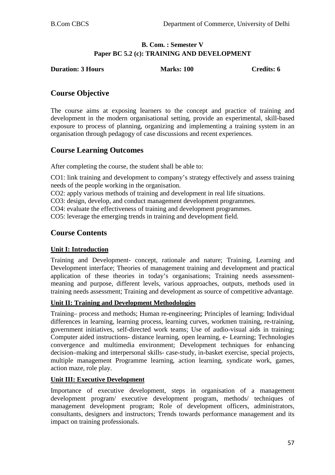## **B. Com. : Semester V Paper BC 5.2 (c): TRAINING AND DEVELOPMENT**

**Duration: 3 Hours Marks: 100 Credits: 6** 

# **Course Objective**

The course aims at exposing learners to the concept and practice of training and development in the modern organisational setting, provide an experimental, skill-based exposure to process of planning, organizing and implementing a training system in an organisation through pedagogy of case discussions and recent experiences.

# **Course Learning Outcomes**

After completing the course, the student shall be able to:

CO1: link training and development to company's strategy effectively and assess training needs of the people working in the organisation.

CO2: apply various methods of training and development in real life situations.

CO3: design, develop, and conduct management development programmes.

CO4: evaluate the effectiveness of training and development programmes.

CO5: leverage the emerging trends in training and development field.

# **Course Contents**

## **Unit I: Introduction**

Training and Development- concept, rationale and nature; Training, Learning and Development interface; Theories of management training and development and practical application of these theories in today's organisations; Training needs assessmentmeaning and purpose, different levels, various approaches, outputs, methods used in training needs assessment; Training and development as source of competitive advantage.

#### **Unit II: Training and Development Methodologies**

Training– process and methods; Human re-engineering; Principles of learning; Individual differences in learning, learning process, learning curves, workmen training, re-training, government initiatives, self-directed work teams; Use of audio-visual aids in training; Computer aided instructions- distance learning, open learning, e- Learning; Technologies convergence and multimedia environment; Development techniques for enhancing decision–making and interpersonal skills- case-study, in-basket exercise, special projects, multiple management Programme learning, action learning, syndicate work, games, action maze, role play.

#### **Unit III: Executive Development**

Importance of executive development, steps in organisation of a management development program/ executive development program, methods/ techniques of management development program; Role of development officers, administrators, consultants, designers and instructors; Trends towards performance management and its impact on training professionals.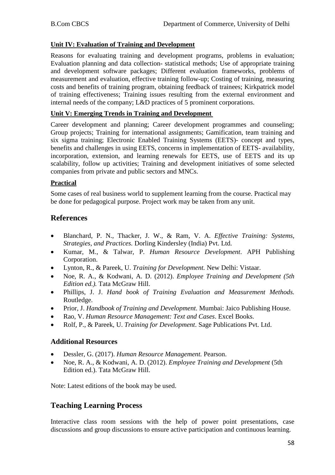#### **Unit IV: Evaluation of Training and Development**

Reasons for evaluating training and development programs, problems in evaluation; Evaluation planning and data collection- statistical methods; Use of appropriate training and development software packages; Different evaluation frameworks, problems of measurement and evaluation, effective training follow-up; Costing of training, measuring costs and benefits of training program, obtaining feedback of trainees; Kirkpatrick model of training effectiveness; Training issues resulting from the external environment and internal needs of the company; L&D practices of 5 prominent corporations.

#### **Unit V: Emerging Trends in Training and Development**

Career development and planning; Career development programmes and counseling; Group projects; Training for international assignments; Gamification, team training and six sigma training; Electronic Enabled Training Systems (EETS)- concept and types, benefits and challenges in using EETS, concerns in implementation of EETS- availability, incorporation, extension, and learning renewals for EETS, use of EETS and its up scalability, follow up activities; Training and development initiatives of some selected companies from private and public sectors and MNCs.

#### **Practical**

Some cases of real business world to supplement learning from the course. Practical may be done for pedagogical purpose. Project work may be taken from any unit.

## **References**

- Blanchard, P. N., Thacker, J. W., & Ram, V. A. *Effective Training: Systems, Strategies, and Practices.* Dorling Kindersley (India) Pvt. Ltd.
- Kumar, M., & Talwar, P. *Human Resource Development*. APH Publishing Corporation.
- Lynton, R., & Pareek, U. *Training for Development.* New Delhi: Vistaar.
- Noe, R. A., & Kodwani, A. D. (2012). *Employee Training and Development (5th Edition ed.).* Tata McGraw Hill.
- Phillips, J. J. *Hand book of Training Evaluation and Measurement Methods.* Routledge.
- Prior, J. *Handbook of Training and Development*. Mumbai: Jaico Publishing House.
- Rao, V. *Human Resource Management: Text and Cases*. Excel Books.
- Rolf, P., & Pareek, U. *Training for Development*. Sage Publications Pvt. Ltd.

#### **Additional Resources**

- Dessler, G. (2017). *Human Resource Management.* Pearson.
- Noe, R. A., & Kodwani, A. D. (2012). *Employee Training and Development* (5th Edition ed.). Tata McGraw Hill.

Note: Latest editions of the book may be used.

## **Teaching Learning Process**

Interactive class room sessions with the help of power point presentations, case discussions and group discussions to ensure active participation and continuous learning.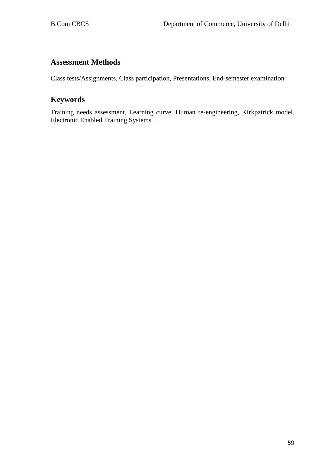# **Assessment Methods**

Class tests/Assignments, Class participation, Presentations, End-semester examination

# **Keywords**

Training needs assessment, Learning curve, Human re-engineering, Kirkpatrick model, Electronic Enabled Training Systems.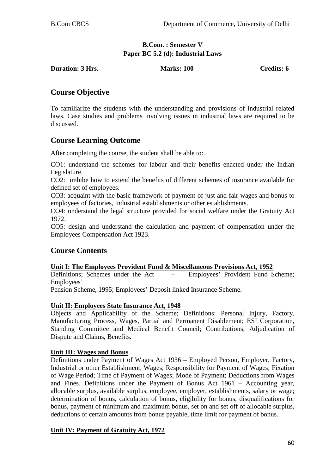## **B.Com. : Semester V Paper BC 5.2 (d): Industrial Laws**

**Duration: 3 Hrs. Marks: 100 Credits: 6**

# **Course Objective**

To familiarize the students with the understanding and provisions of industrial related laws. Case studies and problems involving issues in industrial laws are required to be discussed.

# **Course Learning Outcome**

After completing the course, the student shall be able to:

CO1: understand the schemes for labour and their benefits enacted under the Indian Legislature.

CO2: imbibe how to extend the benefits of different schemes of insurance available for defined set of employees.

CO3: acquaint with the basic framework of payment of just and fair wages and bonus to employees of factories, industrial establishments or other establishments.

CO4: understand the legal structure provided for social welfare under the Gratuity Act 1972.

CO5: design and understand the calculation and payment of compensation under the Employees Compensation Act 1923.

# **Course Contents**

**Unit I: The Employees Provident Fund & Miscellaneous Provisions Act, 1952**  Definitions; Schemes under the Act – Employees'

Pension Scheme, 1995; Employees' Deposit linked Insurance Scheme.

#### **Unit II: Employees State Insurance Act, 1948**

Objects and Applicability of the Scheme; Definitions: Personal Injury, Factory, Manufacturing Process, Wages, Partial and Permanent Disablement; ESI Corporation, Standing Committee and Medical Benefit Council; Contributions; Adjudication of Dispute and Claims, Benefits**.**

#### **Unit III: Wages and Bonus**

Definitions under Payment of Wages Act 1936 – Employed Person, Employer, Factory, Industrial or other Establishment, Wages; Responsibility for Payment of Wages; Fixation of Wage Period; Time of Payment of Wages; Mode of Payment; Deductions from Wages and Fines. Definitions under the Payment of Bonus Act 1961 – Accounting year, allocable surplus, available surplus, employee, employer, establishments, salary or wage; determination of bonus, calculation of bonus, eligibility for bonus, disqualifications for bonus, payment of minimum and maximum bonus, set on and set off of allocable surplus, deductions of certain amounts from bonus payable, time limit for payment of bonus.

## **Unit IV: Payment of Gratuity Act, 1972**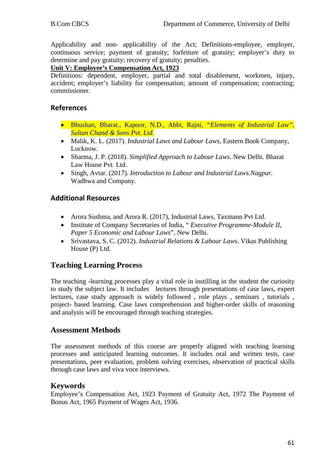Applicability and non- applicability of the Act; Definitions-employee, employer, continuous service; payment of gratuity; forfeiture of gratuity; employer's duty to determine and pay gratuity; recovery of gratuity; penalties.

#### **Unit V: Employee's Compensation Act, 1923**

Definitions: dependent, employer, partial and total disablement, workmen, injury, accident; employer's liability for compensation; amount of compensation; contracting; commissioner.

## **References**

- Bhushan, Bharat., Kapoor, N.D., Abbi, Rajni, *"Elements of Industrial Law". Sultan Chand & Sons Pvt. Ltd.*
- Malik, K. L. (2017). *Industrial Laws and Labour Laws*, Eastern Book Company, Lucknow.
- Sharma, J. P. (2018). *Simplified Approach to Labour Laws*. New Delhi. Bharat Law House Pvt. Ltd.
- Singh, Avtar. (2017). *Introduction to Labour and Industrial Laws.Nagpur.*  Wadhwa and Company.

## **Additional Resources**

- Arora Sushma, and Arora R. (2017), Industrial Laws, Taxmann Pvt Ltd.
- Institute of Company Secretaries of India, " *Executive Programme-Module II, Paper 5 Economic and Labour Laws*", New Delhi.
- Srivastava, S. C. (2012). *Industrial Relations & Labour Laws*. Vikas Publishing House (P) Ltd.

# **Teaching Learning Process**

The teaching -learning processes play a vital role in instilling in the student the curiosity to study the subject law. It includes lectures through presentations of case laws, expert lectures, case study approach is widely followed , role plays , seminars , tutorials , project- based learning. Case laws comprehension and higher-order skills of reasoning and analysis will be encouraged through teaching strategies.

## **Assessment Methods**

The assessment methods of this course are properly aligned with teaching learning processes and anticipated learning outcomes. It includes oral and written tests, case presentations, peer evaluation, problem solving exercises, observation of practical skills through case laws and viva voce interviews.

## **Keywords**

Employee's Compensation Act, 1923 Payment of Gratuity Act, 1972 The Payment of Bonus Act, 1965 Payment of Wages Act, 1936.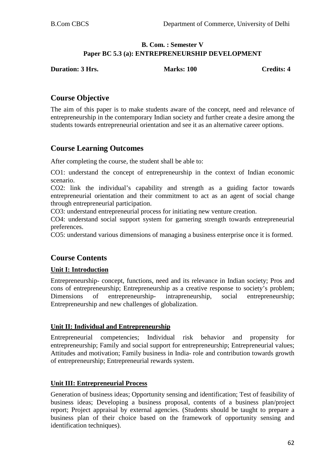#### **B. Com. : Semester V Paper BC 5.3 (a): ENTREPRENEURSHIP DEVELOPMENT**

**Duration: 3 Hrs.** Marks: 100 Credits: 4

# **Course Objective**

The aim of this paper is to make students aware of the concept, need and relevance of entrepreneurship in the contemporary Indian society and further create a desire among the students towards entrepreneurial orientation and see it as an alternative career options.

# **Course Learning Outcomes**

After completing the course, the student shall be able to:

CO1: understand the concept of entrepreneurship in the context of Indian economic scenario.

CO2: link the individual's capability and strength as a guiding factor towards entrepreneurial orientation and their commitment to act as an agent of social change through entrepreneurial participation.

CO3: understand entrepreneurial process for initiating new venture creation.

CO4: understand social support system for garnering strength towards entrepreneurial preferences.

CO5: understand various dimensions of managing a business enterprise once it is formed.

# **Course Contents**

#### **Unit I: Introduction**

Entrepreneurship- concept, functions, need and its relevance in Indian society; Pros and cons of entrepreneurship; Entrepreneurship as a creative response to society's problem; Dimensions of entrepreneurship- intrapreneurship, social entrepreneurship; Entrepreneurship and new challenges of globalization.

#### **Unit II: Individual and Entrepreneurship**

Entrepreneurial competencies; Individual risk behavior and propensity for entrepreneurship; Family and social support for entrepreneurship; Entrepreneurial values; Attitudes and motivation; Family business in India- role and contribution towards growth of entrepreneurship; Entrepreneurial rewards system.

#### **Unit III: Entrepreneurial Process**

Generation of business ideas; Opportunity sensing and identification; Test of feasibility of business ideas; Developing a business proposal, contents of a business plan/project report; Project appraisal by external agencies. (Students should be taught to prepare a business plan of their choice based on the framework of opportunity sensing and identification techniques).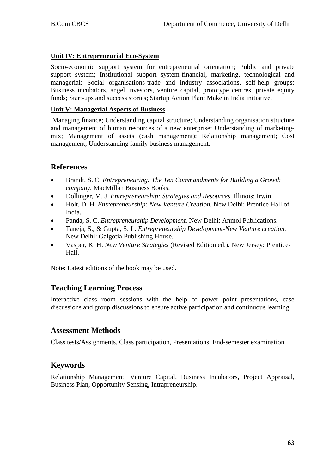## **Unit IV: Entrepreneurial Eco-System**

Socio-economic support system for entrepreneurial orientation; Public and private support system; Institutional support system-financial, marketing, technological and managerial; Social organisations-trade and industry associations, self-help groups; Business incubators, angel investors, venture capital, prototype centres, private equity funds; Start-ups and success stories; Startup Action Plan; Make in India initiative.

#### **Unit V: Managerial Aspects of Business**

Managing finance; Understanding capital structure; Understanding organisation structure and management of human resources of a new enterprise; Understanding of marketingmix; Management of assets (cash management); Relationship management; Cost management; Understanding family business management.

## **References**

- Brandt, S. C. *Entrepreneuring: The Ten Commandments for Building a Growth company.* MacMillan Business Books.
- Dollinger, M. J. *Entrepreneurship: Strategies and Resources.* Illinois: Irwin.
- Holt, D. H. *Entrepreneurship: New Venture Creation.* New Delhi: Prentice Hall of India.
- Panda, S. C. *Entrepreneurship Development.* New Delhi: Anmol Publications.
- Taneja, S., & Gupta, S. L. *Entrepreneurship Development-New Venture creation.* New Delhi: Galgotia Publishing House.
- Vasper, K. H. *New Venture Strategies* (Revised Edition ed.). New Jersey: Prentice-Hall.

Note: Latest editions of the book may be used.

## **Teaching Learning Process**

Interactive class room sessions with the help of power point presentations, case discussions and group discussions to ensure active participation and continuous learning.

## **Assessment Methods**

Class tests/Assignments, Class participation, Presentations, End-semester examination.

# **Keywords**

Relationship Management, Venture Capital, Business Incubators, Project Appraisal, Business Plan, Opportunity Sensing, Intrapreneurship.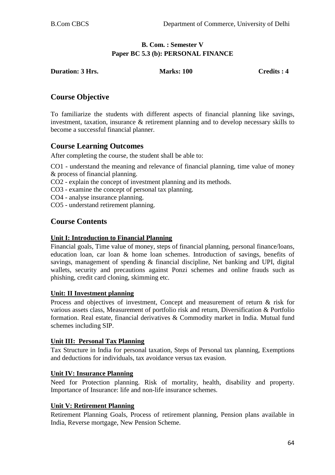## **B. Com. : Semester V Paper BC 5.3 (b): PERSONAL FINANCE**

| <b>Duration: 3 Hrs.</b> | <b>Marks: 100</b> | Credits: 4 |
|-------------------------|-------------------|------------|
|                         |                   |            |

# **Course Objective**

To familiarize the students with different aspects of financial planning like savings, investment, taxation, insurance & retirement planning and to develop necessary skills to become a successful financial planner.

# **Course Learning Outcomes**

After completing the course, the student shall be able to:

CO1 - understand the meaning and relevance of financial planning, time value of money & process of financial planning.

CO2 - explain the concept of investment planning and its methods.

CO3 - examine the concept of personal tax planning.

CO4 - analyse insurance planning.

CO5 - understand retirement planning.

# **Course Contents**

#### **Unit I: Introduction to Financial Planning**

Financial goals, Time value of money, steps of financial planning, personal finance/loans, education loan, car loan & home loan schemes. Introduction of savings, benefits of savings, management of spending & financial discipline, Net banking and UPI, digital wallets, security and precautions against Ponzi schemes and online frauds such as phishing, credit card cloning, skimming etc.

#### **Unit: II Investment planning**

Process and objectives of investment, Concept and measurement of return & risk for various assets class, Measurement of portfolio risk and return, Diversification & Portfolio formation. Real estate, financial derivatives & Commodity market in India. Mutual fund schemes including SIP.

#### **Unit III: Personal Tax Planning**

Tax Structure in India for personal taxation, Steps of Personal tax planning, Exemptions and deductions for individuals, tax avoidance versus tax evasion.

#### **Unit IV: Insurance Planning**

Need for Protection planning. Risk of mortality, health, disability and property. Importance of Insurance: life and non-life insurance schemes.

#### **Unit V: Retirement Planning**

Retirement Planning Goals, Process of retirement planning, Pension plans available in India, Reverse mortgage, New Pension Scheme.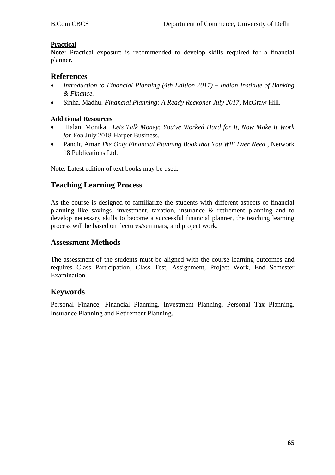#### **Practical**

**Note:** Practical exposure is recommended to develop skills required for a financial planner.

## **References**

- *Introduction to Financial Planning (4th Edition 2017) – Indian Institute of Banking & Finance.*
- Sinha, Madhu. *Financial Planning: A Ready Reckoner July 2017,* McGraw Hill.

#### **Additional Resources**

- Halan, Monika*. Lets Talk Money: You've Worked Hard for It, Now Make It Work for You* July 2018 Harper Business.
- Pandit, Amar *The Only Financial Planning Book that You Will Ever Need* , Network 18 Publications Ltd.

Note: Latest edition of text books may be used.

# **Teaching Learning Process**

As the course is designed to familiarize the students with different aspects of financial planning like savings, investment, taxation, insurance & retirement planning and to develop necessary skills to become a successful financial planner, the teaching learning process will be based on lectures/seminars, and project work.

## **Assessment Methods**

The assessment of the students must be aligned with the course learning outcomes and requires Class Participation, Class Test, Assignment, Project Work, End Semester Examination.

## **Keywords**

Personal Finance, Financial Planning, Investment Planning, Personal Tax Planning, Insurance Planning and Retirement Planning.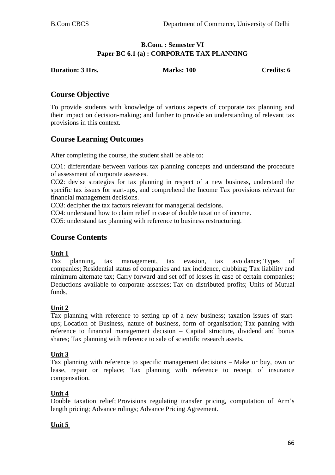## **B.Com. : Semester VI Paper BC 6.1 (a) : CORPORATE TAX PLANNING**

| <b>Duration: 3 Hrs.</b> | <b>Marks: 100</b> | Credits: 6 |
|-------------------------|-------------------|------------|
|                         |                   |            |

# **Course Objective**

To provide students with knowledge of various aspects of corporate tax planning and their impact on decision-making; and further to provide an understanding of relevant tax provisions in this context.

# **Course Learning Outcomes**

After completing the course, the student shall be able to:

CO1: differentiate between various tax planning concepts and understand the procedure of assessment of corporate assesses.

CO2: devise strategies for tax planning in respect of a new business, understand the specific tax issues for start-ups, and comprehend the Income Tax provisions relevant for financial management decisions.

CO3: decipher the tax factors relevant for managerial decisions.

CO4: understand how to claim relief in case of double taxation of income.

CO5: understand tax planning with reference to business restructuring.

## **Course Contents**

#### **Unit 1**

Tax planning, tax management, tax evasion, tax avoidance; Types of companies; Residential status of companies and tax incidence, clubbing; Tax liability and minimum alternate tax; Carry forward and set off of losses in case of certain companies; Deductions available to corporate assesses; Tax on distributed profits; Units of Mutual funds.

#### **Unit 2**

Tax planning with reference to setting up of a new business; taxation issues of startups; Location of Business, nature of business, form of organisation; Tax panning with reference to financial management decision – Capital structure, dividend and bonus shares; Tax planning with reference to sale of scientific research assets.

## **Unit 3**

Tax planning with reference to specific management decisions – Make or buy, own or lease, repair or replace; Tax planning with reference to receipt of insurance compensation.

## **Unit 4**

Double taxation relief; Provisions regulating transfer pricing, computation of Arm's length pricing; Advance rulings; Advance Pricing Agreement.

## **Unit 5**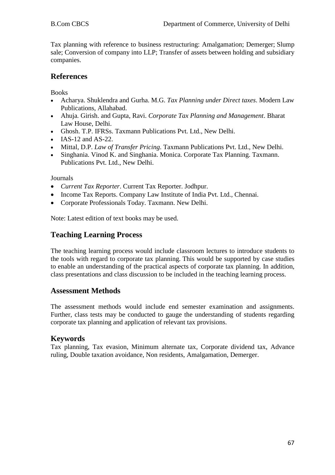Tax planning with reference to business restructuring: Amalgamation; Demerger; Slump sale; Conversion of company into LLP; Transfer of assets between holding and subsidiary companies.

# **References**

Books

- Acharya. Shuklendra and Gurha. M.G. *Tax Planning under Direct taxes*. Modern Law Publications, Allahabad.
- Ahuja*.* Girish. and Gupta, Ravi. *Corporate Tax Planning and Management*. Bharat Law House, Delhi.
- Ghosh. T.P. IFRSs. Taxmann Publications Pvt. Ltd., New Delhi.
- IAS-12 and AS-22.
- Mittal, D.P. *Law of Transfer Pricing*. Taxmann Publications Pvt. Ltd., New Delhi.
- Singhania. Vinod K. and Singhania. Monica. Corporate Tax Planning. Taxmann. Publications Pvt. Ltd., New Delhi.

Journals

- *Current Tax Reporter*. Current Tax Reporter. Jodhpur.
- Income Tax Reports. Company Law Institute of India Pvt. Ltd., Chennai.
- Corporate Professionals Today. Taxmann. New Delhi.

Note: Latest edition of text books may be used.

# **Teaching Learning Process**

The teaching learning process would include classroom lectures to introduce students to the tools with regard to corporate tax planning. This would be supported by case studies to enable an understanding of the practical aspects of corporate tax planning. In addition, class presentations and class discussion to be included in the teaching learning process.

## **Assessment Methods**

The assessment methods would include end semester examination and assignments. Further, class tests may be conducted to gauge the understanding of students regarding corporate tax planning and application of relevant tax provisions.

## **Keywords**

Tax planning, Tax evasion, Minimum alternate tax, Corporate dividend tax, Advance ruling, Double taxation avoidance, Non residents, Amalgamation, Demerger.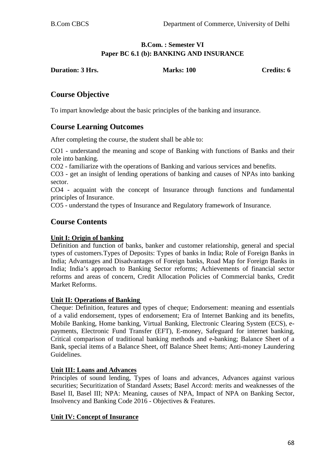## **B.Com. : Semester VI Paper BC 6.1 (b): BANKING AND INSURANCE**

**Duration: 3 Hrs.** Marks: 100 Credits: 6

# **Course Objective**

To impart knowledge about the basic principles of the banking and insurance.

# **Course Learning Outcomes**

After completing the course, the student shall be able to:

CO1 - understand the meaning and scope of Banking with functions of Banks and their role into banking.

CO2 - familiarize with the operations of Banking and various services and benefits.

CO3 - get an insight of lending operations of banking and causes of NPAs into banking sector.

CO4 - acquaint with the concept of Insurance through functions and fundamental principles of Insurance.

CO5 - understand the types of Insurance and Regulatory framework of Insurance.

# **Course Contents**

#### **Unit I: Origin of banking**

Definition and function of banks, banker and customer relationship, general and special types of customers.Types of Deposits: Types of banks in India; Role of Foreign Banks in India; Advantages and Disadvantages of Foreign banks, Road Map for Foreign Banks in India; India's approach to Banking Sector reforms; Achievements of financial sector reforms and areas of concern, Credit Allocation Policies of Commercial banks, Credit Market Reforms.

#### **Unit II: Operations of Banking**

Cheque: Definition, features and types of cheque; Endorsement: meaning and essentials of a valid endorsement, types of endorsement; Era of Internet Banking and its benefits, Mobile Banking, Home banking, Virtual Banking, Electronic Clearing System (ECS), epayments, Electronic Fund Transfer (EFT), E-money, Safeguard for internet banking, Critical comparison of traditional banking methods and e-banking; Balance Sheet of a Bank, special items of a Balance Sheet, off Balance Sheet Items; Anti-money Laundering Guidelines.

## **Unit III: Loans and Advances**

Principles of sound lending, Types of loans and advances, Advances against various securities; Securitization of Standard Assets; Basel Accord: merits and weaknesses of the Basel II, Basel III; NPA: Meaning, causes of NPA, Impact of NPA on Banking Sector, Insolvency and Banking Code 2016 - Objectives & Features.

## **Unit IV: Concept of Insurance**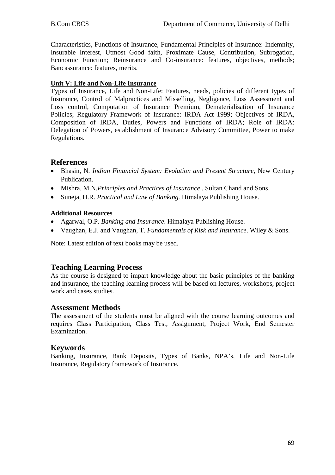Characteristics, Functions of Insurance, Fundamental Principles of Insurance: Indemnity, Insurable Interest, Utmost Good faith, Proximate Cause, Contribution, Subrogation, Economic Function; Reinsurance and Co-insurance: features, objectives, methods; Bancassurance: features, merits.

## **Unit V: Life and Non-Life Insurance**

Types of Insurance, Life and Non-Life: Features, needs, policies of different types of Insurance, Control of Malpractices and Misselling, Negligence, Loss Assessment and Loss control, Computation of Insurance Premium, Dematerialisation of Insurance Policies; Regulatory Framework of Insurance: IRDA Act 1999; Objectives of IRDA, Composition of IRDA, Duties, Powers and Functions of IRDA; Role of IRDA: Delegation of Powers, establishment of Insurance Advisory Committee, Power to make Regulations.

# **References**

- Bhasin, N*. Indian Financial System: Evolution and Present Structure,* New Century Publication.
- Mishra, M.N*.Principles and Practices of Insurance .* Sultan Chand and Sons.
- Suneja, H.R. *Practical and Law of Banking.* Himalaya Publishing House.

## **Additional Resources**

- Agarwal, O.P. *Banking and Insurance*. Himalaya Publishing House.
- Vaughan, E.J. and Vaughan, T. *Fundamentals of Risk and Insurance*. Wiley & Sons.

Note: Latest edition of text books may be used.

## **Teaching Learning Process**

As the course is designed to impart knowledge about the basic principles of the banking and insurance, the teaching learning process will be based on lectures, workshops, project work and cases studies.

#### **Assessment Methods**

The assessment of the students must be aligned with the course learning outcomes and requires Class Participation, Class Test, Assignment, Project Work, End Semester Examination.

## **Keywords**

Banking, Insurance, Bank Deposits, Types of Banks, NPA's, Life and Non-Life Insurance, Regulatory framework of Insurance.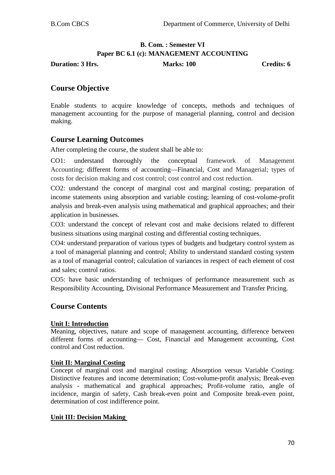# **B. Com. : Semester VI Paper BC 6.1 (c): MANAGEMENT ACCOUNTING**

**Duration: 3 Hrs.** Marks: 100 **Credits: 6** Credits: 6

# **Course Objective**

Enable students to acquire knowledge of concepts, methods and techniques of management accounting for the purpose of managerial planning, control and decision making.

## **Course Learning Outcomes**

After completing the course, the student shall be able to:

CO1: understand thoroughly the conceptual framework of Management Accounting; different forms of accounting––Financial, Cost and Managerial; types of costs for decision making and cost control; cost control and cost reduction.

CO2: understand the concept of marginal cost and marginal costing; preparation of income statements using absorption and variable costing; learning of cost-volume-profit analysis and break-even analysis using mathematical and graphical approaches; and their application in businesses.

CO3: understand the concept of relevant cost and make decisions related to different business situations using marginal costing and differential costing techniques.

CO4: understand preparation of various types of budgets and budgetary control system as a tool of managerial planning and control; Ability to understand standard costing system as a tool of managerial control; calculation of variances in respect of each element of cost and sales; control ratios.

CO5: have basic understanding of techniques of performance measurement such as Responsibility Accounting, Divisional Performance Measurement and Transfer Pricing.

## **Course Contents**

#### **Unit I: Introduction**

Meaning, objectives, nature and scope of management accounting, difference between different forms of accounting–– Cost, Financial and Management accounting, Cost control and Cost reduction.

#### **Unit II: Marginal Costing**

Concept of marginal cost and marginal costing; Absorption versus Variable Costing: Distinctive features and income determination; Cost-volume-profit analysis; Break-even analysis - mathematical and graphical approaches; Profit-volume ratio, angle of incidence, margin of safety, Cash break-even point and Composite break-even point, determination of cost indifference point.

#### **Unit III: Decision Making**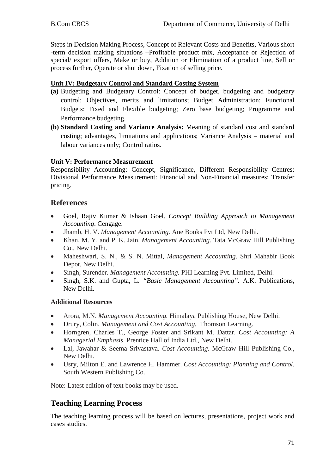Steps in Decision Making Process, Concept of Relevant Costs and Benefits, Various short -term decision making situations –Profitable product mix, Acceptance or Rejection of special/ export offers, Make or buy, Addition or Elimination of a product line, Sell or process further, Operate or shut down, Fixation of selling price.

## **Unit IV: Budgetary Control and Standard Costing System**

- **(a)** Budgeting and Budgetary Control: Concept of budget, budgeting and budgetary control; Objectives, merits and limitations; Budget Administration; Functional Budgets; Fixed and Flexible budgeting; Zero base budgeting; Programme and Performance budgeting.
- **(b) Standard Costing and Variance Analysis:** Meaning of standard cost and standard costing; advantages, limitations and applications; Variance Analysis – material and labour variances only; Control ratios.

## **Unit V: Performance Measurement**

Responsibility Accounting: Concept, Significance, Different Responsibility Centres; Divisional Performance Measurement: Financial and Non-Financial measures; Transfer pricing.

# **References**

- Goel, Rajiv Kumar & Ishaan Goel. *Concept Building Approach to Management Accounting*. Cengage.
- Jhamb, H. V. *Management Accounting.* Ane Books Pvt Ltd, New Delhi.
- Khan, M. Y. and P. K. Jain. *Management Accounting*. Tata McGraw Hill Publishing Co., New Delhi.
- Maheshwari, S. N., & S. N. Mittal, *Management Accounting*. Shri Mahabir Book Depot, New Delhi.
- Singh, Surender. *Management Accounting.* PHI Learning Pvt. Limited, Delhi.
- Singh, S.K. and Gupta, L. *"Basic Management Accounting".* A.K. Publications, New Delhi*.*

## **Additional Resources**

- Arora, M.N. *Management Accounting.* Himalaya Publishing House, New Delhi.
- Drury, Colin. *Management and Cost Accounting.* Thomson Learning.
- Horngren, Charles T., George Foster and Srikant M. Dattar. *Cost Accounting: A Managerial Emphasis*. Prentice Hall of India Ltd., New Delhi.
- Lal, Jawahar & Seema Srivastava. *Cost Accounting.* McGraw Hill Publishing Co., New Delhi.
- Usry, Milton E. and Lawrence H. Hammer. *Cost Accounting: Planning and Control*. South Western Publishing Co.

Note: Latest edition of text books may be used.

# **Teaching Learning Process**

The teaching learning process will be based on lectures, presentations, project work and cases studies.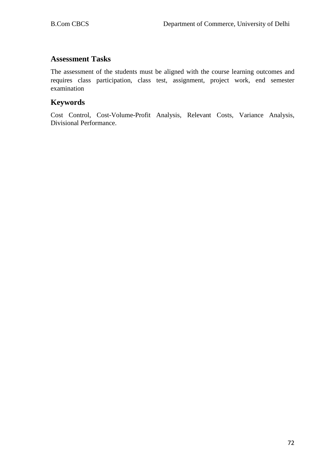# **Assessment Tasks**

The assessment of the students must be aligned with the course learning outcomes and requires class participation, class test, assignment, project work, end semester examination

# **Keywords**

Cost Control, Cost-Volume-Profit Analysis, Relevant Costs, Variance Analysis, Divisional Performance.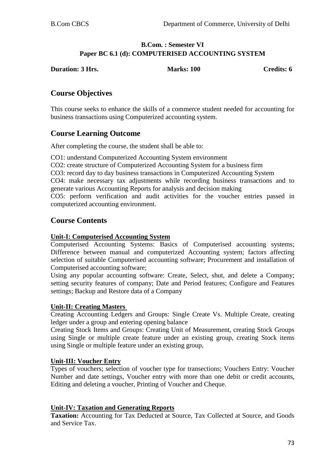#### **B.Com. : Semester VI Paper BC 6.1 (d): COMPUTERISED ACCOUNTING SYSTEM**

| <b>Duration: 3 Hrs.</b> | <b>Marks: 100</b> | <b>Credits: 6</b> |
|-------------------------|-------------------|-------------------|
|                         |                   |                   |

# **Course Objectives**

This course seeks to enhance the skills of a commerce student needed for accounting for business transactions using Computerized accounting system.

## **Course Learning Outcome**

After completing the course, the student shall be able to:

CO1: understand Computerized Accounting System environment

CO2: create structure of Computerized Accounting System for a business firm

CO3: record day to day business transactions in Computerized Accounting System

CO4: make necessary tax adjustments while recording business transactions and to generate various Accounting Reports for analysis and decision making

CO5: perform verification and audit activities for the voucher entries passed in computerized accounting environment.

## **Course Contents**

#### **Unit-I: Computerised Accounting System**

Computerised Accounting Systems: Basics of Computerised accounting systems; Difference between manual and computerized Accounting system; factors affecting selection of suitable Computerised accounting software; Procurement and installation of Computerised accounting software;

Using any popular accounting software: Create, Select, shut, and delete a Company; setting security features of company; Date and Period features; Configure and Features settings; Backup and Restore data of a Company

#### **Unit-II: Creating Masters**

Creating Accounting Ledgers and Groups: Single Create Vs. Multiple Create, creating ledger under a group and entering opening balance

Creating Stock Items and Groups: Creating Unit of Measurement, creating Stock Groups using Single or multiple create feature under an existing group, creating Stock items using Single or multiple feature under an existing group,

#### **Unit-III: Voucher Entry**

Types of vouchers; selection of voucher type for transections; Vouchers Entry: Voucher Number and date settings, Voucher entry with more than one debit or credit accounts, Editing and deleting a voucher, Printing of Voucher and Cheque.

#### **Unit-IV: Taxation and Generating Reports**

**Taxation:** Accounting for Tax Deducted at Source, Tax Collected at Source, and Goods and Service Tax.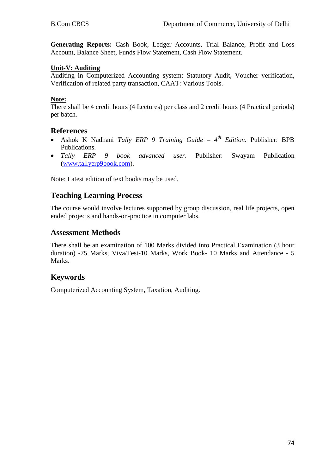**Generating Reports:** Cash Book, Ledger Accounts, Trial Balance, Profit and Loss Account, Balance Sheet, Funds Flow Statement, Cash Flow Statement.

#### **Unit-V: Auditing**

Auditing in Computerized Accounting system: Statutory Audit, Voucher verification, Verification of related party transaction, CAAT: Various Tools.

#### **Note:**

There shall be 4 credit hours (4 Lectures) per class and 2 credit hours (4 Practical periods) per batch.

## **References**

- Ashok K Nadhani *Tally ERP 9 Training Guide – 4th Edition*. Publisher: BPB Publications.
- *Tally ERP 9 book advanced user*. Publisher: Swayam Publication [\(www.tallyerp9book.com\)](http://www.tallyerp9book.com/).

Note: Latest edition of text books may be used.

## **Teaching Learning Process**

The course would involve lectures supported by group discussion, real life projects, open ended projects and hands-on-practice in computer labs.

## **Assessment Methods**

There shall be an examination of 100 Marks divided into Practical Examination (3 hour duration) -75 Marks, Viva/Test-10 Marks, Work Book- 10 Marks and Attendance - 5 Marks.

## **Keywords**

Computerized Accounting System, Taxation, Auditing.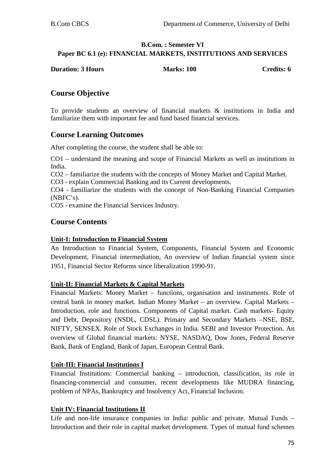## **B.Com. : Semester VI Paper BC 6.1 (e): FINANCIAL MARKETS, INSTITUTIONS AND SERVICES**

| <b>Duration: 3 Hours</b> | <b>Marks: 100</b> | Credits: 6 |
|--------------------------|-------------------|------------|
|                          |                   |            |

# **Course Objective**

To provide students an overview of financial markets & institutions in India and familiarize them with important fee and fund based financial services.

# **Course Learning Outcomes**

After completing the course, the student shall be able to:

CO1 – understand the meaning and scope of Financial Markets as well as institutions in India.

CO2 – familiarize the students with the concepts of Money Market and Capital Market.

CO3 - explain Commercial Banking and its Current developments.

CO4 - familiarize the students with the concept of Non-Banking Financial Companies (NBFC's).

CO5 - examine the Financial Services Industry.

## **Course Contents**

#### **Unit-I: Introduction to Financial System**

An Introduction to Financial System, Components, Financial System and Economic Development, Financial intermediation, An overview of Indian financial system since 1951, Financial Sector Reforms since liberalization 1990-91.

#### **Unit-II: Financial Markets & Capital Markets**

Financial Markets: Money Market – functions, organisation and instruments. Role of central bank in money market. Indian Money Market – an overview. Capital Markets – Introduction, role and functions. Components of Capital market. Cash markets- Equity and Debt, Depository (NSDL, CDSL). Primary and Secondary Markets –NSE, BSE, NIFTY, SENSEX. Role of Stock Exchanges in India. SEBI and Investor Protection. An overview of Global financial markets: NYSE, NASDAQ, Dow Jones, Federal Reserve Bank, Bank of England, Bank of Japan, European Central Bank.

#### **Unit-III: Financial Institutions I**

Financial Institutions: Commercial banking – introduction, classification, its role in financing-commercial and consumer, recent developments like MUDRA financing, problem of NPAs, Bankruptcy and Insolvency Act, Financial Inclusion.

#### **Unit IV: Financial Institutions II**

Life and non-life insurance companies in India: public and private. Mutual Funds – Introduction and their role in capital market development. Types of mutual fund schemes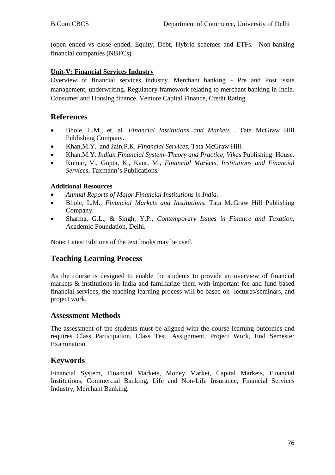(open ended vs close ended, Equity, Debt, Hybrid schemes and ETFs. Non-banking financial companies (NBFCs).

## **Unit-V: Financial Services Industry**

Overview of financial services industry. Merchant banking – Pre and Post issue management, underwriting. Regulatory framework relating to merchant banking in India. Consumer and Housing finance, Venture Capital Finance, Credit Rating.

## **References**

- Bhole, L.M., et. al. *Financial Institutions and Markets .* Tata McGraw Hill Publishing Company.
- Khan,M.Y. and Jain,P.K*. Financial Services*, Tata McGraw Hill.
- Khan,M.Y. *Indian Financial System–Theory and Practice, Vikas* Publishing House.
- Kumar, V., Gupta, K., Kaur, M., *Financial Markets, Institutions and Financial Services,* Taxmann's Publications*.*

## **Additional Resources**

- *Annual Reports of Major Financial Institutions in India.*
- Bhole, L.M., *Financial Markets and Institutions.* Tata McGraw Hill Publishing Company.
- Sharma, G.L., & Singh, Y.P., *Contemporary Issues in Finance and Taxation,*  Academic Foundation, Delhi*.*

Note**:** Latest Editions of the text books may be used.

## **Teaching Learning Process**

As the course is designed to enable the students to provide an overview of financial markets & institutions in India and familiarize them with important fee and fund based financial services, the teaching learning process will be based on lectures/seminars, and project work.

## **Assessment Methods**

The assessment of the students must be aligned with the course learning outcomes and requires Class Participation, Class Test, Assignment, Project Work, End Semester Examination.

## **Keywords**

Financial System, Financial Markets, Money Market, Capital Markets, Financial Institutions, Commercial Banking, Life and Non-Life Insurance, Financial Services Industry, Merchant Banking.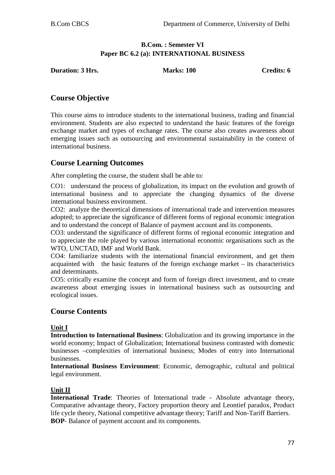## **B.Com. : Semester VI Paper BC 6.2 (a): INTERNATIONAL BUSINESS**

**Duration: 3 Hrs.** Marks: 100 **Credits: 6** Credits: 6

# **Course Objective**

This course aims to introduce students to the international business, trading and financial environment. Students are also expected to understand the basic features of the foreign exchange market and types of exchange rates. The course also creates awareness about emerging issues such as outsourcing and environmental sustainability in the context of international business.

# **Course Learning Outcomes**

After completing the course, the student shall be able to:

CO1: understand the process of globalization, its impact on the evolution and growth of international business and to appreciate the changing dynamics of the diverse international business environment.

CO2: analyze the theoretical dimensions of international trade and intervention measures adopted; to appreciate the significance of different forms of regional economic integration and to understand the concept of Balance of payment account and its components.

CO3: understand the significance of different forms of regional economic integration and to appreciate the role played by various international economic organisations such as the WTO, UNCTAD, IMF and World Bank.

CO4: familiarize students with the international financial environment, and get them acquainted with the basic features of the foreign exchange market – its characteristics and determinants.

CO5: critically examine the concept and form of foreign direct investment, and to create awareness about emerging issues in international business such as outsourcing and ecological issues.

# **Course Contents**

#### **Unit I**

**Introduction to International Business**: Globalization and its growing importance in the world economy; Impact of Globalization; International business contrasted with domestic businesses –complexities of international business; Modes of entry into International businesses.

**International Business Environment**: Economic, demographic, cultural and political legal environment.

## **Unit II**

**International Trade**: Theories of International trade - Absolute advantage theory, Comparative advantage theory, Factory proportion theory and Leontief paradox, Product life cycle theory, National competitive advantage theory; Tariff and Non-Tariff Barriers. **BOP**- Balance of payment account and its components.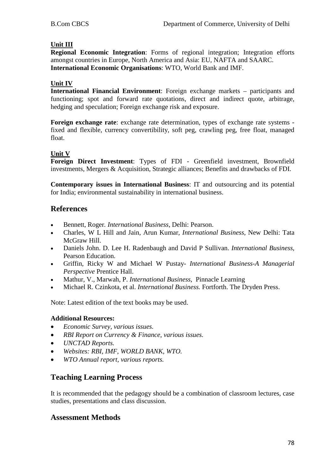#### **Unit III**

**Regional Economic Integration**: Forms of regional integration; Integration efforts amongst countries in Europe, North America and Asia: EU, NAFTA and SAARC. **International Economic Organisations**: WTO, World Bank and IMF.

#### **Unit IV**

**International Financial Environment**: Foreign exchange markets – participants and functioning; spot and forward rate quotations, direct and indirect quote, arbitrage, hedging and speculation; Foreign exchange risk and exposure.

**Foreign exchange rate**: exchange rate determination, types of exchange rate systems fixed and flexible, currency convertibility, soft peg, crawling peg, free float, managed float.

#### **Unit V**

**Foreign Direct Investment**: Types of FDI - Greenfield investment, Brownfield investments, Mergers & Acquisition, Strategic alliances; Benefits and drawbacks of FDI.

**Contemporary issues in International Business**: IT and outsourcing and its potential for India; environmental sustainability in international business.

## **References**

- Bennett, Roger*. International Business*, Delhi: Pearson.
- Charles, W L Hill and Jain, Arun Kumar, *International Business*, New Delhi: Tata McGraw Hill.
- Daniels John. D. Lee H. Radenbaugh and David P Sullivan. *International Business*, Pearson Education.
- Griffin, Ricky W and Michael W Pustay- *International Business-A Managerial Perspective* Prentice Hall.
- Mathur, V., Marwah, P. *International Business*, Pinnacle Learning
- Michael R. Czinkota, et al. *International Business.* Fortforth. The Dryden Press.

Note: Latest edition of the text books may be used.

#### **Additional Resources:**

- *Economic Survey, various issues.*
- *RBI Report on Currency & Finance, various issues.*
- *UNCTAD Reports.*
- *Websites: RBI, IMF, WORLD BANK, WTO.*
- *WTO Annual report, various reports.*

## **Teaching Learning Process**

It is recommended that the pedagogy should be a combination of classroom lectures, case studies, presentations and class discussion.

#### **Assessment Methods**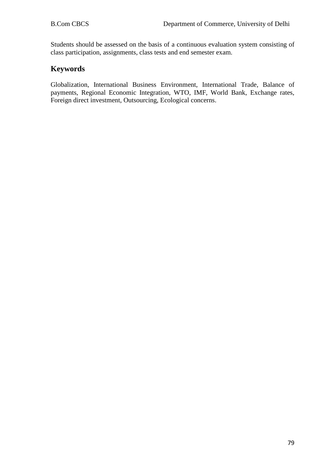Students should be assessed on the basis of a continuous evaluation system consisting of class participation, assignments, class tests and end semester exam.

## **Keywords**

Globalization, International Business Environment, International Trade, Balance of payments, Regional Economic Integration, WTO, IMF, World Bank, Exchange rates, Foreign direct investment, Outsourcing, Ecological concerns.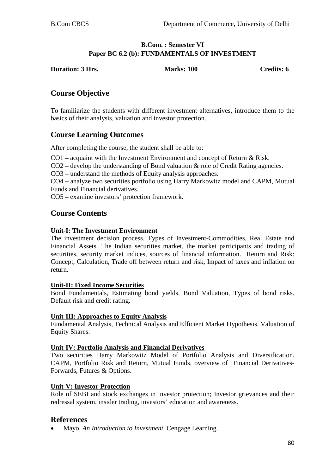## **B.Com. : Semester VI Paper BC 6.2 (b): FUNDAMENTALS OF INVESTMENT**

**Duration: 3 Hrs.** Marks: 100 **Credits: 6** Credits: 6

# **Course Objective**

To familiarize the students with different investment alternatives, introduce them to the basics of their analysis, valuation and investor protection.

# **Course Learning Outcomes**

After completing the course, the student shall be able to:

CO1 **–** acquaint with the Investment Environment and concept of Return & Risk.

CO2 **–** develop the understanding of Bond valuation & role of Credit Rating agencies.

CO3 **–** understand the methods of Equity analysis approaches.

CO4 **–** analyze two securities portfolio using Harry Markowitz model and CAPM, Mutual Funds and Financial derivatives.

CO5 **–** examine investors' protection framework.

# **Course Contents**

## **Unit-I: The Investment Environment**

The investment decision process. Types of Investment-Commodities, Real Estate and Financial Assets. The Indian securities market, the market participants and trading of securities, security market indices, sources of financial information. Return and Risk: Concept, Calculation, Trade off between return and risk, Impact of taxes and inflation on return.

## **Unit-II: Fixed Income Securities**

Bond Fundamentals, Estimating bond yields, Bond Valuation, Types of bond risks. Default risk and credit rating.

#### **Unit-III: Approaches to Equity Analysis**

Fundamental Analysis, Technical Analysis and Efficient Market Hypothesis. Valuation of Equity Shares.

## **Unit-IV: Portfolio Analysis and Financial Derivatives**

Two securities Harry Markowitz Model of Portfolio Analysis and Diversification. CAPM, Portfolio Risk and Return, Mutual Funds, overview of Financial Derivatives-Forwards, Futures & Options.

## **Unit-V: Investor Protection**

Role of SEBI and stock exchanges in investor protection; Investor grievances and their redressal system, insider trading, investors' education and awareness.

## **References**

• Mayo, *An Introduction to Investment.* Cengage Learning.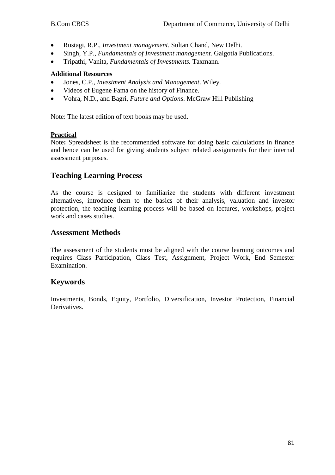- Rustagi, R.P., *Investment management.* Sultan Chand, New Delhi*.*
- Singh, Y.P., *Fundamentals of Investment management.* Galgotia Publications.
- Tripathi, Vanita*, Fundamentals of Investments.* Taxmann.

#### **Additional Resources**

- Jones, C.P., *Investment Analysis and Management*. Wiley.
- Videos of Eugene Fama on the history of Finance.
- Vohra, N.D., and Bagri, *Future and Options*. McGraw Hill Publishing

Note: The latest edition of text books may be used.

#### **Practical**

Note**:** Spreadsheet is the recommended software for doing basic calculations in finance and hence can be used for giving students subject related assignments for their internal assessment purposes.

## **Teaching Learning Process**

As the course is designed to familiarize the students with different investment alternatives, introduce them to the basics of their analysis, valuation and investor protection, the teaching learning process will be based on lectures, workshops, project work and cases studies.

#### **Assessment Methods**

The assessment of the students must be aligned with the course learning outcomes and requires Class Participation, Class Test, Assignment, Project Work, End Semester Examination.

## **Keywords**

Investments, Bonds, Equity, Portfolio, Diversification, Investor Protection, Financial Derivatives.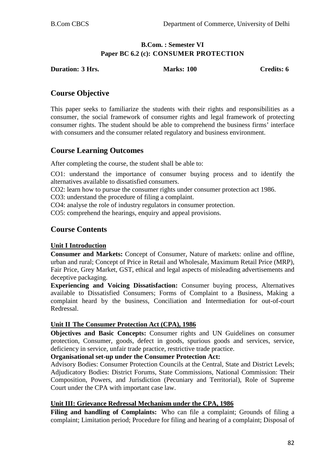## **B.Com. : Semester VI Paper BC 6.2 (c): CONSUMER PROTECTION**

**Duration: 3 Hrs. Marks: 100 Credits: 6**

## **Course Objective**

This paper seeks to familiarize the students with their rights and responsibilities as a consumer, the social framework of consumer rights and legal framework of protecting consumer rights. The student should be able to comprehend the business firms' interface with consumers and the consumer related regulatory and business environment.

# **Course Learning Outcomes**

After completing the course, the student shall be able to:

CO1: understand the importance of consumer buying process and to identify the alternatives available to dissatisfied consumers.

CO2: learn how to pursue the consumer rights under consumer protection act 1986.

CO3: understand the procedure of filing a complaint.

CO4: analyse the role of industry regulators in consumer protection.

CO5: comprehend the hearings, enquiry and appeal provisions.

## **Course Contents**

## **Unit I Introduction**

**Consumer and Markets:** Concept of Consumer, Nature of markets: online and offline, urban and rural; Concept of Price in Retail and Wholesale, Maximum Retail Price (MRP), Fair Price, Grey Market, GST, ethical and legal aspects of misleading advertisements and deceptive packaging.

**Experiencing and Voicing Dissatisfaction:** Consumer buying process, Alternatives available to Dissatisfied Consumers; Forms of Complaint to a Business, Making a complaint heard by the business, Conciliation and Intermediation for out-of-court Redressal.

#### **Unit II The Consumer Protection Act (CPA), 1986**

**Objectives and Basic Concepts:** Consumer rights and UN Guidelines on consumer protection, Consumer, goods, defect in goods, spurious goods and services, service, deficiency in service, unfair trade practice, restrictive trade practice.

**Organisational set-up under the Consumer Protection Act:** 

Advisory Bodies: Consumer Protection Councils at the Central, State and District Levels; Adjudicatory Bodies: District Forums, State Commissions, National Commission: Their Composition, Powers, and Jurisdiction (Pecuniary and Territorial), Role of Supreme Court under the CPA with important case law.

#### **Unit III: Grievance Redressal Mechanism under the CPA, 1986**

Filing and handling of Complaints: Who can file a complaint; Grounds of filing a complaint; Limitation period; Procedure for filing and hearing of a complaint; Disposal of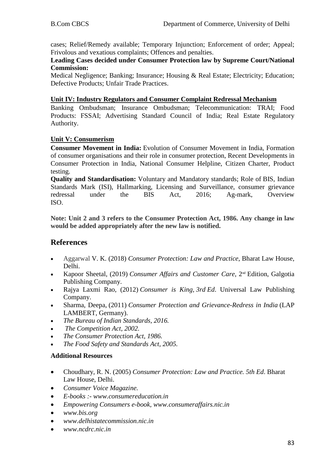cases; Relief/Remedy available; Temporary Injunction; Enforcement of order; Appeal; Frivolous and vexatious complaints; Offences and penalties.

**Leading Cases decided under Consumer Protection law by Supreme Court/National Commission:**

Medical Negligence; Banking; Insurance; Housing & Real Estate; Electricity; Education; Defective Products; Unfair Trade Practices.

#### **Unit IV: Industry Regulators and Consumer Complaint Redressal Mechanism**

Banking Ombudsman; Insurance Ombudsman; Telecommunication: TRAI; Food Products: FSSAI; Advertising Standard Council of India; Real Estate Regulatory Authority.

#### **Unit V: Consumerism**

**Consumer Movement in India:** Evolution of Consumer Movement in India, Formation of consumer organisations and their role in consumer protection, Recent Developments in Consumer Protection in India, National Consumer Helpline, Citizen Charter, Product testing.

**Quality and Standardisation:** Voluntary and Mandatory standards; Role of BIS, Indian Standards Mark (ISI), Hallmarking, Licensing and Surveillance, consumer grievance redressal under the BIS Act, 2016; Ag-mark, Overview ISO.

**Note: Unit 2 and 3 refers to the Consumer Protection Act, 1986. Any change in law would be added appropriately after the new law is notified.**

## **References**

- Aggarwal V. K. (2018) *Consumer Protection: Law and Practice*, Bharat Law House, Delhi.
- Kapoor Sheetal, (2019) *Consumer Affairs and Customer Care*, 2<sup>nd</sup> Edition, Galgotia Publishing Company.
- Rajya Laxmi Rao, (2012) *Consumer is King, 3rd Ed*. Universal Law Publishing Company.
- Sharma, Deepa, (2011) *Consumer Protection and Grievance-Redress in India* (LAP LAMBERT, Germany).
- *The Bureau of Indian Standards, 2016.*
- *The Competition Act, 2002.*
- *The Consumer Protection Act, 1986.*
- *The Food Safety and Standards Act, 2005.*

#### **Additional Resources**

- Choudhary, R. N. (2005) *Consumer Protection: Law and Practice. 5th Ed*. Bharat Law House, Delhi.
- *Consumer Voice Magazine.*
- *E-books :- www.consumereducation.in*
- *Empowering Consumers e-book, www.consumeraffairs.nic.in*
- *[www.bis.org](http://www.bis.org/)*
- *[www.delhistatecommission.nic.in](http://www.delhistatecommission.nic.in/)*
- *[www.ncdrc.nic.in](http://www.ncdrc.nic.in/)*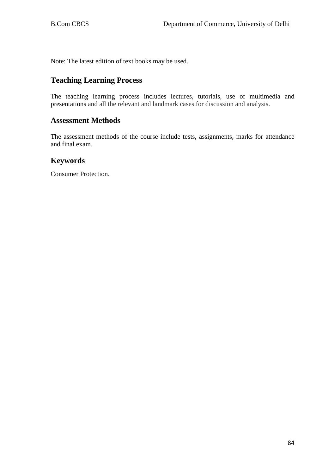Note: The latest edition of text books may be used.

## **Teaching Learning Process**

The teaching learning process includes lectures, tutorials, use of multimedia and presentations and all the relevant and landmark cases for discussion and analysis.

#### **Assessment Methods**

The assessment methods of the course include tests, assignments, marks for attendance and final exam.

## **Keywords**

Consumer Protection.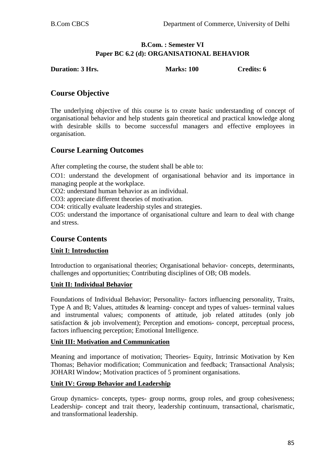## **B.Com. : Semester VI Paper BC 6.2 (d): ORGANISATIONAL BEHAVIOR**

**Duration: 3 Hrs.** Marks: 100 **Credits: 6** 

# **Course Objective**

The underlying objective of this course is to create basic understanding of concept of organisational behavior and help students gain theoretical and practical knowledge along with desirable skills to become successful managers and effective employees in organisation.

# **Course Learning Outcomes**

After completing the course, the student shall be able to:

CO1: understand the development of organisational behavior and its importance in managing people at the workplace.

CO2: understand human behavior as an individual.

CO3: appreciate different theories of motivation.

CO4: critically evaluate leadership styles and strategies.

CO5: understand the importance of organisational culture and learn to deal with change and stress.

# **Course Contents**

## **Unit I: Introduction**

Introduction to organisational theories; Organisational behavior- concepts, determinants, challenges and opportunities; Contributing disciplines of OB; OB models.

## **Unit II: Individual Behavior**

Foundations of Individual Behavior; Personality- factors influencing personality, Traits, Type A and B; Values, attitudes & learning- concept and types of values- terminal values and instrumental values; components of attitude, job related attitudes (only job satisfaction & job involvement); Perception and emotions- concept, perceptual process, factors influencing perception; Emotional Intelligence.

## **Unit III: Motivation and Communication**

Meaning and importance of motivation; Theories- Equity, Intrinsic Motivation by Ken Thomas; Behavior modification; Communication and feedback; Transactional Analysis; JOHARI Window; Motivation practices of 5 prominent organisations.

#### **Unit IV: Group Behavior and Leadership**

Group dynamics- concepts, types- group norms, group roles, and group cohesiveness; Leadership- concept and trait theory, leadership continuum, transactional, charismatic, and transformational leadership.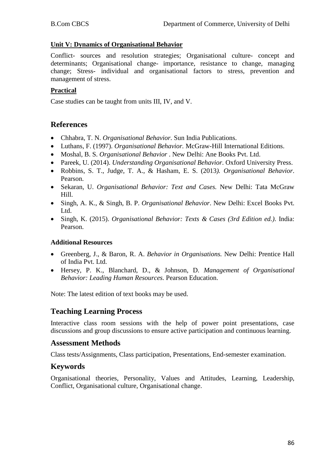#### **Unit V: Dynamics of Organisational Behavior**

Conflict- sources and resolution strategies; Organisational culture- concept and determinants; Organisational change- importance, resistance to change, managing change; Stress- individual and organisational factors to stress, prevention and management of stress.

## **Practical**

Case studies can be taught from units III, IV, and V.

## **References**

- Chhabra, T. N. *Organisational Behavior.* Sun India Publications.
- Luthans, F. (1997). *Organisational Behavior.* McGraw-Hill International Editions.
- Moshal, B. S. *Organisational Behavior* . New Delhi: Ane Books Pvt. Ltd.
- Pareek, U. (2014). *Understanding Organisational Behavior*. Oxford University Press.
- Robbins, S. T., Judge, T. A., & Hasham, E. S. (2013*). Organisational Behavior*. Pearson.
- Sekaran, U. *Organisational Behavior: Text and Cases.* New Delhi: Tata McGraw Hill.
- Singh, A. K., & Singh, B. P. *Organisational Behavior*. New Delhi: Excel Books Pvt. Ltd.
- Singh, K. (2015). *Organisational Behavior: Texts & Cases (3rd Edition ed.)*. India: Pearson.

#### **Additional Resources**

- Greenberg, J., & Baron, R. A. *Behavior in Organisations.* New Delhi: Prentice Hall of India Pvt. Ltd.
- Hersey, P. K., Blanchard, D., & Johnson, D. *Management of Organisational Behavior: Leading Human Resources.* Pearson Education.

Note: The latest edition of text books may be used.

## **Teaching Learning Process**

Interactive class room sessions with the help of power point presentations, case discussions and group discussions to ensure active participation and continuous learning.

## **Assessment Methods**

Class tests/Assignments, Class participation, Presentations, End-semester examination.

## **Keywords**

Organisational theories, Personality, Values and Attitudes, Learning, Leadership, Conflict, Organisational culture, Organisational change.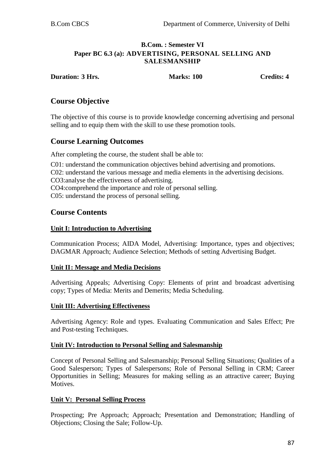## **B.Com. : Semester VI Paper BC 6.3 (a): ADVERTISING, PERSONAL SELLING AND SALESMANSHIP**

**Duration: 3 Hrs. Marks: 100 Credits:** 4

# **Course Objective**

The objective of this course is to provide knowledge concerning advertising and personal selling and to equip them with the skill to use these promotion tools.

## **Course Learning Outcomes**

After completing the course, the student shall be able to:

C01: understand the communication objectives behind advertising and promotions. C02: understand the various message and media elements in the advertising decisions. CO3:analyse the effectiveness of advertising. CO4:comprehend the importance and role of personal selling. C05: understand the process of personal selling.

# **Course Contents**

#### **Unit I: Introduction to Advertising**

Communication Process; AIDA Model, Advertising: Importance, types and objectives; DAGMAR Approach; Audience Selection; Methods of setting Advertising Budget.

#### **Unit II: Message and Media Decisions**

Advertising Appeals; Advertising Copy: Elements of print and broadcast advertising copy; Types of Media: Merits and Demerits; Media Scheduling.

#### **Unit III: Advertising Effectiveness**

Advertising Agency: Role and types. Evaluating Communication and Sales Effect; Pre and Post-testing Techniques.

#### **Unit IV: Introduction to Personal Selling and Salesmanship**

Concept of Personal Selling and Salesmanship; Personal Selling Situations; Qualities of a Good Salesperson; Types of Salespersons; Role of Personal Selling in CRM; Career Opportunities in Selling; Measures for making selling as an attractive career; Buying Motives.

#### **Unit V: Personal Selling Process**

Prospecting; Pre Approach; Approach; Presentation and Demonstration; Handling of Objections; Closing the Sale; Follow-Up.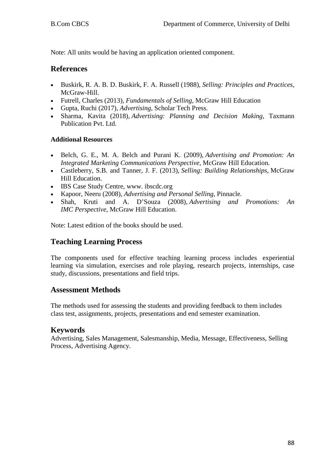Note: All units would be having an application oriented component.

## **References**

- [Buskirk,](https://www.gettextbooks.ca/author/Richard_Hobart_Buskirk) R. A. B. D. [Buskirk,](https://www.gettextbooks.ca/author/Bruce_D_Buskirk) [F. A. Russell](https://www.gettextbooks.ca/author/Frederic_A_Russell) (1988), *Selling: Principles and Practices,* McGraw-Hill.
- Futrell, Charles (2013), *Fundamentals of Selling*, McGraw Hill Education
- Gupta, Ruchi (2017), *Advertising,* Scholar Tech Press.
- Sharma, Kavita (2018), *Advertising: Planning and Decision Making,* Taxmann Publication Pvt. Ltd.

## **Additional Resources**

- Belch, G. E., M. A. Belch and Purani K. (2009), *Advertising and Promotion: An Integrated Marketing Communications Perspective*, McGraw Hill Education.
- Castleberry, S.B. and Tanner, J. F. (2013), *Selling: Building Relationships*, McGraw Hill Education.
- IBS Case Study Centre, www. ibscdc.org
- Kapoor, Neeru (2008), *Advertising and Personal Selling*, Pinnacle.
- Shah, Kruti and A. D'Souza (2008), *Advertising and Promotions: An IMC Perspective*, McGraw Hill Education.

Note: Latest edition of the books should be used.

# **Teaching Learning Process**

The components used for effective teaching learning process includes experiential learning via simulation, exercises and role playing, research projects, internships, case study, discussions, presentations and field trips.

## **Assessment Methods**

The methods used for assessing the students and providing feedback to them includes class test, assignments, projects, presentations and end semester examination.

## **Keywords**

Advertising, Sales Management, Salesmanship, Media, Message, Effectiveness, Selling Process, Advertising Agency.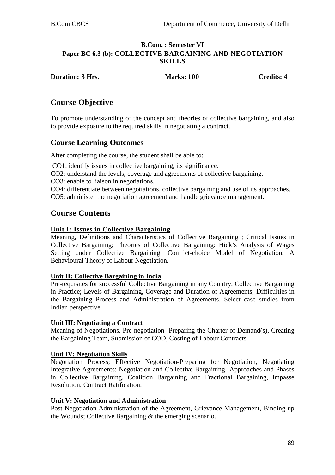#### **B.Com. : Semester VI Paper BC 6.3 (b): COLLECTIVE BARGAINING AND NEGOTIATION SKILLS**

**Duration: 3 Hrs. Marks: 100 Credits: 4**

# **Course Objective**

To promote understanding of the concept and theories of collective bargaining, and also to provide exposure to the required skills in negotiating a contract.

## **Course Learning Outcomes**

After completing the course, the student shall be able to:

CO1: identify issues in collective bargaining, its significance.

CO2: understand the levels, coverage and agreements of collective bargaining.

CO3: enable to liaison in negotiations.

CO4: differentiate between negotiations, collective bargaining and use of its approaches.

CO5: administer the negotiation agreement and handle grievance management.

# **Course Contents**

#### **Unit I: Issues in Collective Bargaining**

Meaning, Definitions and Characteristics of Collective Bargaining ; Critical Issues in Collective Bargaining; Theories of Collective Bargaining: Hick's Analysis of Wages Setting under Collective Bargaining, Conflict-choice Model of Negotiation, A Behavioural Theory of Labour Negotiation.

#### **Unit II: Collective Bargaining in India**

Pre-requisites for successful Collective Bargaining in any Country; Collective Bargaining in Practice; Levels of Bargaining, Coverage and Duration of Agreements; Difficulties in the Bargaining Process and Administration of Agreements. Select case studies from Indian perspective.

#### **Unit III: Negotiating a Contract**

Meaning of Negotiations, Pre-negotiation- Preparing the Charter of Demand(s), Creating the Bargaining Team, Submission of COD, Costing of Labour Contracts.

#### **Unit IV: Negotiation Skills**

Negotiation Process; Effective Negotiation-Preparing for Negotiation, Negotiating Integrative Agreements; Negotiation and Collective Bargaining- Approaches and Phases in Collective Bargaining, Coalition Bargaining and Fractional Bargaining, Impasse Resolution, Contract Ratification.

#### **Unit V: Negotiation and Administration**

Post Negotiation-Administration of the Agreement, Grievance Management, Binding up the Wounds; Collective Bargaining & the emerging scenario.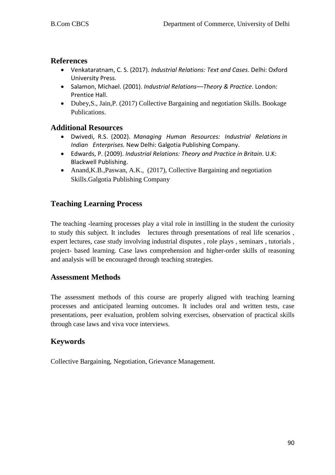## **References**

- Venkataratnam, C. S. (2017). *Industrial Relations: Text and Cases*. Delhi: Oxford University Press.
- Salamon, Michael. (2001). *Industrial Relations––Theory & Practice*. London: Prentice Hall.
- Dubey,S., Jain,P. (2017) Collective Bargaining and negotiation Skills. Bookage Publications.

# **Additional Resources**

- Dwivedi, R.S. (2002). *Managing Human Resources: Industrial Relations in Indian Enterprises.* New Delhi: Galgotia Publishing Company.
- Edwards, P. (2009). *Industrial Relations: Theory and Practice in Britain*. U.K: Blackwell Publishing.
- Anand, K.B., Paswan, A.K., (2017), Collective Bargaining and negotiation Skills.Galgotia Publishing Company

# **Teaching Learning Process**

The teaching -learning processes play a vital role in instilling in the student the curiosity to study this subject. It includes lectures through presentations of real life scenarios , expert lectures, case study involving industrial disputes , role plays , seminars , tutorials , project- based learning. Case laws comprehension and higher-order skills of reasoning and analysis will be encouraged through teaching strategies.

# **Assessment Methods**

The assessment methods of this course are properly aligned with teaching learning processes and anticipated learning outcomes. It includes oral and written tests, case presentations, peer evaluation, problem solving exercises, observation of practical skills through case laws and viva voce interviews.

# **Keywords**

Collective Bargaining, Negotiation, Grievance Management.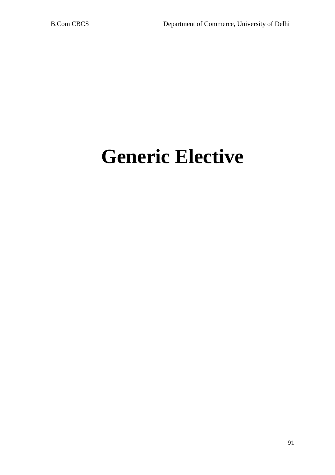# **Generic Elective**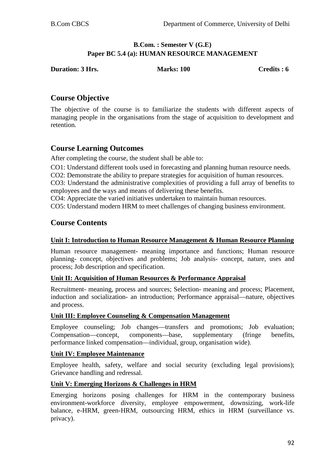## **B.Com. : Semester V (G.E) Paper BC 5.4 (a): HUMAN RESOURCE MANAGEMENT**

**Duration: 3 Hrs.** Marks: 100 **Credits : 6** Credits : 6

# **Course Objective**

The objective of the course is to familiarize the students with different aspects of managing people in the organisations from the stage of acquisition to development and retention.

# **Course Learning Outcomes**

After completing the course, the student shall be able to:

CO1: Understand different tools used in forecasting and planning human resource needs.

CO2: Demonstrate the ability to prepare strategies for acquisition of human resources.

CO3: Understand the administrative complexities of providing a full array of benefits to employees and the ways and means of delivering these benefits.

CO4: Appreciate the varied initiatives undertaken to maintain human resources.

CO5: Understand modern HRM to meet challenges of changing business environment.

## **Course Contents**

## **Unit I: Introduction to Human Resource Management & Human Resource Planning**

Human resource management- meaning importance and functions; Human resource planning- concept, objectives and problems; Job analysis- concept, nature, uses and process; Job description and specification.

#### **Unit II: Acquisition of Human Resources & Performance Appraisal**

Recruitment- meaning, process and sources; Selection- meaning and process; Placement, induction and socialization- an introduction; Performance appraisal—nature, objectives and process.

## **Unit III: Employee Counseling & Compensation Management**

Employee counseling; Job changes—transfers and promotions; Job evaluation; Compensation—concept, components—base, supplementary (fringe benefits, performance linked compensation—individual, group, organisation wide).

#### **Unit IV: Employee Maintenance**

Employee health, safety, welfare and social security (excluding legal provisions); Grievance handling and redressal.

#### **Unit V: Emerging Horizons & Challenges in HRM**

Emerging horizons posing challenges for HRM in the contemporary business environment-workforce diversity, employee empowerment, downsizing, work-life balance, e-HRM, green-HRM, outsourcing HRM, ethics in HRM (surveillance vs. privacy).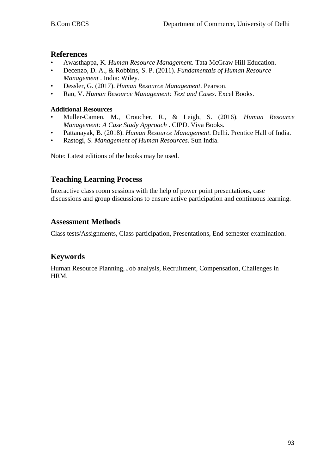## **References**

- Awasthappa, K. *Human Resource Management.* Tata McGraw Hill Education.
- Decenzo, D. A., & Robbins, S. P. (2011). *Fundamentals of Human Resource Management* . India: Wiley.
- Dessler, G. (2017). *Human Resource Management*. Pearson.
- Rao, V. *Human Resource Management: Text and Cases.* Excel Books.

#### **Additional Resources**

- Muller-Camen, M., Croucher, R., & Leigh, S. (2016). *Human Resource Management: A Case Study Approach* . CIPD. Viva Books.
- Pattanayak, B. (2018). *Human Resource Management*. Delhi. Prentice Hall of India.
- Rastogi, S. *Management of Human Resources*. Sun India.

Note: Latest editions of the books may be used.

# **Teaching Learning Process**

Interactive class room sessions with the help of power point presentations, case discussions and group discussions to ensure active participation and continuous learning.

## **Assessment Methods**

Class tests/Assignments, Class participation, Presentations, End-semester examination.

# **Keywords**

Human Resource Planning, Job analysis, Recruitment, Compensation, Challenges in HRM.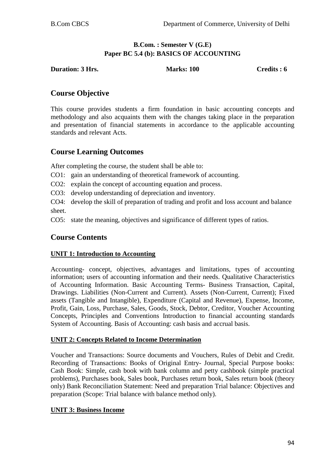## **B.Com. : Semester V (G.E) Paper BC 5.4 (b): BASICS OF ACCOUNTING**

**Duration: 3 Hrs.** Marks: 100 **Credits : 6** Credits : 6

# **Course Objective**

This course provides students a firm foundation in basic accounting concepts and methodology and also acquaints them with the changes taking place in the preparation and presentation of financial statements in accordance to the applicable accounting standards and relevant Acts.

# **Course Learning Outcomes**

After completing the course, the student shall be able to:

- CO1: gain an understanding of theoretical framework of accounting.
- CO2: explain the concept of accounting equation and process.
- CO3: develop understanding of depreciation and inventory.

CO4: develop the skill of preparation of trading and profit and loss account and balance sheet.

CO5: state the meaning, objectives and significance of different types of ratios.

## **Course Contents**

## **UNIT 1: Introduction to Accounting**

Accounting- concept, objectives, advantages and limitations, types of accounting information; users of accounting information and their needs. Qualitative Characteristics of Accounting Information. Basic Accounting Terms- Business Transaction, Capital, Drawings. Liabilities (Non-Current and Current). Assets (Non-Current, Current); Fixed assets (Tangible and Intangible), Expenditure (Capital and Revenue), Expense, Income, Profit, Gain, Loss, Purchase, Sales, Goods, Stock, Debtor, Creditor, Voucher Accounting Concepts, Principles and Conventions Introduction to financial accounting standards System of Accounting. Basis of Accounting: cash basis and accrual basis.

#### **UNIT 2: Concepts Related to Income Determination**

Voucher and Transactions: Source documents and Vouchers, Rules of Debit and Credit. Recording of Transactions: Books of Original Entry- Journal, Special Purpose books: Cash Book: Simple, cash book with bank column and petty cashbook (simple practical problems), Purchases book, Sales book, Purchases return book, Sales return book (theory only) Bank Reconciliation Statement: Need and preparation Trial balance: Objectives and preparation (Scope: Trial balance with balance method only).

#### **UNIT 3: Business Income**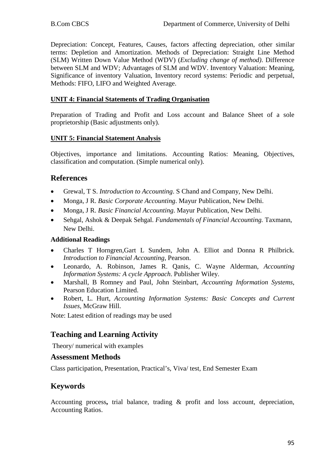Depreciation: Concept, Features, Causes, factors affecting depreciation, other similar terms: Depletion and Amortization. Methods of Depreciation: Straight Line Method (SLM) Written Down Value Method (WDV) (*Excluding change of method)*. Difference between SLM and WDV; Advantages of SLM and WDV. Inventory Valuation: Meaning, Significance of inventory Valuation, Inventory record systems: Periodic and perpetual, Methods: FIFO, LIFO and Weighted Average.

## **UNIT 4: Financial Statements of Trading Organisation**

Preparation of Trading and Profit and Loss account and Balance Sheet of a sole proprietorship (Basic adjustments only).

## **UNIT 5: Financial Statement Analysis**

Objectives, importance and limitations. Accounting Ratios: Meaning, Objectives, classification and computation. (Simple numerical only).

# **References**

- Grewal, T S. *Introduction to Accounting*. S Chand and Company, New Delhi.
- Monga, J R. *Basic Corporate Accounting*. Mayur Publication, New Delhi.
- Monga, J R. *Basic Financial Accounting*. Mayur Publication, New Delhi.
- Sehgal, Ashok & Deepak Sehgal. *Fundamentals of Financial Accounting.* Taxmann, New Delhi.

## **Additional Readings**

- Charles T Horngren,Gart L Sundem, John A. Elliot and Donna R Philbrick. *Introduction to Financial Accounting*, Pearson.
- Leonardo, A. Robinson, James R. Qanis, C. Wayne Alderman, *Accounting Information Systems: A cycle Approach*. Publisher Wiley.
- Marshall, B Romney and Paul, John Steinbart, *Accounting Information Systems*, Pearson Education Limited.
- Robert, L. Hurt, *Accounting Information Systems: Basic Concepts and Current Issues*, McGraw Hill.

Note: Latest edition of readings may be used

# **Teaching and Learning Activity**

Theory/ numerical with examples

#### **Assessment Methods**

Class participation, Presentation, Practical's, Viva/ test, End Semester Exam

# **Keywords**

Accounting process**,** trial balance, trading & profit and loss account, depreciation, Accounting Ratios.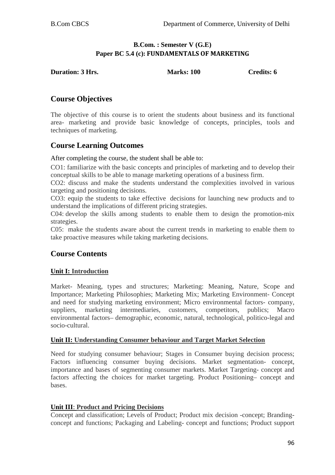## **B.Com. : Semester V (G.E) Paper BC 5.4 (c): FUNDAMENTALS OF MARKETING**

| <b>Duration: 3 Hrs.</b> | <b>Marks: 100</b> | Credits: 6 |
|-------------------------|-------------------|------------|
|                         |                   |            |

# **Course Objectives**

The objective of this course is to orient the students about business and its functional area- marketing and provide basic knowledge of concepts, principles, tools and techniques of marketing.

# **Course Learning Outcomes**

After completing the course, the student shall be able to:

CO1: familiarize with the basic concepts and principles of marketing and to develop their conceptual skills to be able to manage marketing operations of a business firm.

CO2: discuss and make the students understand the complexities involved in various targeting and positioning decisions.

CO3: equip the students to take effective decisions for launching new products and to understand the implications of different pricing strategies.

C04: develop the skills among students to enable them to design the promotion-mix strategies.

C05: make the students aware about the current trends in marketing to enable them to take proactive measures while taking marketing decisions.

# **Course Contents**

## **Unit I: Introduction**

Market- Meaning, types and structures; Marketing: Meaning, Nature, Scope and Importance; Marketing Philosophies; Marketing Mix; Marketing Environment- Concept and need for studying marketing environment; Micro environmental factors- company, suppliers, marketing intermediaries, customers, competitors, publics; Macro environmental factors– demographic, economic, natural, technological, politico-legal and socio-cultural.

#### **Unit II: Understanding Consumer behaviour and Target Market Selection**

Need for studying consumer behaviour; Stages in Consumer buying decision process; Factors influencing consumer buying decisions. Market segmentation- concept, importance and bases of segmenting consumer markets. Market Targeting- concept and factors affecting the choices for market targeting. Product Positioning– concept and bases.

## **Unit III**: **Product and Pricing Decisions**

Concept and classification; Levels of Product; Product mix decision -concept; Brandingconcept and functions; Packaging and Labeling- concept and functions; Product support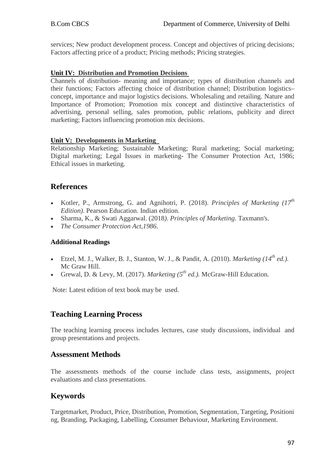services; New product development process. Concept and objectives of pricing decisions; Factors affecting price of a product; Pricing methods; Pricing strategies.

#### **Unit IV: Distribution and Promotion Decisions**

Channels of distribution- meaning and importance; types of distribution channels and their functions; Factors affecting choice of distribution channel; Distribution logistics– concept, importance and major logistics decisions. Wholesaling and retailing. Nature and Importance of Promotion; Promotion mix concept and distinctive characteristics of advertising, personal selling, sales promotion, public relations, publicity and direct marketing; Factors influencing promotion mix decisions.

## **Unit V: Developments in Marketing**

Relationship Marketing; Sustainable Marketing; Rural marketing; Social marketing; Digital marketing; Legal Issues in marketing- The Consumer Protection Act, 1986; Ethical issues in marketing.

## **References**

- Kotler, P., Armstrong, G. and Agnihotri, P. (2018). *Principles of Marketing (17th Edition)*. Pearson Education. Indian edition.
- Sharma, K., & Swati Aggarwal. (2018*). Principles of Marketing*. Taxmann's.
- *The Consumer Protection Act,1986.*

## **Additional Readings**

- Etzel, M. J., Walker, B. J., Stanton, W. J., & Pandit, A. (2010). *Marketing*  $(14<sup>th</sup> ed.)$ . Mc Graw Hill.
- Grewal, D. & Levy, M. (2017). *Marketing*  $(5^{th}$  *ed.*). McGraw-Hill Education.

Note: Latest edition of text book may be used.

# **Teaching Learning Process**

The teaching learning process includes lectures, case study discussions, individual and group presentations and projects.

## **Assessment Methods**

The assessments methods of the course include class tests, assignments, project evaluations and class presentations.

# **Keywords**

Targetmarket, Product, Price, Distribution, Promotion, Segmentation, Targeting, Positioni ng, Branding, Packaging, Labelling, Consumer Behaviour, Marketing Environment.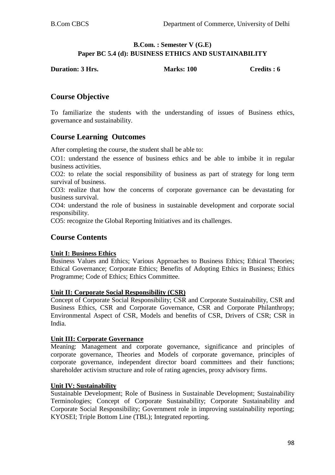#### **B.Com. : Semester V (G.E) Paper BC 5.4 (d): BUSINESS ETHICS AND SUSTAINABILITY**

| <b>Duration: 3 Hrs.</b> | <b>Marks: 100</b> | Credits : 6 |
|-------------------------|-------------------|-------------|
|                         |                   |             |

## **Course Objective**

To familiarize the students with the understanding of issues of Business ethics, governance and sustainability.

## **Course Learning Outcomes**

After completing the course, the student shall be able to:

CO1: understand the essence of business ethics and be able to imbibe it in regular business activities.

CO2: to relate the social responsibility of business as part of strategy for long term survival of business.

CO3: realize that how the concerns of corporate governance can be devastating for business survival.

CO4: understand the role of business in sustainable development and corporate social responsibility.

CO5: recognize the Global Reporting Initiatives and its challenges.

## **Course Contents**

#### **Unit I: Business Ethics**

Business Values and Ethics; Various Approaches to Business Ethics; Ethical Theories; Ethical Governance; Corporate Ethics; Benefits of Adopting Ethics in Business; Ethics Programme; Code of Ethics; Ethics Committee.

#### **Unit II: Corporate Social Responsibility (CSR)**

Concept of Corporate Social Responsibility; CSR and Corporate Sustainability, CSR and Business Ethics, CSR and Corporate Governance, CSR and Corporate Philanthropy; Environmental Aspect of CSR, Models and benefits of CSR, Drivers of CSR; CSR in India.

#### **Unit III: Corporate Governance**

Meaning: Management and corporate governance, significance and principles of corporate governance, Theories and Models of corporate governance, principles of corporate governance, independent director board committees and their functions; shareholder activism structure and role of rating agencies, proxy advisory firms.

#### **Unit IV: Sustainability**

Sustainable Development; Role of Business in Sustainable Development; Sustainability Terminologies; Concept of Corporate Sustainability; Corporate Sustainability and Corporate Social Responsibility; Government role in improving sustainability reporting; KYOSEI; Triple Bottom Line (TBL); Integrated reporting.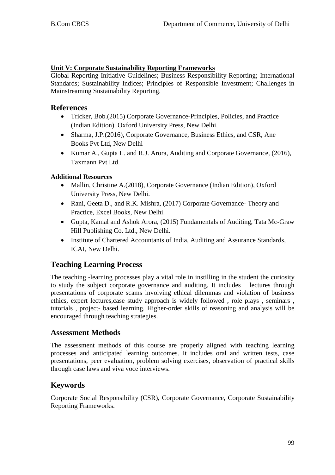## **Unit V: Corporate Sustainability Reporting Frameworks**

Global Reporting Initiative Guidelines; Business Responsibility Reporting; International Standards; Sustainability Indices; Principles of Responsible Investment; Challenges in Mainstreaming Sustainability Reporting.

## **References**

- Tricker, Bob.(2015) Corporate Governance-Principles, Policies, and Practice (Indian Edition). Oxford University Press, New Delhi.
- Sharma, J.P. (2016), Corporate Governance, Business Ethics, and CSR, Ane Books Pvt Ltd, New Delhi
- Kumar A., Gupta L. and R.J. Arora, Auditing and Corporate Governance, (2016), Taxmann Pvt Ltd.

## **Additional Resources**

- Mallin, Christine A.(2018), Corporate Governance (Indian Edition), Oxford University Press, New Delhi.
- Rani, Geeta D., and R.K. Mishra, (2017) Corporate Governance- Theory and Practice, Excel Books, New Delhi.
- Gupta, Kamal and Ashok Arora, (2015) Fundamentals of Auditing, Tata Mc-Graw Hill Publishing Co. Ltd., New Delhi.
- Institute of Chartered Accountants of India, Auditing and Assurance Standards, ICAI, New Delhi.

# **Teaching Learning Process**

The teaching -learning processes play a vital role in instilling in the student the curiosity to study the subject corporate governance and auditing. It includes lectures through presentations of corporate scams involving ethical dilemmas and violation of business ethics, expert lectures,case study approach is widely followed , role plays , seminars , tutorials , project- based learning. Higher-order skills of reasoning and analysis will be encouraged through teaching strategies.

## **Assessment Methods**

The assessment methods of this course are properly aligned with teaching learning processes and anticipated learning outcomes. It includes oral and written tests, case presentations, peer evaluation, problem solving exercises, observation of practical skills through case laws and viva voce interviews.

# **Keywords**

Corporate Social Responsibility (CSR), Corporate Governance, Corporate Sustainability Reporting Frameworks.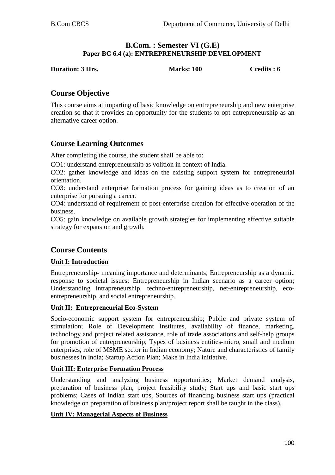## **B.Com. : Semester VI (G.E) Paper BC 6.4 (a): ENTREPRENEURSHIP DEVELOPMENT**

**Duration: 3 Hrs.** Marks: 100 Credits : 6

# **Course Objective**

This course aims at imparting of basic knowledge on entrepreneurship and new enterprise creation so that it provides an opportunity for the students to opt entrepreneurship as an alternative career option.

# **Course Learning Outcomes**

After completing the course, the student shall be able to:

CO1: understand entrepreneurship as volition in context of India.

CO2: gather knowledge and ideas on the existing support system for entrepreneurial orientation.

CO3: understand enterprise formation process for gaining ideas as to creation of an enterprise for pursuing a career.

CO4: understand of requirement of post-enterprise creation for effective operation of the business.

CO5: gain knowledge on available growth strategies for implementing effective suitable strategy for expansion and growth.

# **Course Contents**

## **Unit I: Introduction**

Entrepreneurship- meaning importance and determinants; Entrepreneurship as a dynamic response to societal issues; Entrepreneurship in Indian scenario as a career option; Understanding intrapreneurship, techno-entrepreneurship, net-entrepreneurship, ecoentrepreneurship, and social entrepreneurship.

#### **Unit II: Entrepreneurial Eco-System**

Socio-economic support system for entrepreneurship; Public and private system of stimulation; Role of Development Institutes, availability of finance, marketing, technology and project related assistance, role of trade associations and self-help groups for promotion of entrepreneurship; Types of business entities-micro, small and medium enterprises, role of MSME sector in Indian economy; Nature and characteristics of family businesses in India; Startup Action Plan; Make in India initiative.

## **Unit III: Enterprise Formation Process**

Understanding and analyzing business opportunities; Market demand analysis, preparation of business plan, project feasibility study; Start ups and basic start ups problems; Cases of Indian start ups, Sources of financing business start ups (practical knowledge on preparation of business plan/project report shall be taught in the class).

#### **Unit IV: Managerial Aspects of Business**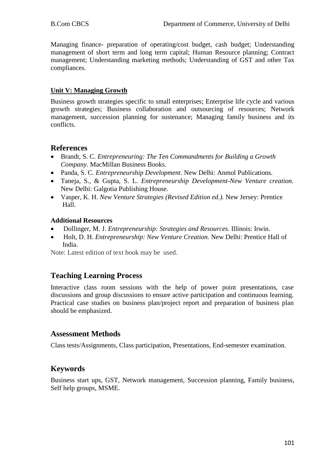Managing finance- preparation of operating/cost budget, cash budget; Understanding management of short term and long term capital; Human Resource planning; Contract management; Understanding marketing methods; Understanding of GST and other Tax compliances.

## **Unit V: Managing Growth**

Business growth strategies specific to small enterprises; Enterprise life cycle and various growth strategies; Business collaboration and outsourcing of resources; Network management, succession planning for sustenance; Managing family business and its conflicts.

## **References**

- Brandt, S. C. *Entrepreneuring: The Ten Commandments for Building a Growth Company.* MacMillan Business Books.
- Panda, S. C. *Entrepreneurship Development*. New Delhi: Anmol Publications.
- Taneja, S., & Gupta, S. L. *Entrepreneurship Development-New Venture creation.* New Delhi: Galgotia Publishing House.
- Vasper, K. H. *New Venture Strategies (Revised Edition ed.).* New Jersey: Prentice Hall.

## **Additional Resources**

- Dollinger, M. J. *Entrepreneurship: Strategies and Resources.* Illinois: Irwin.
- Holt, D. H. *Entrepreneurship: New Venture Creation.* New Delhi: Prentice Hall of India.

Note: Latest edition of text book may be used.

# **Teaching Learning Process**

Interactive class room sessions with the help of power point presentations, case discussions and group discussions to ensure active participation and continuous learning. Practical case studies on business plan/project report and preparation of business plan should be emphasized.

# **Assessment Methods**

Class tests/Assignments, Class participation, Presentations, End-semester examination.

# **Keywords**

Business start ups, GST, Network management, Succession planning, Family business, Self help groups, MSME.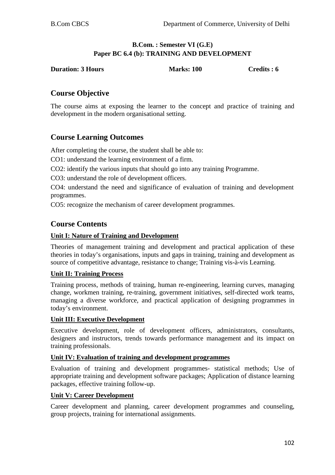## **B.Com. : Semester VI (G.E) Paper BC 6.4 (b): TRAINING AND DEVELOPMENT**

**Duration: 3 Hours Marks: 100 Credits : 6** 

# **Course Objective**

The course aims at exposing the learner to the concept and practice of training and development in the modern organisational setting.

# **Course Learning Outcomes**

After completing the course, the student shall be able to:

CO1: understand the learning environment of a firm.

CO2: identify the various inputs that should go into any training Programme.

CO3: understand the role of development officers.

CO4: understand the need and significance of evaluation of training and development programmes.

CO5: recognize the mechanism of career development programmes.

# **Course Contents**

## **Unit I: Nature of Training and Development**

Theories of management training and development and practical application of these theories in today's organisations, inputs and gaps in training, training and development as source of competitive advantage, resistance to change; Training vis-à-vis Learning.

## **Unit II: Training Process**

Training process, methods of training, human re-engineering, learning curves, managing change, workmen training, re-training, government initiatives, self-directed work teams, managing a diverse workforce, and practical application of designing programmes in today's environment.

#### **Unit III: Executive Development**

Executive development, role of development officers, administrators, consultants, designers and instructors, trends towards performance management and its impact on training professionals.

#### **Unit IV: Evaluation of training and development programmes**

Evaluation of training and development programmes- statistical methods; Use of appropriate training and development software packages; Application of distance learning packages, effective training follow-up.

#### **Unit V: Career Development**

Career development and planning, career development programmes and counseling, group projects, training for international assignments.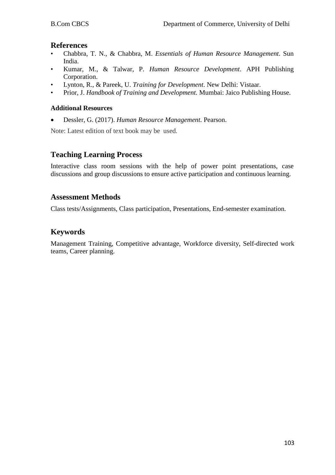## **References**

- Chabbra, T. N., & Chabbra, M. *Essentials of Human Resource Management*. Sun India.
- Kumar, M., & Talwar, P. *Human Resource Development*. APH Publishing Corporation.
- Lynton, R., & Pareek, U. *Training for Development*. New Delhi: Vistaar.
- Prior, J. *Handbook of Training and Development*. Mumbai: Jaico Publishing House.

#### **Additional Resources**

• Dessler, G. (2017). *Human Resource Management.* Pearson.

Note: Latest edition of text book may be used.

## **Teaching Learning Process**

Interactive class room sessions with the help of power point presentations, case discussions and group discussions to ensure active participation and continuous learning.

## **Assessment Methods**

Class tests/Assignments, Class participation, Presentations, End-semester examination.

## **Keywords**

Management Training, Competitive advantage, Workforce diversity, Self-directed work teams, Career planning.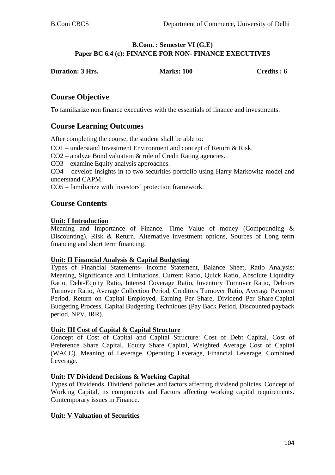#### **B.Com. : Semester VI (G.E) Paper BC 6.4 (c): FINANCE FOR NON- FINANCE EXECUTIVES**

| <b>Duration: 3 Hrs.</b> | <b>Marks: 100</b> | Credits : 6 |
|-------------------------|-------------------|-------------|
|                         |                   |             |

## **Course Objective**

To familiarize non finance executives with the essentials of finance and investments.

## **Course Learning Outcomes**

After completing the course, the student shall be able to:

CO1 – understand Investment Environment and concept of Return & Risk.

CO2 – analyze Bond valuation & role of Credit Rating agencies.

CO3 – examine Equity analysis approaches.

CO4 – develop insights in to two securities portfolio using Harry Markowitz model and understand CAPM.

CO5 – familiarize with Investors' protection framework.

## **Course Contents**

#### **Unit: I Introduction**

Meaning and Importance of Finance. Time Value of money (Compounding & Discounting), Risk & Return. Alternative investment options, Sources of Long term financing and short term financing.

#### **Unit: II Financial Analysis & Capital Budgeting**

Types of Financial Statements- Income Statement, Balance Sheet, Ratio Analysis: Meaning, Significance and Limitations. Current Ratio, Quick Ratio, Absolute Liquidity Ratio, Debt-Equity Ratio, Interest Coverage Ratio, Inventory Turnover Ratio, Debtors Turnover Ratio, Average Collection Period, Creditors Turnover Ratio, Average Payment Period, Return on Capital Employed, Earning Per Share, Dividend Per Share.Capital Budgeting Process, Capital Budgeting Techniques (Pay Back Period, Discounted payback period, NPV, IRR).

#### **Unit: III Cost of Capital & Capital Structure**

Concept of Cost of Capital and Capital Structure: Cost of Debt Capital, Cost of Preference Share Capital, Equity Share Capital, Weighted Average Cost of Capital (WACC). Meaning of Leverage. Operating Leverage, Financial Leverage, Combined Leverage.

#### **Unit: IV Dividend Decisions & Working Capital**

Types of Dividends, Dividend policies and factors affecting dividend policies. Concept of Working Capital, its components and Factors affecting working capital requirements. Contemporary issues in Finance.

#### **Unit: V Valuation of Securities**